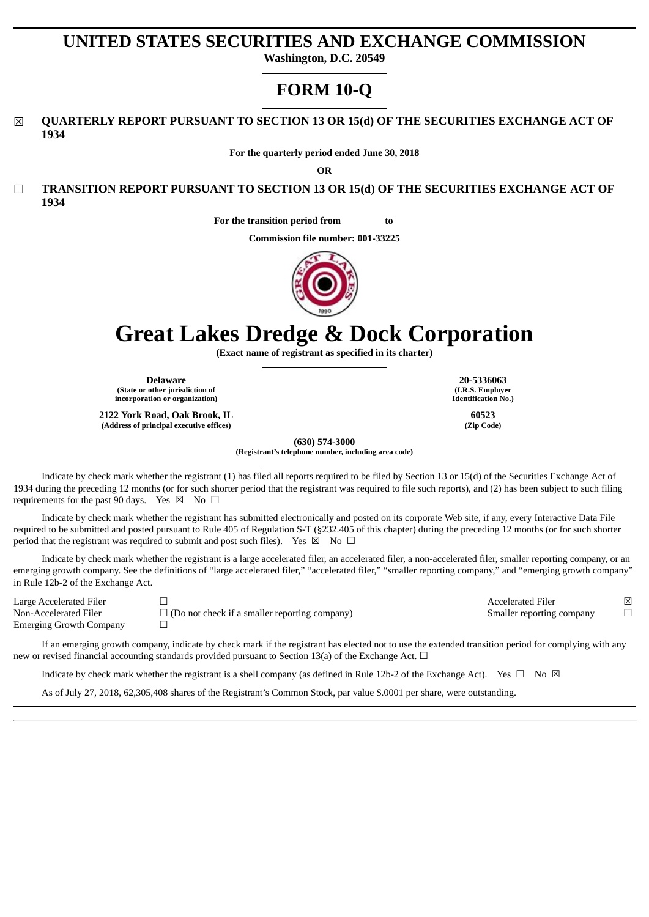## **UNITED STATES SECURITIES AND EXCHANGE COMMISSION**

**Washington, D.C. 20549**

# **FORM 10-Q**

☒ **QUARTERLY REPORT PURSUANT TO SECTION 13 OR 15(d) OF THE SECURITIES EXCHANGE ACT OF 1934**

**For the quarterly period ended June 30, 2018**

**OR**

☐ **TRANSITION REPORT PURSUANT TO SECTION 13 OR 15(d) OF THE SECURITIES EXCHANGE ACT OF 1934**

**For the transition period from to**

**Commission file number: 001-33225**



# **Great Lakes Dredge & Dock Corporation**

**(Exact name of registrant as specified in its charter)**

**Delaware 20-5336063 (State or other jurisdiction of incorporation or organization)**

**2122 York Road, Oak Brook, IL 60523 (Address of principal executive offices) (Zip Code)**

**(I.R.S. Employer Identification No.)**

**(630) 574-3000 (Registrant's telephone number, including area code)**

Indicate by check mark whether the registrant (1) has filed all reports required to be filed by Section 13 or 15(d) of the Securities Exchange Act of 1934 during the preceding 12 months (or for such shorter period that the registrant was required to file such reports), and (2) has been subject to such filing requirements for the past 90 days. Yes  $\boxtimes$  No  $\Box$ 

Indicate by check mark whether the registrant has submitted electronically and posted on its corporate Web site, if any, every Interactive Data File required to be submitted and posted pursuant to Rule 405 of Regulation S-T (§232.405 of this chapter) during the preceding 12 months (or for such shorter period that the registrant was required to submit and post such files). Yes  $\boxtimes$  No  $\Box$ 

Indicate by check mark whether the registrant is a large accelerated filer, an accelerated filer, a non-accelerated filer, smaller reporting company, or an emerging growth company. See the definitions of "large accelerated filer," "accelerated filer," "smaller reporting company," and "emerging growth company" in Rule 12b-2 of the Exchange Act.

| Large Accelerated Filer        |                                                      | Accelerated Filer         |  |
|--------------------------------|------------------------------------------------------|---------------------------|--|
| Non-Accelerated Filer          | $\Box$ (Do not check if a smaller reporting company) | Smaller reporting company |  |
| <b>Emerging Growth Company</b> |                                                      |                           |  |

If an emerging growth company, indicate by check mark if the registrant has elected not to use the extended transition period for complying with any new or revised financial accounting standards provided pursuant to Section 13(a) of the Exchange Act.  $\Box$ 

Indicate by check mark whether the registrant is a shell company (as defined in Rule 12b-2 of the Exchange Act). Yes  $\Box$  No  $\boxtimes$ 

As of July 27, 2018, 62,305,408 shares of the Registrant's Common Stock, par value \$.0001 per share, were outstanding.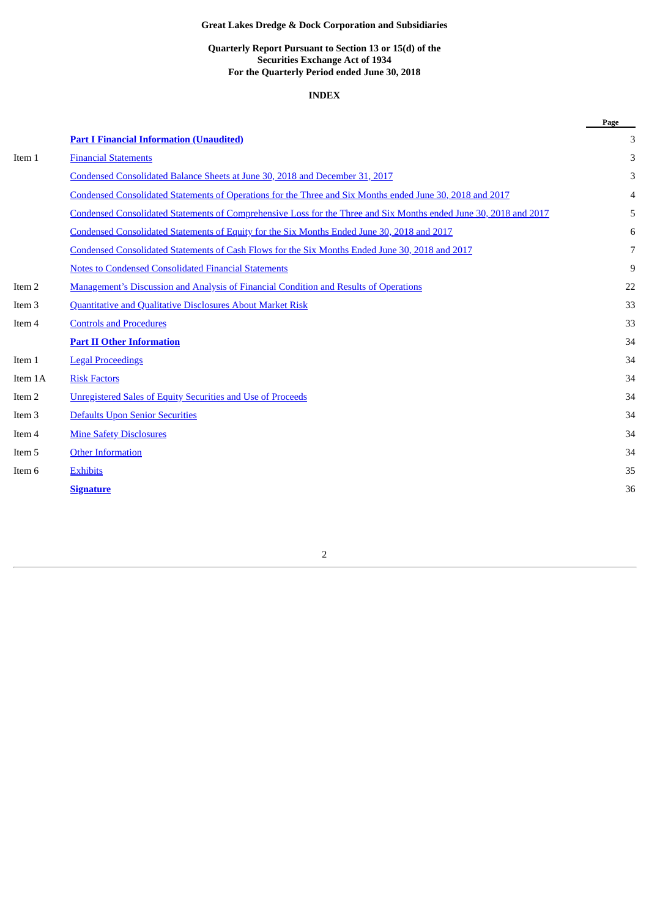## **Quarterly Report Pursuant to Section 13 or 15(d) of the Securities Exchange Act of 1934 For the Quarterly Period ended June 30, 2018**

## **INDEX**

|                   |                                                                                                                   | Page |
|-------------------|-------------------------------------------------------------------------------------------------------------------|------|
|                   | <b>Part I Financial Information (Unaudited)</b>                                                                   | 3    |
| Item 1            | <b>Financial Statements</b>                                                                                       | 3    |
|                   | Condensed Consolidated Balance Sheets at June 30, 2018 and December 31, 2017                                      | 3    |
|                   | Condensed Consolidated Statements of Operations for the Three and Six Months ended June 30, 2018 and 2017         | 4    |
|                   | Condensed Consolidated Statements of Comprehensive Loss for the Three and Six Months ended June 30, 2018 and 2017 | 5    |
|                   | Condensed Consolidated Statements of Equity for the Six Months Ended June 30, 2018 and 2017                       | 6    |
|                   | Condensed Consolidated Statements of Cash Flows for the Six Months Ended June 30, 2018 and 2017                   | 7    |
|                   | <b>Notes to Condensed Consolidated Financial Statements</b>                                                       | 9    |
| Item 2            | <b>Management's Discussion and Analysis of Financial Condition and Results of Operations</b>                      | 22   |
| Item <sub>3</sub> | <b>Quantitative and Qualitative Disclosures About Market Risk</b>                                                 | 33   |
| Item 4            | <b>Controls and Procedures</b>                                                                                    | 33   |
|                   | <b>Part II Other Information</b>                                                                                  | 34   |
| Item 1            | <b>Legal Proceedings</b>                                                                                          | 34   |
| Item 1A           | <b>Risk Factors</b>                                                                                               | 34   |
| Item 2            | <b>Unregistered Sales of Equity Securities and Use of Proceeds</b>                                                | 34   |
| Item 3            | Defaults Upon Senior Securities                                                                                   | 34   |
| Item 4            | <b>Mine Safety Disclosures</b>                                                                                    | 34   |
| Item 5            | <b>Other Information</b>                                                                                          | 34   |
| Item 6            | <b>Exhibits</b>                                                                                                   | 35   |
|                   | <b>Signature</b>                                                                                                  | 36   |
|                   |                                                                                                                   |      |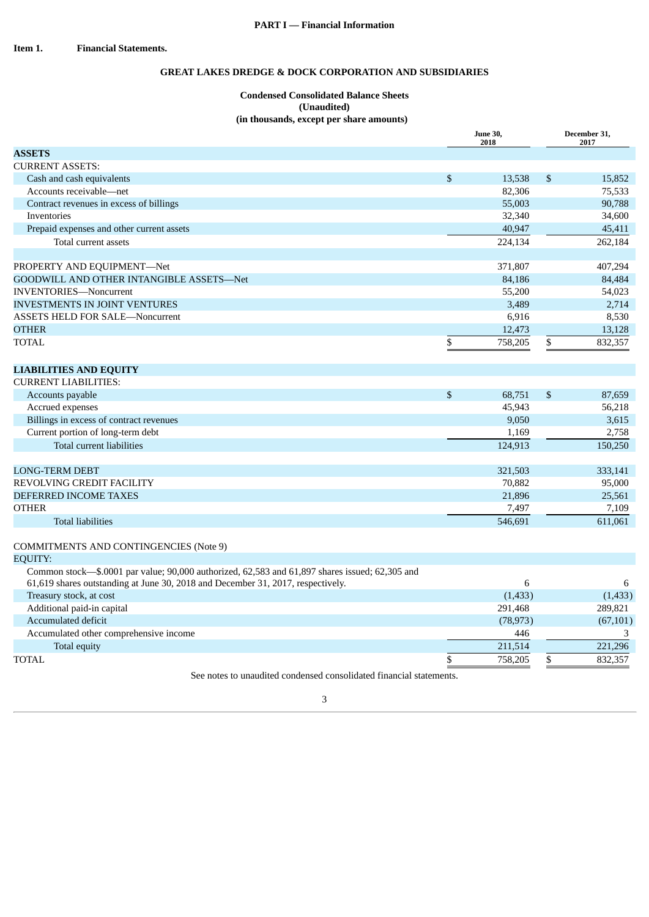## <span id="page-2-1"></span>**GREAT LAKES DREDGE & DOCK CORPORATION AND SUBSIDIARIES**

## **Condensed Consolidated Balance Sheets (Unaudited) (in thousands, except per share amounts)**

<span id="page-2-2"></span><span id="page-2-0"></span>

|                                                                                                                                                                                   |              | <b>June 30,</b><br>2018 |                           | December 31,<br>2017 |
|-----------------------------------------------------------------------------------------------------------------------------------------------------------------------------------|--------------|-------------------------|---------------------------|----------------------|
| <b>ASSETS</b>                                                                                                                                                                     |              |                         |                           |                      |
| <b>CURRENT ASSETS:</b>                                                                                                                                                            |              |                         |                           |                      |
| Cash and cash equivalents                                                                                                                                                         | $\mathbb{S}$ | 13,538                  | $\mathbb{S}$              | 15,852               |
| Accounts receivable—net                                                                                                                                                           |              | 82,306                  |                           | 75,533               |
| Contract revenues in excess of billings                                                                                                                                           |              | 55,003                  |                           | 90,788               |
| Inventories                                                                                                                                                                       |              | 32,340                  |                           | 34,600               |
| Prepaid expenses and other current assets                                                                                                                                         |              | 40,947                  |                           | 45,411               |
| Total current assets                                                                                                                                                              |              | 224,134                 |                           | 262,184              |
| PROPERTY AND EQUIPMENT-Net                                                                                                                                                        |              | 371,807                 |                           | 407,294              |
| <b>GOODWILL AND OTHER INTANGIBLE ASSETS-Net</b>                                                                                                                                   |              | 84,186                  |                           | 84,484               |
| <b>INVENTORIES-Noncurrent</b>                                                                                                                                                     |              | 55,200                  |                           | 54,023               |
| <b>INVESTMENTS IN JOINT VENTURES</b>                                                                                                                                              |              | 3,489                   |                           | 2,714                |
| ASSETS HELD FOR SALE—Noncurrent                                                                                                                                                   |              | 6,916                   |                           | 8,530                |
| <b>OTHER</b>                                                                                                                                                                      |              | 12,473                  |                           | 13,128               |
| <b>TOTAL</b>                                                                                                                                                                      | \$           | 758,205                 | \$                        | 832,357              |
|                                                                                                                                                                                   |              |                         |                           |                      |
| <b>LIABILITIES AND EQUITY</b>                                                                                                                                                     |              |                         |                           |                      |
| <b>CURRENT LIABILITIES:</b>                                                                                                                                                       |              |                         |                           |                      |
| Accounts payable                                                                                                                                                                  | $\mathbb{S}$ | 68,751                  | $\boldsymbol{\mathsf{S}}$ | 87,659               |
| Accrued expenses                                                                                                                                                                  |              | 45,943                  |                           | 56,218               |
| Billings in excess of contract revenues                                                                                                                                           |              | 9,050                   |                           | 3,615                |
| Current portion of long-term debt                                                                                                                                                 |              | 1,169                   |                           | 2,758                |
| Total current liabilities                                                                                                                                                         |              | 124,913                 |                           | 150,250              |
| <b>LONG-TERM DEBT</b>                                                                                                                                                             |              | 321,503                 |                           | 333,141              |
| REVOLVING CREDIT FACILITY                                                                                                                                                         |              | 70,882                  |                           | 95,000               |
| DEFERRED INCOME TAXES                                                                                                                                                             |              | 21,896                  |                           | 25,561               |
| <b>OTHER</b>                                                                                                                                                                      |              | 7,497                   |                           | 7,109                |
| <b>Total liabilities</b>                                                                                                                                                          |              | 546,691                 |                           | 611,061              |
|                                                                                                                                                                                   |              |                         |                           |                      |
| <b>COMMITMENTS AND CONTINGENCIES (Note 9)</b>                                                                                                                                     |              |                         |                           |                      |
| <b>EQUITY:</b>                                                                                                                                                                    |              |                         |                           |                      |
| Common stock-\$.0001 par value; 90,000 authorized, 62,583 and 61,897 shares issued; 62,305 and<br>61,619 shares outstanding at June 30, 2018 and December 31, 2017, respectively. |              | 6                       |                           | 6                    |
| Treasury stock, at cost                                                                                                                                                           |              | (1, 433)                |                           | (1, 433)             |
| Additional paid-in capital                                                                                                                                                        |              | 291,468                 |                           | 289,821              |
| Accumulated deficit                                                                                                                                                               |              | (78, 973)               |                           | (67, 101)            |
| Accumulated other comprehensive income                                                                                                                                            |              | 446                     |                           | 3                    |
| Total equity                                                                                                                                                                      |              | 211,514                 |                           | 221,296              |
| TOTAL                                                                                                                                                                             | \$           | 758,205                 | \$                        | 832,357              |
| See notes to unaudited condensed consolidated financial statements.                                                                                                               |              |                         |                           |                      |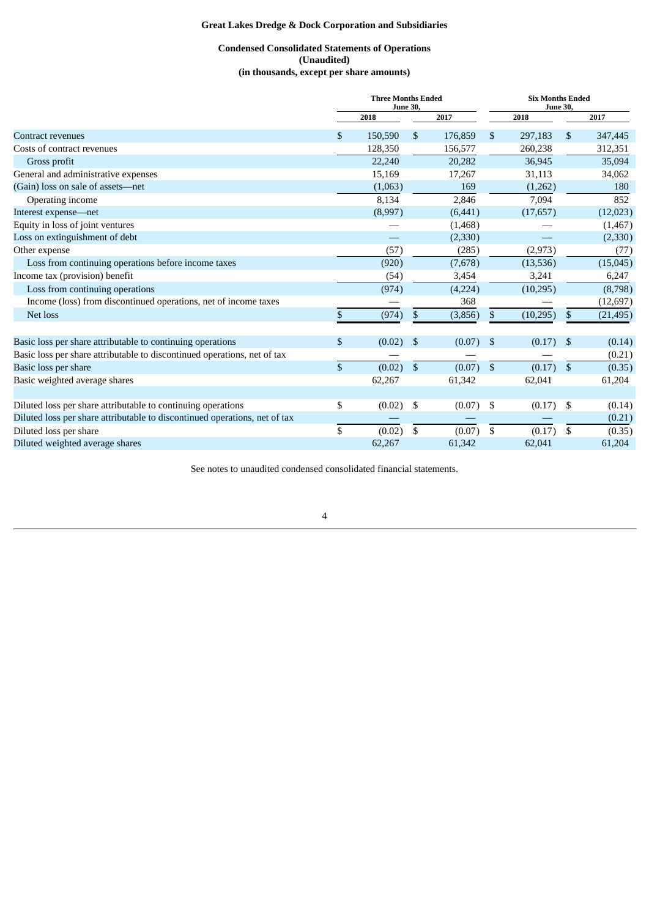## **Condensed Consolidated Statements of Operations (Unaudited) (in thousands, except per share amounts)**

<span id="page-3-0"></span>

|                                                                            | <b>Three Months Ended</b><br><b>June 30.</b> |         |              |          | <b>Six Months Ended</b><br><b>June 30,</b> |           |                |           |
|----------------------------------------------------------------------------|----------------------------------------------|---------|--------------|----------|--------------------------------------------|-----------|----------------|-----------|
|                                                                            |                                              | 2018    |              | 2017     |                                            | 2018      |                | 2017      |
| <b>Contract revenues</b>                                                   | \$                                           | 150,590 | \$           | 176,859  | \$.                                        | 297,183   | \$             | 347,445   |
| Costs of contract revenues                                                 |                                              | 128,350 |              | 156,577  |                                            | 260,238   |                | 312,351   |
| Gross profit                                                               |                                              | 22,240  |              | 20,282   |                                            | 36,945    |                | 35,094    |
| General and administrative expenses                                        |                                              | 15,169  |              | 17,267   |                                            | 31,113    |                | 34,062    |
| (Gain) loss on sale of assets-net                                          |                                              | (1,063) |              | 169      |                                            | (1,262)   |                | 180       |
| Operating income                                                           |                                              | 8,134   |              | 2,846    |                                            | 7,094     |                | 852       |
| Interest expense-net                                                       |                                              | (8,997) |              | (6, 441) |                                            | (17, 657) |                | (12, 023) |
| Equity in loss of joint ventures                                           |                                              |         |              | (1,468)  |                                            |           |                | (1, 467)  |
| Loss on extinguishment of debt                                             |                                              |         |              | (2,330)  |                                            |           |                | (2,330)   |
| Other expense                                                              |                                              | (57)    |              | (285)    |                                            | (2, 973)  |                | (77)      |
| Loss from continuing operations before income taxes                        |                                              | (920)   |              | (7,678)  |                                            | (13,536)  |                | (15, 045) |
| Income tax (provision) benefit                                             |                                              | (54)    |              | 3,454    |                                            | 3,241     |                | 6,247     |
| Loss from continuing operations                                            |                                              | (974)   |              | (4,224)  |                                            | (10, 295) |                | (8,798)   |
| Income (loss) from discontinued operations, net of income taxes            |                                              |         |              | 368      |                                            |           |                | (12, 697) |
| Net loss                                                                   | \$                                           | (974)   | \$           | (3,856)  | \$                                         | (10, 295) | \$             | (21, 495) |
| Basic loss per share attributable to continuing operations                 | \$                                           | (0.02)  | \$           | (0.07)   | \$                                         | (0.17)    | \$             | (0.14)    |
| Basic loss per share attributable to discontinued operations, net of tax   |                                              |         |              |          |                                            |           |                | (0.21)    |
| Basic loss per share                                                       | \$                                           | (0.02)  | $\mathbb{S}$ | (0.07)   | $\mathcal{S}$                              | (0.17)    | $\mathfrak{s}$ | (0.35)    |
| Basic weighted average shares                                              |                                              | 62,267  |              | 61,342   |                                            | 62,041    |                | 61,204    |
| Diluted loss per share attributable to continuing operations               | \$                                           | (0.02)  | \$           | (0.07)   | -\$                                        | (0.17)    | \$             | (0.14)    |
| Diluted loss per share attributable to discontinued operations, net of tax |                                              |         |              |          |                                            |           |                | (0.21)    |
| Diluted loss per share                                                     | \$                                           | (0.02)  | \$           | (0.07)   | \$                                         | (0.17)    | \$             | (0.35)    |
| Diluted weighted average shares                                            |                                              | 62,267  |              | 61,342   |                                            | 62,041    |                | 61,204    |

See notes to unaudited condensed consolidated financial statements.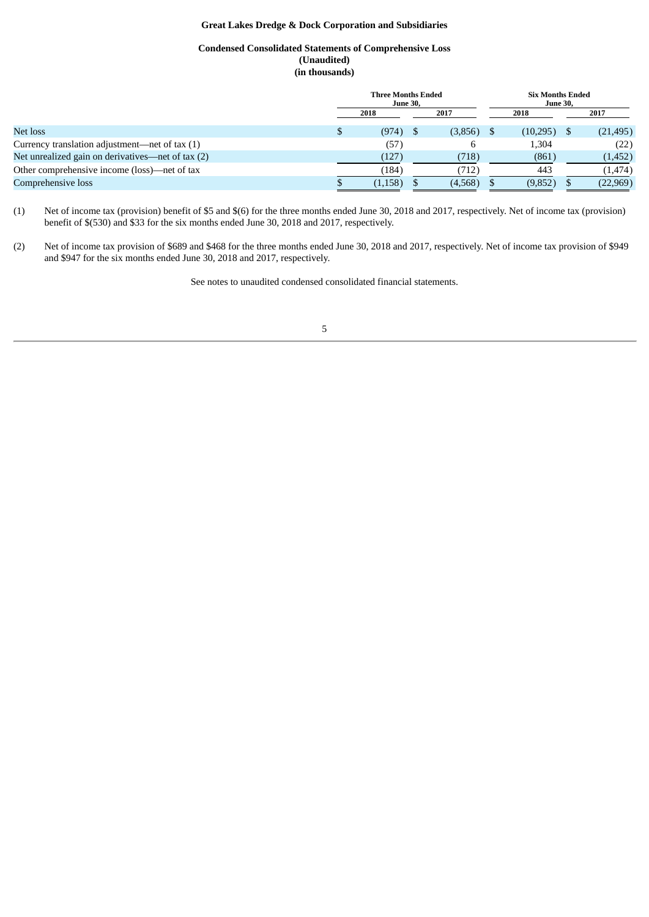## **Condensed Consolidated Statements of Comprehensive Loss (Unaudited) (in thousands)**

<span id="page-4-0"></span>

|                                                   |  | <b>Three Months Ended</b><br><b>June 30,</b> |  |              | <b>Six Months Ended</b><br><b>June 30,</b> |          |  |           |  |  |      |  |
|---------------------------------------------------|--|----------------------------------------------|--|--------------|--------------------------------------------|----------|--|-----------|--|--|------|--|
|                                                   |  | 2018                                         |  |              |                                            | 2017     |  |           |  |  | 2017 |  |
| Net loss                                          |  | (974)                                        |  | $(3,856)$ \$ |                                            | (10,295) |  | (21, 495) |  |  |      |  |
| Currency translation adjustment—net of tax (1)    |  | (57)                                         |  | b            |                                            | 1,304    |  | (22)      |  |  |      |  |
| Net unrealized gain on derivatives—net of tax (2) |  | (127)                                        |  | (718)        |                                            | (861)    |  | (1,452)   |  |  |      |  |
| Other comprehensive income (loss)—net of tax      |  | (184)                                        |  | (712)        |                                            | 443      |  | (1, 474)  |  |  |      |  |
| Comprehensive loss                                |  | (1, 158)                                     |  | (4,568)      |                                            | (9,852)  |  | (22, 969) |  |  |      |  |

(1) Net of income tax (provision) benefit of \$5 and \$(6) for the three months ended June 30, 2018 and 2017, respectively. Net of income tax (provision) benefit of \$(530) and \$33 for the six months ended June 30, 2018 and 2017, respectively.

(2) Net of income tax provision of \$689 and \$468 for the three months ended June 30, 2018 and 2017, respectively. Net of income tax provision of \$949 and \$947 for the six months ended June 30, 2018 and 2017, respectively.

See notes to unaudited condensed consolidated financial statements.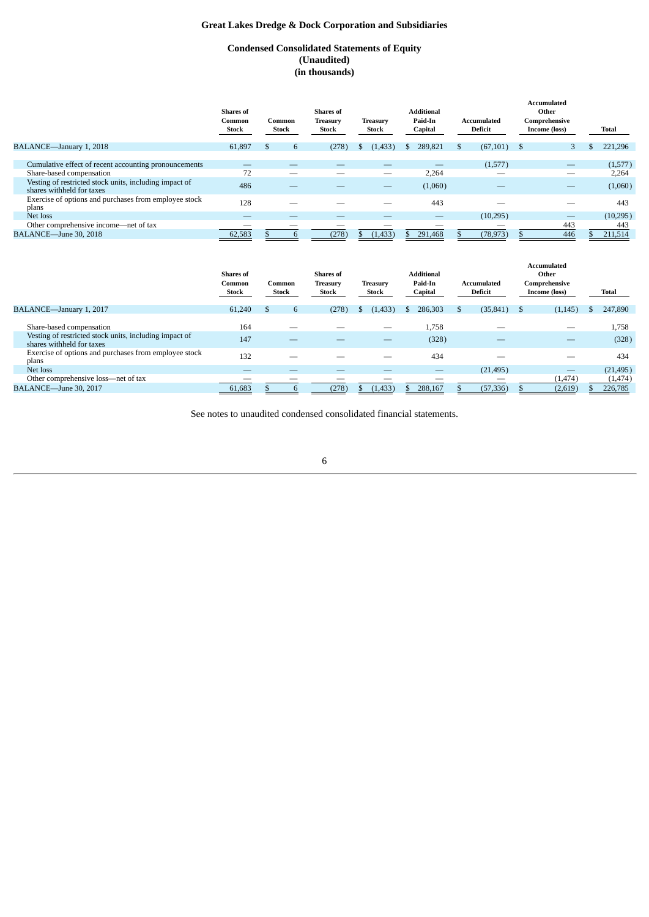## **Condensed Consolidated Statements of Equity (Unaudited) (in thousands)**

<span id="page-5-0"></span>

|                                                                                     | <b>Shares</b> of<br>Common<br>Stock | Common<br>Stock | Shares of<br>Treasurv<br>Stock | <b>Treasury</b><br>Stock | <b>Additional</b><br>Paid-In<br>Capital | Accumulated<br>Deficit | <b>Accumulated</b><br>Other<br>Comprehensive<br><b>Income</b> (loss) | Total            |
|-------------------------------------------------------------------------------------|-------------------------------------|-----------------|--------------------------------|--------------------------|-----------------------------------------|------------------------|----------------------------------------------------------------------|------------------|
| BALANCE-January 1, 2018                                                             | 61,897                              | 6               | (278)                          | (1, 433)                 | 289,821                                 | (67, 101)              | 3<br>S                                                               | 221,296          |
| Cumulative effect of recent accounting pronouncements<br>Share-based compensation   | 72                                  |                 |                                |                          | 2,264                                   | (1,577)                |                                                                      | (1,577)<br>2,264 |
| Vesting of restricted stock units, including impact of<br>shares withheld for taxes | 486                                 |                 |                                |                          | (1,060)                                 |                        |                                                                      | (1,060)          |
| Exercise of options and purchases from employee stock<br>plans                      | 128                                 |                 |                                |                          | 443                                     |                        |                                                                      | 443              |
| Net loss                                                                            |                                     |                 |                                |                          |                                         | (10, 295)              |                                                                      | (10, 295)        |
| Other comprehensive income—net of tax                                               | __                                  | __              | __                             | __                       | __                                      |                        | 443                                                                  | 443              |
| BALANCE-June 30, 2018                                                               | 62,583                              |                 | (278)                          | (1, 433)                 | 291,468                                 | (78, 973)              | 446                                                                  | 211,514          |

|                                                                                                                 | <b>Shares</b> of<br>Common<br>Stock | Common<br>Stock |    | <b>Shares of</b><br><b>Treasury</b><br>Stock |    | <b>Treasury</b><br>Stock | <b>Additional</b><br>Paid-In<br>Capital | Accumulated<br>Deficit | <b>Accumulated</b><br>Other<br>Comprehensive<br>Income (loss) | Total          |
|-----------------------------------------------------------------------------------------------------------------|-------------------------------------|-----------------|----|----------------------------------------------|----|--------------------------|-----------------------------------------|------------------------|---------------------------------------------------------------|----------------|
| BALANCE-January 1, 2017                                                                                         | 61,240                              |                 | 6  | (278)                                        | D. | (1, 433)                 | 286,303                                 | (35, 841)              | (1, 145)                                                      | 247,890        |
| Share-based compensation<br>Vesting of restricted stock units, including impact of<br>shares withheld for taxes | 164<br>147                          |                 |    |                                              |    | __                       | 1,758<br>(328)                          |                        | –                                                             | 1,758<br>(328) |
| Exercise of options and purchases from employee stock<br>plans                                                  | 132                                 |                 |    |                                              |    |                          | 434                                     |                        |                                                               | 434            |
| Net loss                                                                                                        |                                     |                 |    |                                              |    |                          | –                                       | (21, 495)              |                                                               | (21, 495)      |
| Other comprehensive loss-net of tax                                                                             |                                     |                 | __ |                                              |    | __                       | __                                      | –                      | (1, 474)                                                      | (1, 474)       |
| BALANCE-June 30, 2017                                                                                           | 61.683                              |                 |    | (278)                                        |    | (1, 433)                 | 288,167                                 | (57, 336)              | (2,619)                                                       | 226,785        |

See notes to unaudited condensed consolidated financial statements.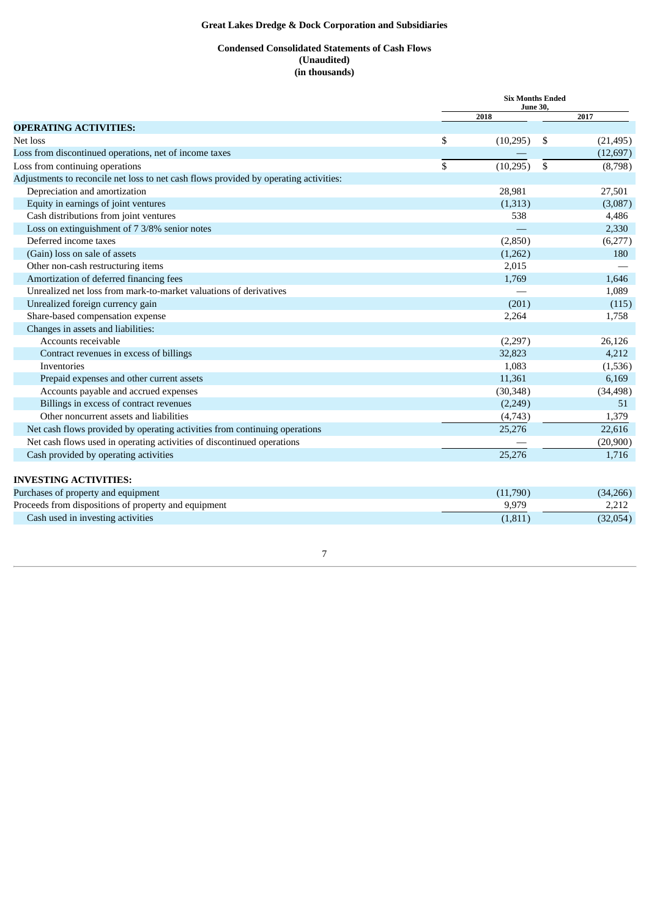## **Condensed Consolidated Statements of Cash Flows (Unaudited) (in thousands)**

<span id="page-6-0"></span>

|                                                                                       | <b>Six Months Ended</b><br><b>June 30,</b> |                 |
|---------------------------------------------------------------------------------------|--------------------------------------------|-----------------|
|                                                                                       | 2018                                       | 2017            |
| <b>OPERATING ACTIVITIES:</b>                                                          |                                            |                 |
| Net loss                                                                              | \$<br>(10, 295)                            | \$<br>(21, 495) |
| Loss from discontinued operations, net of income taxes                                |                                            | (12, 697)       |
| Loss from continuing operations                                                       | \$<br>(10, 295)                            | \$<br>(8,798)   |
| Adjustments to reconcile net loss to net cash flows provided by operating activities: |                                            |                 |
| Depreciation and amortization                                                         | 28,981                                     | 27,501          |
| Equity in earnings of joint ventures                                                  | (1, 313)                                   | (3,087)         |
| Cash distributions from joint ventures                                                | 538                                        | 4,486           |
| Loss on extinguishment of 7 3/8% senior notes                                         |                                            | 2,330           |
| Deferred income taxes                                                                 | (2,850)                                    | (6,277)         |
| (Gain) loss on sale of assets                                                         | (1,262)                                    | 180             |
| Other non-cash restructuring items                                                    | 2,015                                      |                 |
| Amortization of deferred financing fees                                               | 1,769                                      | 1,646           |
| Unrealized net loss from mark-to-market valuations of derivatives                     |                                            | 1,089           |
| Unrealized foreign currency gain                                                      | (201)                                      | (115)           |
| Share-based compensation expense                                                      | 2,264                                      | 1,758           |
| Changes in assets and liabilities:                                                    |                                            |                 |
| Accounts receivable                                                                   | (2,297)                                    | 26,126          |
| Contract revenues in excess of billings                                               | 32,823                                     | 4,212           |
| <b>Inventories</b>                                                                    | 1,083                                      | (1,536)         |
| Prepaid expenses and other current assets                                             | 11,361                                     | 6,169           |
| Accounts payable and accrued expenses                                                 | (30, 348)                                  | (34, 498)       |
| Billings in excess of contract revenues                                               | (2,249)                                    | 51              |
| Other noncurrent assets and liabilities                                               | (4,743)                                    | 1,379           |
| Net cash flows provided by operating activities from continuing operations            | 25,276                                     | 22,616          |
| Net cash flows used in operating activities of discontinued operations                |                                            | (20,900)        |
| Cash provided by operating activities                                                 | 25,276                                     | 1,716           |
| <b>INVESTING ACTIVITIES:</b>                                                          |                                            |                 |
| Purchases of property and equipment                                                   | (11,790)                                   | (34,266)        |
| Proceeds from dispositions of property and equipment                                  | 9,979                                      | 2,212           |
| Cash used in investing activities                                                     | (1,811)                                    | (32,054)        |
|                                                                                       |                                            |                 |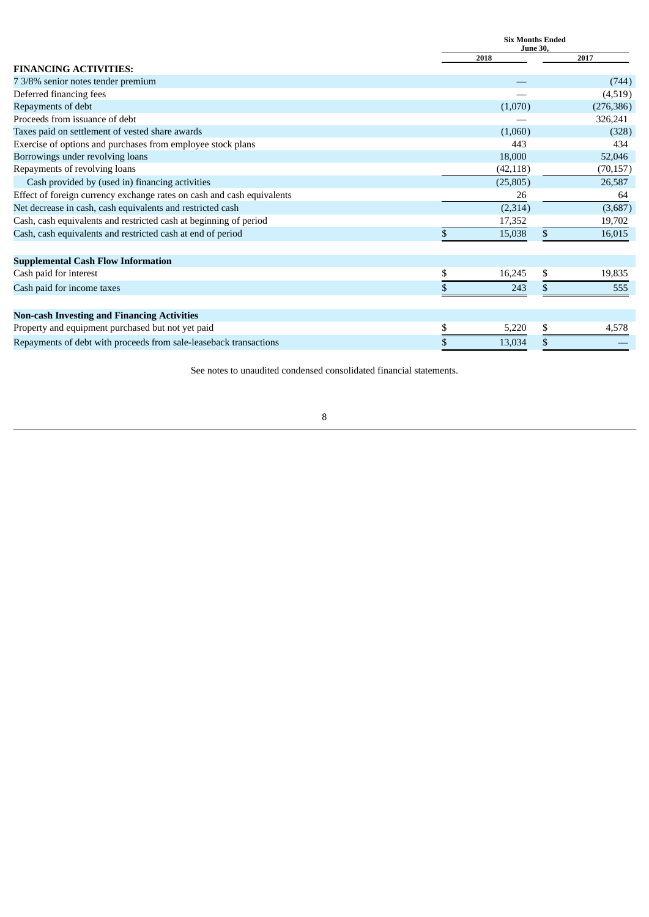|                                                                        | <b>Six Months Ended</b><br><b>June 30,</b> |    |            |  |
|------------------------------------------------------------------------|--------------------------------------------|----|------------|--|
|                                                                        | 2018                                       |    | 2017       |  |
| <b>FINANCING ACTIVITIES:</b>                                           |                                            |    |            |  |
| 7 3/8% senior notes tender premium                                     |                                            |    | (744)      |  |
| Deferred financing fees                                                |                                            |    | (4,519)    |  |
| Repayments of debt                                                     | (1,070)                                    |    | (276, 386) |  |
| Proceeds from issuance of debt                                         |                                            |    | 326,241    |  |
| Taxes paid on settlement of vested share awards                        | (1,060)                                    |    | (328)      |  |
| Exercise of options and purchases from employee stock plans            | 443                                        |    | 434        |  |
| Borrowings under revolving loans                                       | 18,000                                     |    | 52,046     |  |
| Repayments of revolving loans                                          | (42, 118)                                  |    | (70, 157)  |  |
| Cash provided by (used in) financing activities                        | (25, 805)                                  |    | 26,587     |  |
| Effect of foreign currency exchange rates on cash and cash equivalents | 26                                         |    | 64         |  |
| Net decrease in cash, cash equivalents and restricted cash             | (2,314)                                    |    | (3,687)    |  |
| Cash, cash equivalents and restricted cash at beginning of period      | 17,352                                     |    | 19,702     |  |
| Cash, cash equivalents and restricted cash at end of period            | \$<br>15,038                               | \$ | 16,015     |  |
| <b>Supplemental Cash Flow Information</b>                              |                                            |    |            |  |
| Cash paid for interest                                                 | \$<br>16,245                               | \$ | 19,835     |  |
| Cash paid for income taxes                                             | \$<br>243                                  |    | 555        |  |
| <b>Non-cash Investing and Financing Activities</b>                     |                                            |    |            |  |
| Property and equipment purchased but not yet paid                      | \$<br>5,220                                | \$ | 4,578      |  |
| Repayments of debt with proceeds from sale-leaseback transactions      | 13,034                                     | \$ |            |  |

See notes to unaudited condensed consolidated financial statements.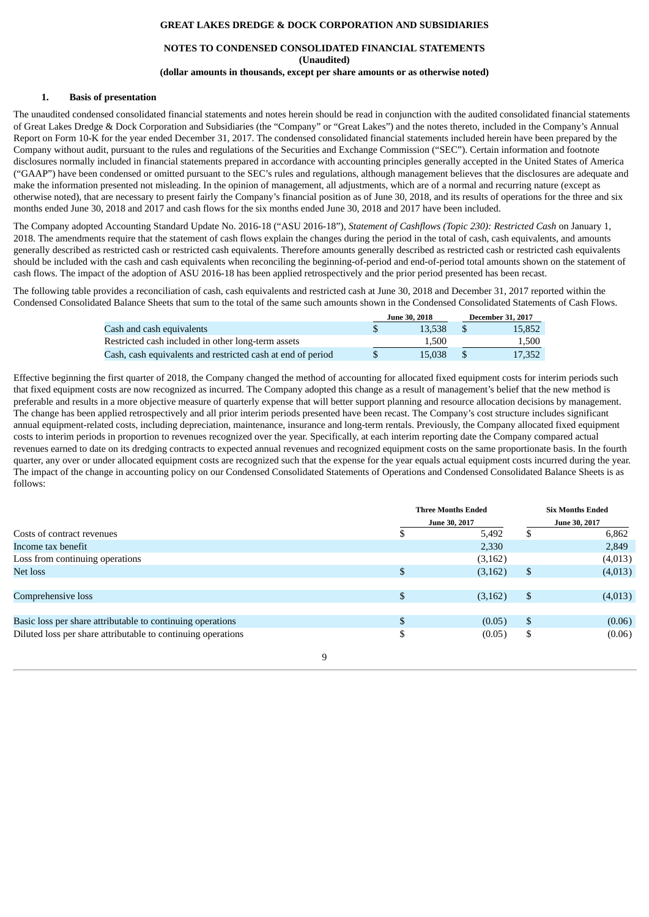#### **GREAT LAKES DREDGE & DOCK CORPORATION AND SUBSIDIARIES**

## **NOTES TO CONDENSED CONSOLIDATED FINANCIAL STATEMENTS (Unaudited)**

#### **(dollar amounts in thousands, except per share amounts or as otherwise noted)**

#### <span id="page-8-0"></span>**1. Basis of presentation**

The unaudited condensed consolidated financial statements and notes herein should be read in conjunction with the audited consolidated financial statements of Great Lakes Dredge & Dock Corporation and Subsidiaries (the "Company" or "Great Lakes") and the notes thereto, included in the Company's Annual Report on Form 10-K for the year ended December 31, 2017. The condensed consolidated financial statements included herein have been prepared by the Company without audit, pursuant to the rules and regulations of the Securities and Exchange Commission ("SEC"). Certain information and footnote disclosures normally included in financial statements prepared in accordance with accounting principles generally accepted in the United States of America ("GAAP") have been condensed or omitted pursuant to the SEC's rules and regulations, although management believes that the disclosures are adequate and make the information presented not misleading. In the opinion of management, all adjustments, which are of a normal and recurring nature (except as otherwise noted), that are necessary to present fairly the Company's financial position as of June 30, 2018, and its results of operations for the three and six months ended June 30, 2018 and 2017 and cash flows for the six months ended June 30, 2018 and 2017 have been included.

The Company adopted Accounting Standard Update No. 2016-18 ("ASU 2016-18"), *Statement of Cashflows (Topic 230): Restricted Cash* on January 1, 2018. The amendments require that the statement of cash flows explain the changes during the period in the total of cash, cash equivalents, and amounts generally described as restricted cash or restricted cash equivalents. Therefore amounts generally described as restricted cash or restricted cash equivalents should be included with the cash and cash equivalents when reconciling the beginning-of-period and end-of-period total amounts shown on the statement of cash flows. The impact of the adoption of ASU 2016-18 has been applied retrospectively and the prior period presented has been recast.

The following table provides a reconciliation of cash, cash equivalents and restricted cash at June 30, 2018 and December 31, 2017 reported within the Condensed Consolidated Balance Sheets that sum to the total of the same such amounts shown in the Condensed Consolidated Statements of Cash Flows.

|                                                             | <b>June 30, 2018</b> | <b>December 31, 2017</b> |
|-------------------------------------------------------------|----------------------|--------------------------|
| Cash and cash equivalents                                   | 13.538               | 15,852                   |
| Restricted cash included in other long-term assets          | 1.500                | 1.500                    |
| Cash, cash equivalents and restricted cash at end of period | 15,038               | 17,352                   |

Effective beginning the first quarter of 2018, the Company changed the method of accounting for allocated fixed equipment costs for interim periods such that fixed equipment costs are now recognized as incurred. The Company adopted this change as a result of management's belief that the new method is preferable and results in a more objective measure of quarterly expense that will better support planning and resource allocation decisions by management. The change has been applied retrospectively and all prior interim periods presented have been recast. The Company's cost structure includes significant annual equipment-related costs, including depreciation, maintenance, insurance and long-term rentals. Previously, the Company allocated fixed equipment costs to interim periods in proportion to revenues recognized over the year. Specifically, at each interim reporting date the Company compared actual revenues earned to date on its dredging contracts to expected annual revenues and recognized equipment costs on the same proportionate basis. In the fourth quarter, any over or under allocated equipment costs are recognized such that the expense for the year equals actual equipment costs incurred during the year. The impact of the change in accounting policy on our Condensed Consolidated Statements of Operations and Condensed Consolidated Balance Sheets is as follows:

|                                                              |    | <b>Three Months Ended</b> | <b>Six Months Ended</b> |
|--------------------------------------------------------------|----|---------------------------|-------------------------|
|                                                              |    | June 30, 2017             | June 30, 2017           |
| Costs of contract revenues                                   |    | 5,492                     | \$<br>6,862             |
| Income tax benefit                                           |    | 2,330                     | 2,849                   |
| Loss from continuing operations                              |    | (3, 162)                  | (4,013)                 |
| Net loss                                                     | D  | (3, 162)                  | \$<br>(4,013)           |
|                                                              |    |                           |                         |
| Comprehensive loss                                           | \$ | (3, 162)                  | \$<br>(4,013)           |
|                                                              |    |                           |                         |
| Basic loss per share attributable to continuing operations   | \$ | (0.05)                    | \$<br>(0.06)            |
| Diluted loss per share attributable to continuing operations | D  | (0.05)                    | \$<br>(0.06)            |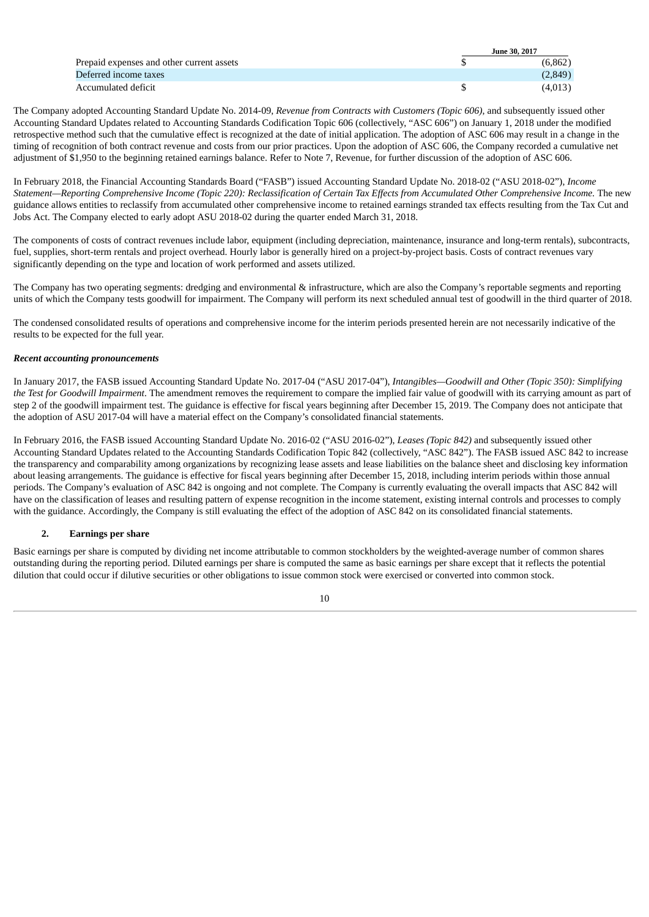|                                           | <b>June 30, 2017</b> |
|-------------------------------------------|----------------------|
| Prepaid expenses and other current assets | (6,862)              |
| Deferred income taxes                     | (2,849)              |
| Accumulated deficit                       | (4.013)              |

The Company adopted Accounting Standard Update No. 2014-09, *Revenue from Contracts with Customers (Topic 606)*, and subsequently issued other Accounting Standard Updates related to Accounting Standards Codification Topic 606 (collectively, "ASC 606") on January 1, 2018 under the modified retrospective method such that the cumulative effect is recognized at the date of initial application. The adoption of ASC 606 may result in a change in the timing of recognition of both contract revenue and costs from our prior practices. Upon the adoption of ASC 606, the Company recorded a cumulative net adjustment of \$1,950 to the beginning retained earnings balance. Refer to Note 7, Revenue, for further discussion of the adoption of ASC 606.

In February 2018, the Financial Accounting Standards Board ("FASB") issued Accounting Standard Update No. 2018-02 ("ASU 2018-02"), *Income* Statement-Reporting Comprehensive Income (Topic 220): Reclassification of Certain Tax Effects from Accumulated Other Comprehensive Income. The new guidance allows entities to reclassify from accumulated other comprehensive income to retained earnings stranded tax effects resulting from the Tax Cut and Jobs Act. The Company elected to early adopt ASU 2018-02 during the quarter ended March 31, 2018.

The components of costs of contract revenues include labor, equipment (including depreciation, maintenance, insurance and long-term rentals), subcontracts, fuel, supplies, short-term rentals and project overhead. Hourly labor is generally hired on a project-by-project basis. Costs of contract revenues vary significantly depending on the type and location of work performed and assets utilized.

The Company has two operating segments: dredging and environmental & infrastructure, which are also the Company's reportable segments and reporting units of which the Company tests goodwill for impairment. The Company will perform its next scheduled annual test of goodwill in the third quarter of 2018.

The condensed consolidated results of operations and comprehensive income for the interim periods presented herein are not necessarily indicative of the results to be expected for the full year.

#### *Recent accounting pronouncements*

In January 2017, the FASB issued Accounting Standard Update No. 2017-04 ("ASU 2017-04"), *Intangibles—Goodwill and Other (Topic 350): Simplifying the Test for Goodwill Impairment*. The amendment removes the requirement to compare the implied fair value of goodwill with its carrying amount as part of step 2 of the goodwill impairment test. The guidance is effective for fiscal years beginning after December 15, 2019. The Company does not anticipate that the adoption of ASU 2017-04 will have a material effect on the Company's consolidated financial statements.

In February 2016, the FASB issued Accounting Standard Update No. 2016-02 ("ASU 2016-02"), *Leases (Topic 842)* and subsequently issued other Accounting Standard Updates related to the Accounting Standards Codification Topic 842 (collectively, "ASC 842"). The FASB issued ASC 842 to increase the transparency and comparability among organizations by recognizing lease assets and lease liabilities on the balance sheet and disclosing key information about leasing arrangements. The guidance is effective for fiscal years beginning after December 15, 2018, including interim periods within those annual periods. The Company's evaluation of ASC 842 is ongoing and not complete. The Company is currently evaluating the overall impacts that ASC 842 will have on the classification of leases and resulting pattern of expense recognition in the income statement, existing internal controls and processes to comply with the guidance. Accordingly, the Company is still evaluating the effect of the adoption of ASC 842 on its consolidated financial statements.

#### **2. Earnings per share**

Basic earnings per share is computed by dividing net income attributable to common stockholders by the weighted-average number of common shares outstanding during the reporting period. Diluted earnings per share is computed the same as basic earnings per share except that it reflects the potential dilution that could occur if dilutive securities or other obligations to issue common stock were exercised or converted into common stock.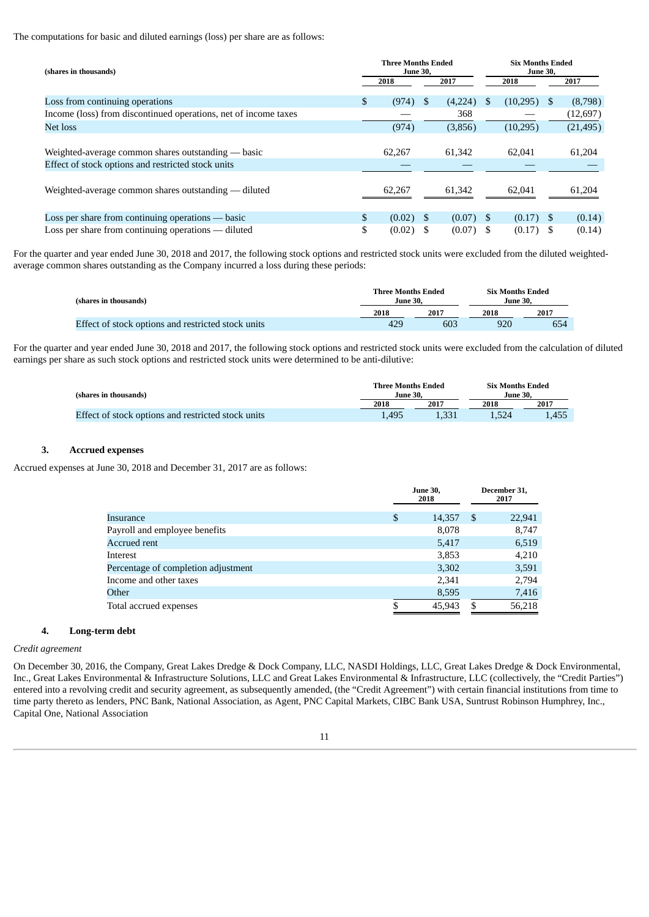The computations for basic and diluted earnings (loss) per share are as follows:

| (shares in thousands)                                           | Three Months Ended<br><b>June 30,</b> |   |         | <b>Six Months Ended</b><br><b>June 30,</b> |               |      |           |
|-----------------------------------------------------------------|---------------------------------------|---|---------|--------------------------------------------|---------------|------|-----------|
|                                                                 | 2018                                  |   | 2017    |                                            | 2018          |      | 2017      |
| Loss from continuing operations                                 | \$<br>(974)                           | S | (4,224) | S                                          | $(10,295)$ \$ |      | (8,798)   |
| Income (loss) from discontinued operations, net of income taxes |                                       |   | 368     |                                            |               |      | (12, 697) |
| Net loss                                                        | (974)                                 |   | (3,856) |                                            | (10, 295)     |      | (21, 495) |
| Weighted-average common shares outstanding — basic              | 62.267                                |   | 61,342  |                                            | 62.041        |      | 61,204    |
| Effect of stock options and restricted stock units              |                                       |   |         |                                            |               |      |           |
| Weighted-average common shares outstanding — diluted            | 62,267                                |   | 61.342  |                                            | 62,041        |      | 61,204    |
| Loss per share from continuing operations - basic               | \$<br>$(0.02)$ \$                     |   | (0.07)  | -S                                         | $(0.17)$ \$   |      | (0.14)    |
| Loss per share from continuing operations $-$ diluted           | \$<br>(0.02)                          | S | (0.07)  | -S                                         | (0.17)        | - \$ | (0.14)    |

For the quarter and year ended June 30, 2018 and 2017, the following stock options and restricted stock units were excluded from the diluted weightedaverage common shares outstanding as the Company incurred a loss during these periods:

| (shares in thousands)                              | Three Months Ended<br><b>June 30.</b> |      | <b>Six Months Ended</b><br><b>June 30.</b> |      |  |
|----------------------------------------------------|---------------------------------------|------|--------------------------------------------|------|--|
|                                                    | 2018                                  | 2017 | 2018                                       | 2017 |  |
| Effect of stock options and restricted stock units | 429                                   | 603  | 920                                        | 654  |  |

For the quarter and year ended June 30, 2018 and 2017, the following stock options and restricted stock units were excluded from the calculation of diluted earnings per share as such stock options and restricted stock units were determined to be anti-dilutive:

| (shares in thousands)                              | Three Months Ended<br>June 30. |       | <b>Six Months Ended</b><br>June 30. |                 |  |
|----------------------------------------------------|--------------------------------|-------|-------------------------------------|-----------------|--|
|                                                    | 2018                           | 2017  | 2018                                | 2017            |  |
| Effect of stock options and restricted stock units | 1.495                          | 1.331 | 1.524                               | $^{\circ}$ .455 |  |

## **3. Accrued expenses**

Accrued expenses at June 30, 2018 and December 31, 2017 are as follows:

|                                     | <b>June 30.</b><br>2018 |        |               | December 31,<br>2017 |
|-------------------------------------|-------------------------|--------|---------------|----------------------|
| Insurance                           | \$                      | 14,357 | <sup>\$</sup> | 22,941               |
| Payroll and employee benefits       |                         | 8,078  |               | 8,747                |
| <b>Accrued rent</b>                 |                         | 5,417  |               | 6,519                |
| Interest                            |                         | 3,853  |               | 4,210                |
| Percentage of completion adjustment |                         | 3,302  |               | 3,591                |
| Income and other taxes              |                         | 2,341  |               | 2,794                |
| Other                               |                         | 8,595  |               | 7,416                |
| Total accrued expenses              |                         | 45,943 |               | 56,218               |

#### **4. Long-term debt**

#### *Credit agreement*

On December 30, 2016, the Company, Great Lakes Dredge & Dock Company, LLC, NASDI Holdings, LLC, Great Lakes Dredge & Dock Environmental, Inc., Great Lakes Environmental & Infrastructure Solutions, LLC and Great Lakes Environmental & Infrastructure, LLC (collectively, the "Credit Parties") entered into a revolving credit and security agreement, as subsequently amended, (the "Credit Agreement") with certain financial institutions from time to time party thereto as lenders, PNC Bank, National Association, as Agent, PNC Capital Markets, CIBC Bank USA, Suntrust Robinson Humphrey, Inc., Capital One, National Association

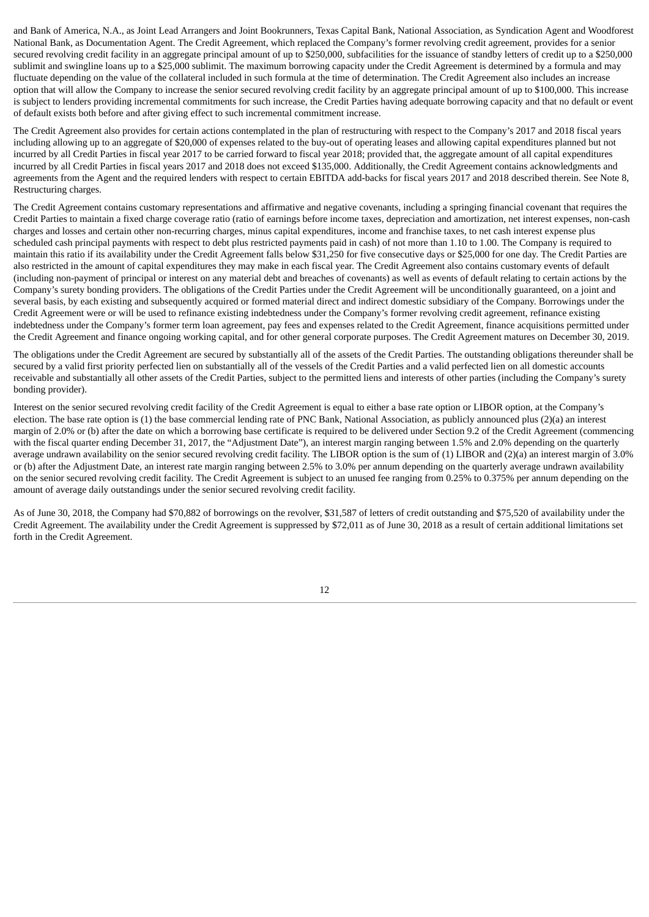and Bank of America, N.A., as Joint Lead Arrangers and Joint Bookrunners, Texas Capital Bank, National Association, as Syndication Agent and Woodforest National Bank, as Documentation Agent. The Credit Agreement, which replaced the Company's former revolving credit agreement, provides for a senior secured revolving credit facility in an aggregate principal amount of up to \$250,000, subfacilities for the issuance of standby letters of credit up to a \$250,000 sublimit and swingline loans up to a \$25,000 sublimit. The maximum borrowing capacity under the Credit Agreement is determined by a formula and may fluctuate depending on the value of the collateral included in such formula at the time of determination. The Credit Agreement also includes an increase option that will allow the Company to increase the senior secured revolving credit facility by an aggregate principal amount of up to \$100,000. This increase is subject to lenders providing incremental commitments for such increase, the Credit Parties having adequate borrowing capacity and that no default or event of default exists both before and after giving effect to such incremental commitment increase.

The Credit Agreement also provides for certain actions contemplated in the plan of restructuring with respect to the Company's 2017 and 2018 fiscal years including allowing up to an aggregate of \$20,000 of expenses related to the buy-out of operating leases and allowing capital expenditures planned but not incurred by all Credit Parties in fiscal year 2017 to be carried forward to fiscal year 2018; provided that, the aggregate amount of all capital expenditures incurred by all Credit Parties in fiscal years 2017 and 2018 does not exceed \$135,000. Additionally, the Credit Agreement contains acknowledgments and agreements from the Agent and the required lenders with respect to certain EBITDA add-backs for fiscal years 2017 and 2018 described therein. See Note 8, Restructuring charges.

The Credit Agreement contains customary representations and affirmative and negative covenants, including a springing financial covenant that requires the Credit Parties to maintain a fixed charge coverage ratio (ratio of earnings before income taxes, depreciation and amortization, net interest expenses, non-cash charges and losses and certain other non-recurring charges, minus capital expenditures, income and franchise taxes, to net cash interest expense plus scheduled cash principal payments with respect to debt plus restricted payments paid in cash) of not more than 1.10 to 1.00. The Company is required to maintain this ratio if its availability under the Credit Agreement falls below \$31,250 for five consecutive days or \$25,000 for one day. The Credit Parties are also restricted in the amount of capital expenditures they may make in each fiscal year. The Credit Agreement also contains customary events of default (including non-payment of principal or interest on any material debt and breaches of covenants) as well as events of default relating to certain actions by the Company's surety bonding providers. The obligations of the Credit Parties under the Credit Agreement will be unconditionally guaranteed, on a joint and several basis, by each existing and subsequently acquired or formed material direct and indirect domestic subsidiary of the Company. Borrowings under the Credit Agreement were or will be used to refinance existing indebtedness under the Company's former revolving credit agreement, refinance existing indebtedness under the Company's former term loan agreement, pay fees and expenses related to the Credit Agreement, finance acquisitions permitted under the Credit Agreement and finance ongoing working capital, and for other general corporate purposes. The Credit Agreement matures on December 30, 2019.

The obligations under the Credit Agreement are secured by substantially all of the assets of the Credit Parties. The outstanding obligations thereunder shall be secured by a valid first priority perfected lien on substantially all of the vessels of the Credit Parties and a valid perfected lien on all domestic accounts receivable and substantially all other assets of the Credit Parties, subject to the permitted liens and interests of other parties (including the Company's surety bonding provider).

Interest on the senior secured revolving credit facility of the Credit Agreement is equal to either a base rate option or LIBOR option, at the Company's election. The base rate option is (1) the base commercial lending rate of PNC Bank, National Association, as publicly announced plus (2)(a) an interest margin of 2.0% or (b) after the date on which a borrowing base certificate is required to be delivered under Section 9.2 of the Credit Agreement (commencing with the fiscal quarter ending December 31, 2017, the "Adjustment Date"), an interest margin ranging between 1.5% and 2.0% depending on the quarterly average undrawn availability on the senior secured revolving credit facility. The LIBOR option is the sum of (1) LIBOR and (2)(a) an interest margin of 3.0% or (b) after the Adjustment Date, an interest rate margin ranging between 2.5% to 3.0% per annum depending on the quarterly average undrawn availability on the senior secured revolving credit facility. The Credit Agreement is subject to an unused fee ranging from 0.25% to 0.375% per annum depending on the amount of average daily outstandings under the senior secured revolving credit facility.

As of June 30, 2018, the Company had \$70,882 of borrowings on the revolver, \$31,587 of letters of credit outstanding and \$75,520 of availability under the Credit Agreement. The availability under the Credit Agreement is suppressed by \$72,011 as of June 30, 2018 as a result of certain additional limitations set forth in the Credit Agreement.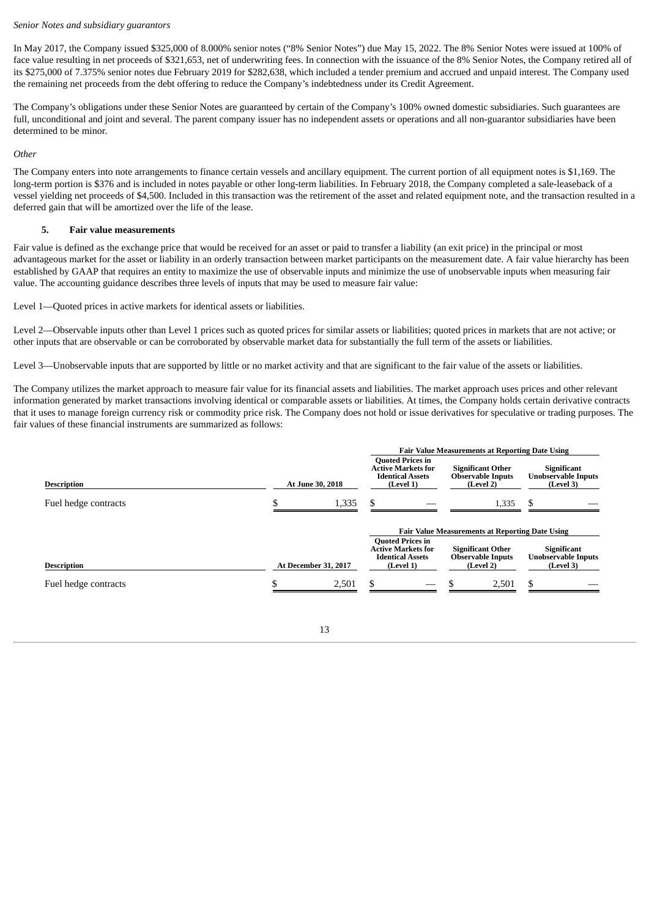#### *Senior Notes and subsidiary guarantors*

In May 2017, the Company issued \$325,000 of 8.000% senior notes ("8% Senior Notes") due May 15, 2022. The 8% Senior Notes were issued at 100% of face value resulting in net proceeds of \$321,653, net of underwriting fees. In connection with the issuance of the 8% Senior Notes, the Company retired all of its \$275,000 of 7.375% senior notes due February 2019 for \$282,638, which included a tender premium and accrued and unpaid interest. The Company used the remaining net proceeds from the debt offering to reduce the Company's indebtedness under its Credit Agreement.

The Company's obligations under these Senior Notes are guaranteed by certain of the Company's 100% owned domestic subsidiaries. Such guarantees are full, unconditional and joint and several. The parent company issuer has no independent assets or operations and all non-guarantor subsidiaries have been determined to be minor.

#### *Other*

The Company enters into note arrangements to finance certain vessels and ancillary equipment. The current portion of all equipment notes is \$1,169. The long-term portion is \$376 and is included in notes payable or other long-term liabilities. In February 2018, the Company completed a sale-leaseback of a vessel yielding net proceeds of \$4,500. Included in this transaction was the retirement of the asset and related equipment note, and the transaction resulted in a deferred gain that will be amortized over the life of the lease.

#### **5. Fair value measurements**

Fair value is defined as the exchange price that would be received for an asset or paid to transfer a liability (an exit price) in the principal or most advantageous market for the asset or liability in an orderly transaction between market participants on the measurement date. A fair value hierarchy has been established by GAAP that requires an entity to maximize the use of observable inputs and minimize the use of unobservable inputs when measuring fair value. The accounting guidance describes three levels of inputs that may be used to measure fair value:

Level 1—Quoted prices in active markets for identical assets or liabilities.

Level 2—Observable inputs other than Level 1 prices such as quoted prices for similar assets or liabilities; quoted prices in markets that are not active; or other inputs that are observable or can be corroborated by observable market data for substantially the full term of the assets or liabilities.

Level 3—Unobservable inputs that are supported by little or no market activity and that are significant to the fair value of the assets or liabilities.

The Company utilizes the market approach to measure fair value for its financial assets and liabilities. The market approach uses prices and other relevant information generated by market transactions involving identical or comparable assets or liabilities. At times, the Company holds certain derivative contracts that it uses to manage foreign currency risk or commodity price risk. The Company does not hold or issue derivatives for speculative or trading purposes. The fair values of these financial instruments are summarized as follows:

|                      |                             | <b>Fair Value Measurements at Reporting Date Using</b>                                       |                                                                   |                                                               |  |  |  |  |  |
|----------------------|-----------------------------|----------------------------------------------------------------------------------------------|-------------------------------------------------------------------|---------------------------------------------------------------|--|--|--|--|--|
| <b>Description</b>   | At June 30, 2018            | <b>Quoted Prices in</b><br><b>Active Markets for</b><br><b>Identical Assets</b><br>(Level 1) | <b>Significant Other</b><br><b>Observable Inputs</b><br>(Level 2) | <b>Significant</b><br><b>Unobservable Inputs</b><br>(Level 3) |  |  |  |  |  |
| Fuel hedge contracts | 1,335                       | \$                                                                                           | 1,335                                                             | \$                                                            |  |  |  |  |  |
|                      |                             |                                                                                              | <b>Fair Value Measurements at Reporting Date Using</b>            |                                                               |  |  |  |  |  |
| <b>Description</b>   | <b>At December 31, 2017</b> | <b>Quoted Prices in</b><br><b>Active Markets for</b><br><b>Identical Assets</b><br>(Level 1) | <b>Significant Other</b><br><b>Observable Inputs</b><br>(Level 2) | <b>Significant</b><br><b>Unobservable Inputs</b><br>(Level 3) |  |  |  |  |  |
| Fuel hedge contracts | 2,501                       | \$                                                                                           | 2,501                                                             | S.                                                            |  |  |  |  |  |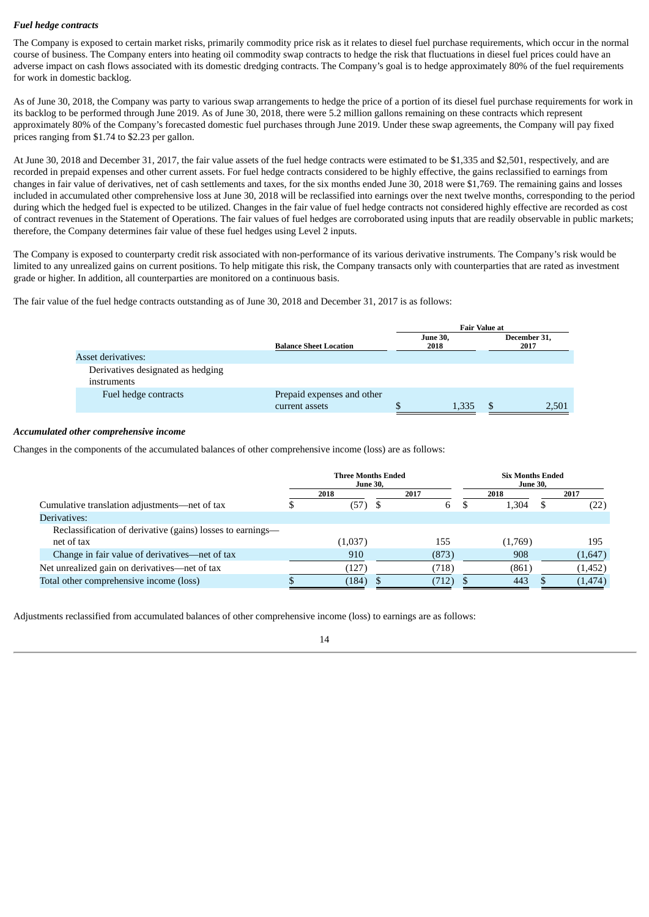## *Fuel hedge contracts*

The Company is exposed to certain market risks, primarily commodity price risk as it relates to diesel fuel purchase requirements, which occur in the normal course of business. The Company enters into heating oil commodity swap contracts to hedge the risk that fluctuations in diesel fuel prices could have an adverse impact on cash flows associated with its domestic dredging contracts. The Company's goal is to hedge approximately 80% of the fuel requirements for work in domestic backlog.

As of June 30, 2018, the Company was party to various swap arrangements to hedge the price of a portion of its diesel fuel purchase requirements for work in its backlog to be performed through June 2019. As of June 30, 2018, there were 5.2 million gallons remaining on these contracts which represent approximately 80% of the Company's forecasted domestic fuel purchases through June 2019. Under these swap agreements, the Company will pay fixed prices ranging from \$1.74 to \$2.23 per gallon.

At June 30, 2018 and December 31, 2017, the fair value assets of the fuel hedge contracts were estimated to be \$1,335 and \$2,501, respectively, and are recorded in prepaid expenses and other current assets. For fuel hedge contracts considered to be highly effective, the gains reclassified to earnings from changes in fair value of derivatives, net of cash settlements and taxes, for the six months ended June 30, 2018 were \$1,769. The remaining gains and losses included in accumulated other comprehensive loss at June 30, 2018 will be reclassified into earnings over the next twelve months, corresponding to the period during which the hedged fuel is expected to be utilized. Changes in the fair value of fuel hedge contracts not considered highly effective are recorded as cost of contract revenues in the Statement of Operations. The fair values of fuel hedges are corroborated using inputs that are readily observable in public markets; therefore, the Company determines fair value of these fuel hedges using Level 2 inputs.

The Company is exposed to counterparty credit risk associated with non-performance of its various derivative instruments. The Company's risk would be limited to any unrealized gains on current positions. To help mitigate this risk, the Company transacts only with counterparties that are rated as investment grade or higher. In addition, all counterparties are monitored on a continuous basis.

The fair value of the fuel hedge contracts outstanding as of June 30, 2018 and December 31, 2017 is as follows:

|                                                  | <b>Balance Sheet Location</b>                | <b>June 30,</b><br>2018 |       |  | December 31,<br>2017 |  |  |
|--------------------------------------------------|----------------------------------------------|-------------------------|-------|--|----------------------|--|--|
| Asset derivatives:                               |                                              |                         |       |  |                      |  |  |
| Derivatives designated as hedging<br>instruments |                                              |                         |       |  |                      |  |  |
| Fuel hedge contracts                             | Prepaid expenses and other<br>current assets | ۰D.                     | 1,335 |  | 2,501                |  |  |

#### *Accumulated other comprehensive income*

Changes in the components of the accumulated balances of other comprehensive income (loss) are as follows:

|                                                            | Three Months Ended<br><b>June 30,</b> |         |     |       | <b>Six Months Ended</b><br><b>June 30,</b> |         |  |          |
|------------------------------------------------------------|---------------------------------------|---------|-----|-------|--------------------------------------------|---------|--|----------|
|                                                            | 2018                                  |         |     | 2017  |                                            | 2018    |  | 2017     |
| Cumulative translation adjustments-net of tax              |                                       | (57)    | - 5 | 6     |                                            | 1.304   |  | (22)     |
| Derivatives:                                               |                                       |         |     |       |                                            |         |  |          |
| Reclassification of derivative (gains) losses to earnings— |                                       |         |     |       |                                            |         |  |          |
| net of tax                                                 |                                       | (1,037) |     | 155   |                                            | (1,769) |  | 195      |
| Change in fair value of derivatives—net of tax             |                                       | 910     |     | (873) |                                            | 908     |  | (1,647)  |
| Net unrealized gain on derivatives-net of tax              |                                       | 127     |     | (718) |                                            | (861)   |  | (1, 452) |
| Total other comprehensive income (loss)                    |                                       | (184)   |     | (712) |                                            | 443     |  | (1, 474) |

Adjustments reclassified from accumulated balances of other comprehensive income (loss) to earnings are as follows:

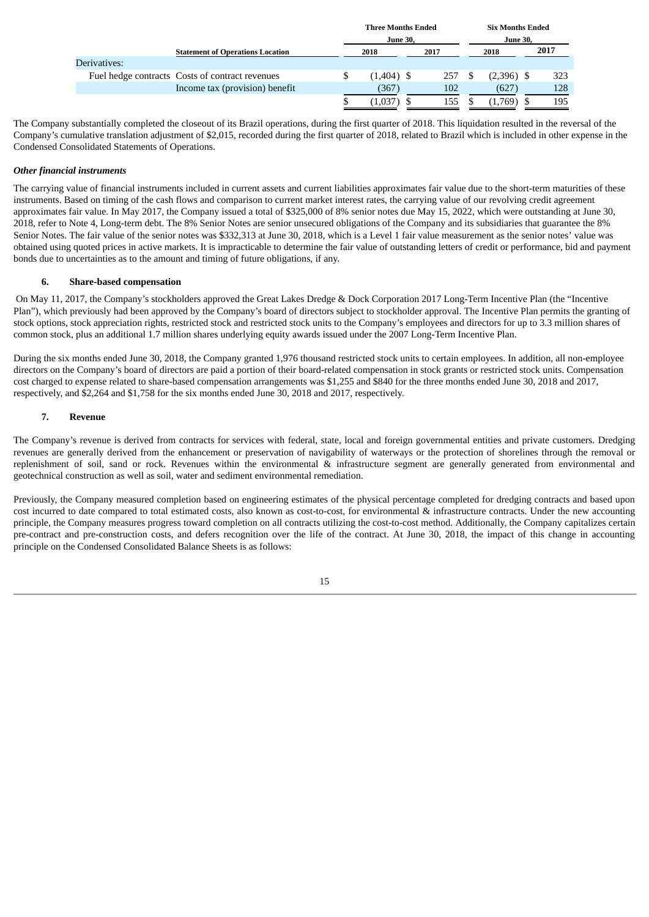|              |                                                 | <b>Three Months Ended</b><br><b>June 30,</b> |  |      | <b>Six Months Ended</b><br><b>June 30,</b> |         |  |      |
|--------------|-------------------------------------------------|----------------------------------------------|--|------|--------------------------------------------|---------|--|------|
|              | <b>Statement of Operations Location</b>         | 2018                                         |  | 2017 |                                            | 2018    |  | 2017 |
| Derivatives: |                                                 |                                              |  |      |                                            |         |  |      |
|              | Fuel hedge contracts Costs of contract revenues | $(1,404)$ \$                                 |  | 257  |                                            | (2,396) |  | 323  |
|              | Income tax (provision) benefit                  | (367)                                        |  | 102  |                                            | (627    |  | 128  |
|              |                                                 | 1,03                                         |  | 155  |                                            | (1,769) |  | 195  |

The Company substantially completed the closeout of its Brazil operations, during the first quarter of 2018. This liquidation resulted in the reversal of the Company's cumulative translation adjustment of \$2,015, recorded during the first quarter of 2018, related to Brazil which is included in other expense in the Condensed Consolidated Statements of Operations.

## *Other financial instruments*

The carrying value of financial instruments included in current assets and current liabilities approximates fair value due to the short-term maturities of these instruments. Based on timing of the cash flows and comparison to current market interest rates, the carrying value of our revolving credit agreement approximates fair value. In May 2017, the Company issued a total of \$325,000 of 8% senior notes due May 15, 2022, which were outstanding at June 30, 2018, refer to Note 4, Long-term debt. The 8% Senior Notes are senior unsecured obligations of the Company and its subsidiaries that guarantee the 8% Senior Notes. The fair value of the senior notes was \$332,313 at June 30, 2018, which is a Level 1 fair value measurement as the senior notes' value was obtained using quoted prices in active markets. It is impracticable to determine the fair value of outstanding letters of credit or performance, bid and payment bonds due to uncertainties as to the amount and timing of future obligations, if any.

#### **6. Share-based compensation**

On May 11, 2017, the Company's stockholders approved the Great Lakes Dredge & Dock Corporation 2017 Long-Term Incentive Plan (the "Incentive Plan"), which previously had been approved by the Company's board of directors subject to stockholder approval. The Incentive Plan permits the granting of stock options, stock appreciation rights, restricted stock and restricted stock units to the Company's employees and directors for up to 3.3 million shares of common stock, plus an additional 1.7 million shares underlying equity awards issued under the 2007 Long-Term Incentive Plan.

During the six months ended June 30, 2018, the Company granted 1,976 thousand restricted stock units to certain employees. In addition, all non-employee directors on the Company's board of directors are paid a portion of their board-related compensation in stock grants or restricted stock units. Compensation cost charged to expense related to share-based compensation arrangements was \$1,255 and \$840 for the three months ended June 30, 2018 and 2017, respectively, and \$2,264 and \$1,758 for the six months ended June 30, 2018 and 2017, respectively.

#### **7. Revenue**

The Company's revenue is derived from contracts for services with federal, state, local and foreign governmental entities and private customers. Dredging revenues are generally derived from the enhancement or preservation of navigability of waterways or the protection of shorelines through the removal or replenishment of soil, sand or rock. Revenues within the environmental & infrastructure segment are generally generated from environmental and geotechnical construction as well as soil, water and sediment environmental remediation.

Previously, the Company measured completion based on engineering estimates of the physical percentage completed for dredging contracts and based upon cost incurred to date compared to total estimated costs, also known as cost-to-cost, for environmental & infrastructure contracts. Under the new accounting principle, the Company measures progress toward completion on all contracts utilizing the cost-to-cost method. Additionally, the Company capitalizes certain pre-contract and pre-construction costs, and defers recognition over the life of the contract. At June 30, 2018, the impact of this change in accounting principle on the Condensed Consolidated Balance Sheets is as follows: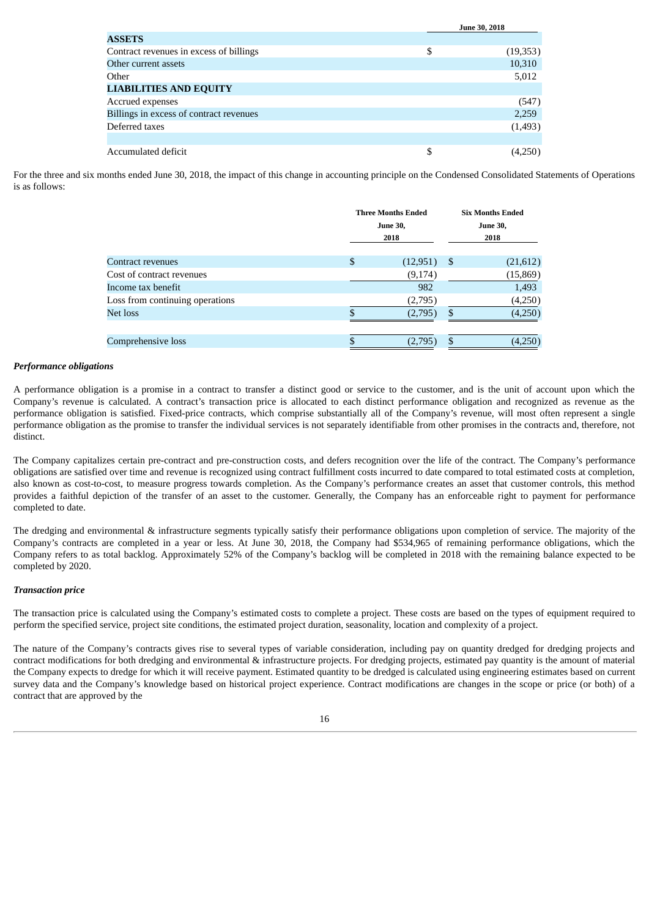|                                         | June 30, 2018  |
|-----------------------------------------|----------------|
| <b>ASSETS</b>                           |                |
| Contract revenues in excess of billings | \$<br>(19,353) |
| Other current assets                    | 10,310         |
| Other                                   | 5,012          |
| <b>LIABILITIES AND EQUITY</b>           |                |
| Accrued expenses                        | (547)          |
| Billings in excess of contract revenues | 2,259          |
| Deferred taxes                          | (1, 493)       |
|                                         |                |
| Accumulated deficit                     | \$<br>(4,250)  |

For the three and six months ended June 30, 2018, the impact of this change in accounting principle on the Condensed Consolidated Statements of Operations is as follows:

|                                 |     | <b>Three Months Ended</b><br><b>June 30,</b><br>2018 | <b>Six Months Ended</b><br><b>June 30,</b><br>2018 |           |  |  |
|---------------------------------|-----|------------------------------------------------------|----------------------------------------------------|-----------|--|--|
| Contract revenues               | \$  | (12, 951)                                            | \$                                                 | (21, 612) |  |  |
| Cost of contract revenues       |     | (9,174)                                              |                                                    | (15,869)  |  |  |
| Income tax benefit              |     | 982                                                  |                                                    | 1,493     |  |  |
| Loss from continuing operations |     | (2,795)                                              |                                                    | (4,250)   |  |  |
| Net loss                        |     | (2,795)                                              | S.                                                 | (4,250)   |  |  |
|                                 |     |                                                      |                                                    |           |  |  |
| Comprehensive loss              | \$. | (2,795)                                              | \$                                                 | (4,250)   |  |  |

#### *Performance obligations*

A performance obligation is a promise in a contract to transfer a distinct good or service to the customer, and is the unit of account upon which the Company's revenue is calculated. A contract's transaction price is allocated to each distinct performance obligation and recognized as revenue as the performance obligation is satisfied. Fixed-price contracts, which comprise substantially all of the Company's revenue, will most often represent a single performance obligation as the promise to transfer the individual services is not separately identifiable from other promises in the contracts and, therefore, not distinct.

The Company capitalizes certain pre-contract and pre-construction costs, and defers recognition over the life of the contract. The Company's performance obligations are satisfied over time and revenue is recognized using contract fulfillment costs incurred to date compared to total estimated costs at completion, also known as cost-to-cost, to measure progress towards completion. As the Company's performance creates an asset that customer controls, this method provides a faithful depiction of the transfer of an asset to the customer. Generally, the Company has an enforceable right to payment for performance completed to date.

The dredging and environmental & infrastructure segments typically satisfy their performance obligations upon completion of service. The majority of the Company's contracts are completed in a year or less. At June 30, 2018, the Company had \$534,965 of remaining performance obligations, which the Company refers to as total backlog. Approximately 52% of the Company's backlog will be completed in 2018 with the remaining balance expected to be completed by 2020.

#### *Transaction price*

The transaction price is calculated using the Company's estimated costs to complete a project. These costs are based on the types of equipment required to perform the specified service, project site conditions, the estimated project duration, seasonality, location and complexity of a project.

The nature of the Company's contracts gives rise to several types of variable consideration, including pay on quantity dredged for dredging projects and contract modifications for both dredging and environmental & infrastructure projects. For dredging projects, estimated pay quantity is the amount of material the Company expects to dredge for which it will receive payment. Estimated quantity to be dredged is calculated using engineering estimates based on current survey data and the Company's knowledge based on historical project experience. Contract modifications are changes in the scope or price (or both) of a contract that are approved by the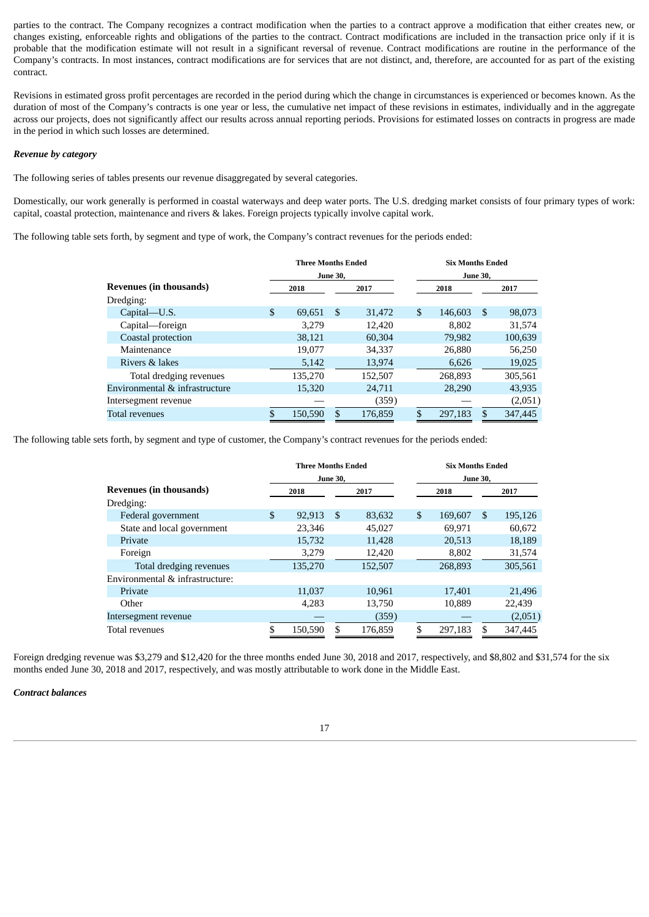parties to the contract. The Company recognizes a contract modification when the parties to a contract approve a modification that either creates new, or changes existing, enforceable rights and obligations of the parties to the contract. Contract modifications are included in the transaction price only if it is probable that the modification estimate will not result in a significant reversal of revenue. Contract modifications are routine in the performance of the Company's contracts. In most instances, contract modifications are for services that are not distinct, and, therefore, are accounted for as part of the existing contract.

Revisions in estimated gross profit percentages are recorded in the period during which the change in circumstances is experienced or becomes known. As the duration of most of the Company's contracts is one year or less, the cumulative net impact of these revisions in estimates, individually and in the aggregate across our projects, does not significantly affect our results across annual reporting periods. Provisions for estimated losses on contracts in progress are made in the period in which such losses are determined.

#### *Revenue by category*

The following series of tables presents our revenue disaggregated by several categories.

Domestically, our work generally is performed in coastal waterways and deep water ports. The U.S. dredging market consists of four primary types of work: capital, coastal protection, maintenance and rivers & lakes. Foreign projects typically involve capital work.

The following table sets forth, by segment and type of work, the Company's contract revenues for the periods ended:

|                                |               | <b>Three Months Ended</b> |    |         |      | <b>Six Months Ended</b> |                 |         |
|--------------------------------|---------------|---------------------------|----|---------|------|-------------------------|-----------------|---------|
|                                |               | <b>June 30.</b>           |    |         |      |                         | <b>June 30.</b> |         |
| Revenues (in thousands)        |               | 2018                      |    | 2017    | 2018 |                         |                 | 2017    |
| Dredging:                      |               |                           |    |         |      |                         |                 |         |
| Capital-U.S.                   | $\mathcal{S}$ | 69,651                    | \$ | 31,472  | \$   | 146,603                 | \$              | 98,073  |
| Capital—foreign                |               | 3.279                     |    | 12,420  |      | 8.802                   |                 | 31,574  |
| Coastal protection             |               | 38,121                    |    | 60,304  |      | 79,982                  |                 | 100,639 |
| Maintenance                    |               | 19,077                    |    | 34,337  |      | 26,880                  |                 | 56,250  |
| Rivers & lakes                 |               | 5,142                     |    | 13,974  |      | 6,626                   |                 | 19,025  |
| Total dredging revenues        |               | 135,270                   |    | 152,507 |      | 268,893                 |                 | 305,561 |
| Environmental & infrastructure |               | 15,320                    |    | 24,711  |      | 28.290                  |                 | 43,935  |
| Intersegment revenue           |               |                           |    | (359)   |      |                         |                 | (2,051) |
| <b>Total revenues</b>          | \$            | 150,590                   | \$ | 176.859 | \$   | 297.183                 | \$              | 347,445 |

The following table sets forth, by segment and type of customer, the Company's contract revenues for the periods ended:

|                                 | <b>Three Months Ended</b> |    |         |    | <b>Six Months Ended</b> |                 |         |  |  |
|---------------------------------|---------------------------|----|---------|----|-------------------------|-----------------|---------|--|--|
|                                 | <b>June 30.</b>           |    |         |    |                         | <b>June 30.</b> |         |  |  |
| <b>Revenues (in thousands)</b>  | 2018                      |    | 2017    |    | 2018                    |                 | 2017    |  |  |
| Dredging:                       |                           |    |         |    |                         |                 |         |  |  |
| Federal government              | \$<br>92,913              | -S | 83,632  | \$ | 169,607                 | \$.             | 195,126 |  |  |
| State and local government      | 23,346                    |    | 45.027  |    | 69.971                  |                 | 60,672  |  |  |
| Private                         | 15,732                    |    | 11,428  |    | 20,513                  |                 | 18,189  |  |  |
| Foreign                         | 3,279                     |    | 12,420  |    | 8,802                   |                 | 31,574  |  |  |
| Total dredging revenues         | 135,270                   |    | 152,507 |    | 268,893                 |                 | 305.561 |  |  |
| Environmental & infrastructure: |                           |    |         |    |                         |                 |         |  |  |
| Private                         | 11,037                    |    | 10,961  |    | 17,401                  |                 | 21,496  |  |  |
| Other                           | 4,283                     |    | 13,750  |    | 10,889                  |                 | 22,439  |  |  |
| Intersegment revenue            |                           |    | (359)   |    |                         |                 | (2,051) |  |  |
| Total revenues                  | 150,590                   | \$ | 176,859 | \$ | 297,183                 | \$              | 347,445 |  |  |

Foreign dredging revenue was \$3,279 and \$12,420 for the three months ended June 30, 2018 and 2017, respectively, and \$8,802 and \$31,574 for the six months ended June 30, 2018 and 2017, respectively, and was mostly attributable to work done in the Middle East.

#### *Contract balances*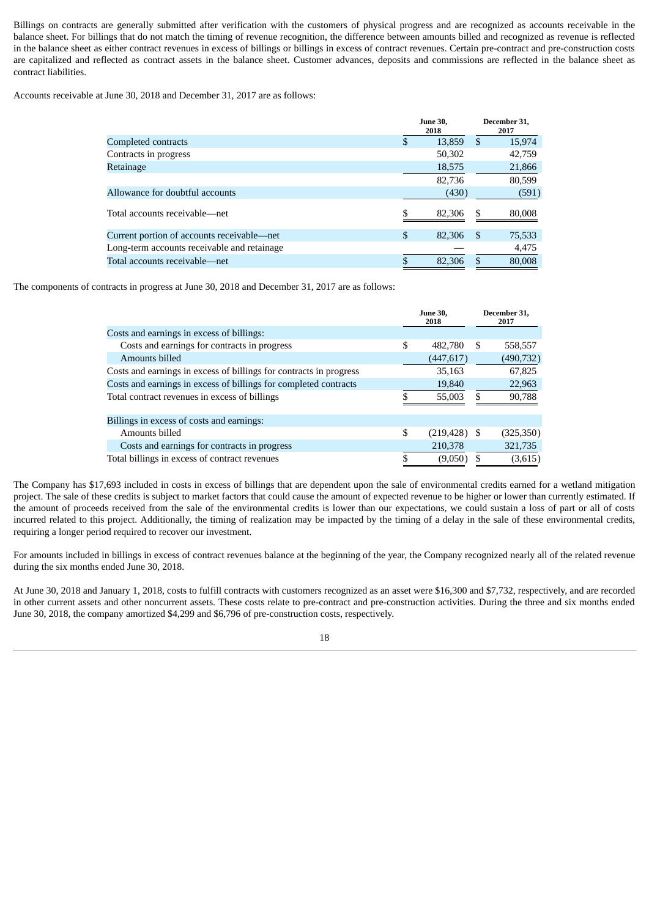Billings on contracts are generally submitted after verification with the customers of physical progress and are recognized as accounts receivable in the balance sheet. For billings that do not match the timing of revenue recognition, the difference between amounts billed and recognized as revenue is reflected in the balance sheet as either contract revenues in excess of billings or billings in excess of contract revenues. Certain pre-contract and pre-construction costs are capitalized and reflected as contract assets in the balance sheet. Customer advances, deposits and commissions are reflected in the balance sheet as contract liabilities.

Accounts receivable at June 30, 2018 and December 31, 2017 are as follows:

|                                             | <b>June 30.</b><br>2018 |    | December 31.<br>2017 |
|---------------------------------------------|-------------------------|----|----------------------|
| Completed contracts                         | \$<br>13,859            | \$ | 15,974               |
| Contracts in progress                       | 50,302                  |    | 42,759               |
| Retainage                                   | 18,575                  |    | 21,866               |
|                                             | 82,736                  |    | 80,599               |
| Allowance for doubtful accounts             | (430)                   |    | (591)                |
| Total accounts receivable—net               | 82,306                  | £. | 80,008               |
| Current portion of accounts receivable—net  | \$<br>82,306            | \$ | 75,533               |
| Long-term accounts receivable and retainage |                         |    | 4,475                |
| Total accounts receivable—net               | \$<br>82,306            | \$ | 80,008               |

The components of contracts in progress at June 30, 2018 and December 31, 2017 are as follows:

|                                                                    | <b>June 30.</b><br>2018 |    | December 31,<br>2017 |
|--------------------------------------------------------------------|-------------------------|----|----------------------|
| Costs and earnings in excess of billings:                          |                         |    |                      |
| Costs and earnings for contracts in progress                       | \$<br>482,780           | S  | 558,557              |
| Amounts billed                                                     | (447, 617)              |    | (490,732)            |
| Costs and earnings in excess of billings for contracts in progress | 35,163                  |    | 67,825               |
| Costs and earnings in excess of billings for completed contracts   | 19,840                  |    | 22,963               |
| Total contract revenues in excess of billings                      | 55,003                  | £. | 90,788               |
| Billings in excess of costs and earnings:                          |                         |    |                      |
| Amounts billed                                                     | \$<br>$(219, 428)$ \$   |    | (325, 350)           |
| Costs and earnings for contracts in progress                       | 210,378                 |    | 321,735              |
| Total billings in excess of contract revenues                      | (9,050)                 |    | (3,615)              |

The Company has \$17,693 included in costs in excess of billings that are dependent upon the sale of environmental credits earned for a wetland mitigation project. The sale of these credits is subject to market factors that could cause the amount of expected revenue to be higher or lower than currently estimated. If the amount of proceeds received from the sale of the environmental credits is lower than our expectations, we could sustain a loss of part or all of costs incurred related to this project. Additionally, the timing of realization may be impacted by the timing of a delay in the sale of these environmental credits, requiring a longer period required to recover our investment.

For amounts included in billings in excess of contract revenues balance at the beginning of the year, the Company recognized nearly all of the related revenue during the six months ended June 30, 2018.

At June 30, 2018 and January 1, 2018, costs to fulfill contracts with customers recognized as an asset were \$16,300 and \$7,732, respectively, and are recorded in other current assets and other noncurrent assets. These costs relate to pre-contract and pre-construction activities. During the three and six months ended June 30, 2018, the company amortized \$4,299 and \$6,796 of pre-construction costs, respectively.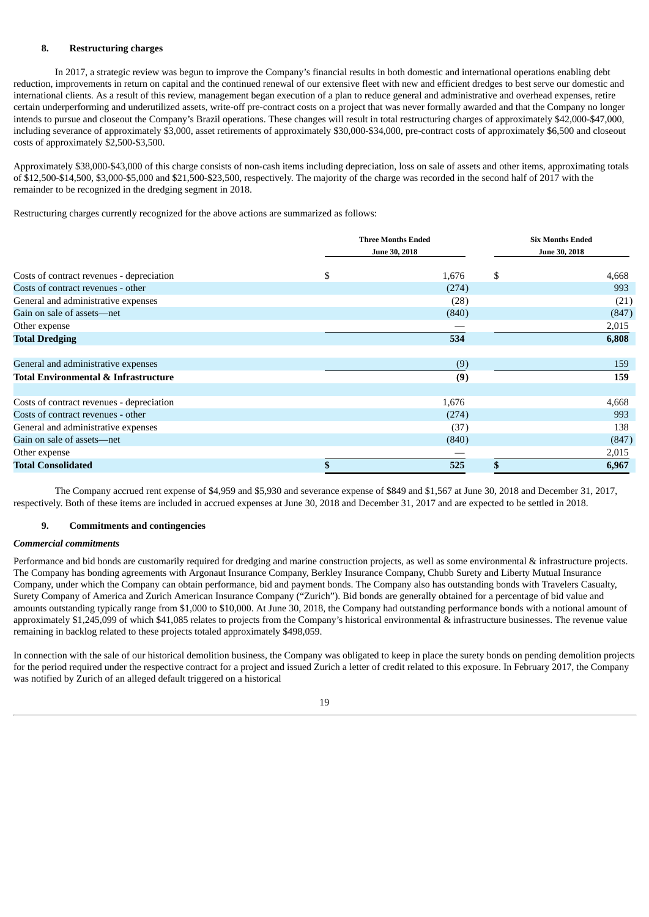#### **8. Restructuring charges**

In 2017, a strategic review was begun to improve the Company's financial results in both domestic and international operations enabling debt reduction, improvements in return on capital and the continued renewal of our extensive fleet with new and efficient dredges to best serve our domestic and international clients. As a result of this review, management began execution of a plan to reduce general and administrative and overhead expenses, retire certain underperforming and underutilized assets, write-off pre-contract costs on a project that was never formally awarded and that the Company no longer intends to pursue and closeout the Company's Brazil operations. These changes will result in total restructuring charges of approximately \$42,000-\$47,000, including severance of approximately \$3,000, asset retirements of approximately \$30,000-\$34,000, pre-contract costs of approximately \$6,500 and closeout costs of approximately \$2,500-\$3,500.

Approximately \$38,000-\$43,000 of this charge consists of non-cash items including depreciation, loss on sale of assets and other items, approximating totals of \$12,500-\$14,500, \$3,000-\$5,000 and \$21,500-\$23,500, respectively. The majority of the charge was recorded in the second half of 2017 with the remainder to be recognized in the dredging segment in 2018.

Restructuring charges currently recognized for the above actions are summarized as follows:

|                                                 | <b>Three Months Ended</b> |    |       |  |  |  |
|-------------------------------------------------|---------------------------|----|-------|--|--|--|
|                                                 | June 30, 2018             |    |       |  |  |  |
| Costs of contract revenues - depreciation       | \$<br>1,676               | \$ | 4,668 |  |  |  |
| Costs of contract revenues - other              | (274)                     |    | 993   |  |  |  |
| General and administrative expenses             | (28)                      |    | (21)  |  |  |  |
| Gain on sale of assets-net                      | (840)                     |    | (847) |  |  |  |
| Other expense                                   |                           |    | 2,015 |  |  |  |
| <b>Total Dredging</b>                           | 534                       |    | 6,808 |  |  |  |
| General and administrative expenses             | (9)                       |    | 159   |  |  |  |
| <b>Total Environmental &amp; Infrastructure</b> | (9)                       |    | 159   |  |  |  |
| Costs of contract revenues - depreciation       | 1,676                     |    | 4,668 |  |  |  |
| Costs of contract revenues - other              | (274)                     |    | 993   |  |  |  |
| General and administrative expenses             | (37)                      |    | 138   |  |  |  |
| Gain on sale of assets-net                      | (840)                     |    | (847) |  |  |  |
| Other expense                                   |                           |    | 2,015 |  |  |  |
| <b>Total Consolidated</b>                       | 525                       |    | 6,967 |  |  |  |

The Company accrued rent expense of \$4,959 and \$5,930 and severance expense of \$849 and \$1,567 at June 30, 2018 and December 31, 2017, respectively. Both of these items are included in accrued expenses at June 30, 2018 and December 31, 2017 and are expected to be settled in 2018.

#### **9. Commitments and contingencies**

#### *Commercial commitments*

Performance and bid bonds are customarily required for dredging and marine construction projects, as well as some environmental & infrastructure projects. The Company has bonding agreements with Argonaut Insurance Company, Berkley Insurance Company, Chubb Surety and Liberty Mutual Insurance Company, under which the Company can obtain performance, bid and payment bonds. The Company also has outstanding bonds with Travelers Casualty, Surety Company of America and Zurich American Insurance Company ("Zurich"). Bid bonds are generally obtained for a percentage of bid value and amounts outstanding typically range from \$1,000 to \$10,000. At June 30, 2018, the Company had outstanding performance bonds with a notional amount of approximately \$1,245,099 of which \$41,085 relates to projects from the Company's historical environmental & infrastructure businesses. The revenue value remaining in backlog related to these projects totaled approximately \$498,059.

In connection with the sale of our historical demolition business, the Company was obligated to keep in place the surety bonds on pending demolition projects for the period required under the respective contract for a project and issued Zurich a letter of credit related to this exposure. In February 2017, the Company was notified by Zurich of an alleged default triggered on a historical

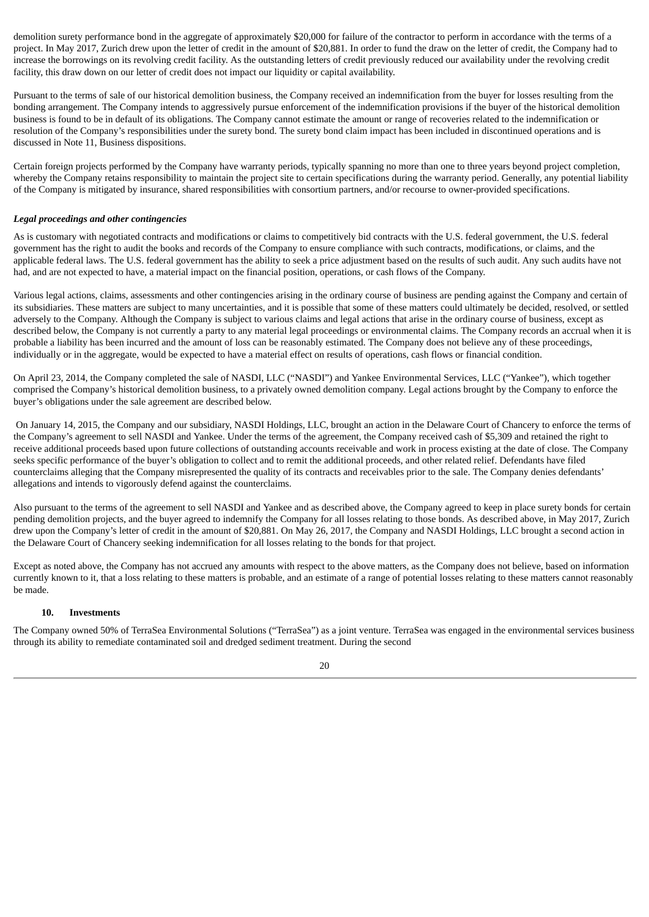demolition surety performance bond in the aggregate of approximately \$20,000 for failure of the contractor to perform in accordance with the terms of a project. In May 2017, Zurich drew upon the letter of credit in the amount of \$20,881. In order to fund the draw on the letter of credit, the Company had to increase the borrowings on its revolving credit facility. As the outstanding letters of credit previously reduced our availability under the revolving credit facility, this draw down on our letter of credit does not impact our liquidity or capital availability.

Pursuant to the terms of sale of our historical demolition business, the Company received an indemnification from the buyer for losses resulting from the bonding arrangement. The Company intends to aggressively pursue enforcement of the indemnification provisions if the buyer of the historical demolition business is found to be in default of its obligations. The Company cannot estimate the amount or range of recoveries related to the indemnification or resolution of the Company's responsibilities under the surety bond. The surety bond claim impact has been included in discontinued operations and is discussed in Note 11, Business dispositions.

Certain foreign projects performed by the Company have warranty periods, typically spanning no more than one to three years beyond project completion, whereby the Company retains responsibility to maintain the project site to certain specifications during the warranty period. Generally, any potential liability of the Company is mitigated by insurance, shared responsibilities with consortium partners, and/or recourse to owner-provided specifications.

#### *Legal proceedings and other contingencies*

As is customary with negotiated contracts and modifications or claims to competitively bid contracts with the U.S. federal government, the U.S. federal government has the right to audit the books and records of the Company to ensure compliance with such contracts, modifications, or claims, and the applicable federal laws. The U.S. federal government has the ability to seek a price adjustment based on the results of such audit. Any such audits have not had, and are not expected to have, a material impact on the financial position, operations, or cash flows of the Company.

Various legal actions, claims, assessments and other contingencies arising in the ordinary course of business are pending against the Company and certain of its subsidiaries. These matters are subject to many uncertainties, and it is possible that some of these matters could ultimately be decided, resolved, or settled adversely to the Company. Although the Company is subject to various claims and legal actions that arise in the ordinary course of business, except as described below, the Company is not currently a party to any material legal proceedings or environmental claims. The Company records an accrual when it is probable a liability has been incurred and the amount of loss can be reasonably estimated. The Company does not believe any of these proceedings, individually or in the aggregate, would be expected to have a material effect on results of operations, cash flows or financial condition.

On April 23, 2014, the Company completed the sale of NASDI, LLC ("NASDI") and Yankee Environmental Services, LLC ("Yankee"), which together comprised the Company's historical demolition business, to a privately owned demolition company. Legal actions brought by the Company to enforce the buyer's obligations under the sale agreement are described below.

On January 14, 2015, the Company and our subsidiary, NASDI Holdings, LLC, brought an action in the Delaware Court of Chancery to enforce the terms of the Company's agreement to sell NASDI and Yankee. Under the terms of the agreement, the Company received cash of \$5,309 and retained the right to receive additional proceeds based upon future collections of outstanding accounts receivable and work in process existing at the date of close. The Company seeks specific performance of the buyer's obligation to collect and to remit the additional proceeds, and other related relief. Defendants have filed counterclaims alleging that the Company misrepresented the quality of its contracts and receivables prior to the sale. The Company denies defendants' allegations and intends to vigorously defend against the counterclaims.

Also pursuant to the terms of the agreement to sell NASDI and Yankee and as described above, the Company agreed to keep in place surety bonds for certain pending demolition projects, and the buyer agreed to indemnify the Company for all losses relating to those bonds. As described above, in May 2017, Zurich drew upon the Company's letter of credit in the amount of \$20,881. On May 26, 2017, the Company and NASDI Holdings, LLC brought a second action in the Delaware Court of Chancery seeking indemnification for all losses relating to the bonds for that project.

Except as noted above, the Company has not accrued any amounts with respect to the above matters, as the Company does not believe, based on information currently known to it, that a loss relating to these matters is probable, and an estimate of a range of potential losses relating to these matters cannot reasonably be made.

#### **10. Investments**

The Company owned 50% of TerraSea Environmental Solutions ("TerraSea") as a joint venture. TerraSea was engaged in the environmental services business through its ability to remediate contaminated soil and dredged sediment treatment. During the second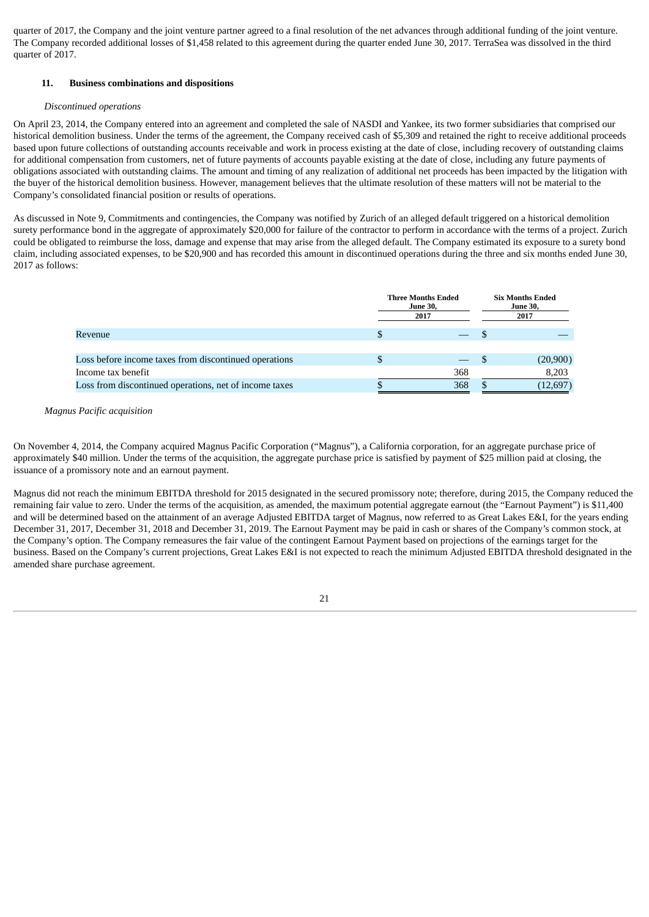quarter of 2017, the Company and the joint venture partner agreed to a final resolution of the net advances through additional funding of the joint venture. The Company recorded additional losses of \$1,458 related to this agreement during the quarter ended June 30, 2017. TerraSea was dissolved in the third quarter of 2017.

#### **11. Business combinations and dispositions**

#### *Discontinued operations*

On April 23, 2014, the Company entered into an agreement and completed the sale of NASDI and Yankee, its two former subsidiaries that comprised our historical demolition business. Under the terms of the agreement, the Company received cash of \$5,309 and retained the right to receive additional proceeds based upon future collections of outstanding accounts receivable and work in process existing at the date of close, including recovery of outstanding claims for additional compensation from customers, net of future payments of accounts payable existing at the date of close, including any future payments of obligations associated with outstanding claims. The amount and timing of any realization of additional net proceeds has been impacted by the litigation with the buyer of the historical demolition business. However, management believes that the ultimate resolution of these matters will not be material to the Company's consolidated financial position or results of operations.

As discussed in Note 9, Commitments and contingencies, the Company was notified by Zurich of an alleged default triggered on a historical demolition surety performance bond in the aggregate of approximately \$20,000 for failure of the contractor to perform in accordance with the terms of a project. Zurich could be obligated to reimburse the loss, damage and expense that may arise from the alleged default. The Company estimated its exposure to a surety bond claim, including associated expenses, to be \$20,900 and has recorded this amount in discontinued operations during the three and six months ended June 30, 2017 as follows:

|                                                        | <b>Three Months Ended</b><br><b>June 30,</b><br>2017 | <b>Six Months Ended</b><br><b>June 30,</b><br>2017 |           |  |  |
|--------------------------------------------------------|------------------------------------------------------|----------------------------------------------------|-----------|--|--|
| Revenue                                                |                                                      |                                                    |           |  |  |
|                                                        |                                                      |                                                    |           |  |  |
| Loss before income taxes from discontinued operations  |                                                      |                                                    | (20,900)  |  |  |
| Income tax benefit                                     | 368                                                  |                                                    | 8,203     |  |  |
| Loss from discontinued operations, net of income taxes | 368                                                  |                                                    | (12, 697) |  |  |

#### *Magnus Pacific acquisition*

On November 4, 2014, the Company acquired Magnus Pacific Corporation ("Magnus"), a California corporation, for an aggregate purchase price of approximately \$40 million. Under the terms of the acquisition, the aggregate purchase price is satisfied by payment of \$25 million paid at closing, the issuance of a promissory note and an earnout payment.

Magnus did not reach the minimum EBITDA threshold for 2015 designated in the secured promissory note; therefore, during 2015, the Company reduced the remaining fair value to zero. Under the terms of the acquisition, as amended, the maximum potential aggregate earnout (the "Earnout Payment") is \$11,400 and will be determined based on the attainment of an average Adjusted EBITDA target of Magnus, now referred to as Great Lakes E&I, for the years ending December 31, 2017, December 31, 2018 and December 31, 2019. The Earnout Payment may be paid in cash or shares of the Company's common stock, at the Company's option. The Company remeasures the fair value of the contingent Earnout Payment based on projections of the earnings target for the business. Based on the Company's current projections, Great Lakes E&I is not expected to reach the minimum Adjusted EBITDA threshold designated in the amended share purchase agreement.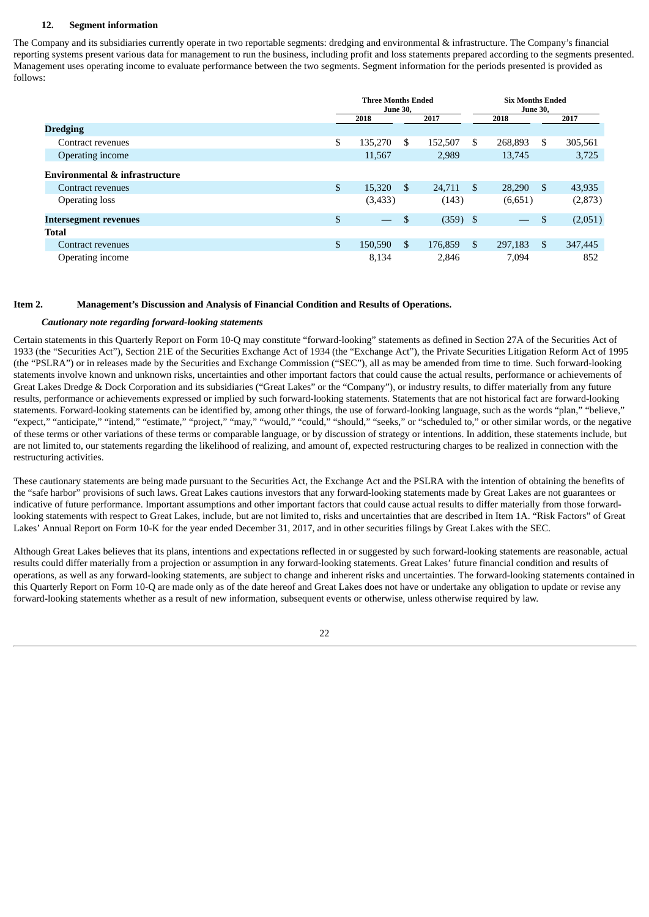#### **12. Segment information**

The Company and its subsidiaries currently operate in two reportable segments: dredging and environmental & infrastructure. The Company's financial reporting systems present various data for management to run the business, including profit and loss statements prepared according to the segments presented. Management uses operating income to evaluate performance between the two segments. Segment information for the periods presented is provided as follows:

|                                           |                | <b>Three Months Ended</b><br><b>June 30,</b> |               |            |              | <b>Six Months Ended</b><br><b>June 30,</b> |     |         |  |  |
|-------------------------------------------|----------------|----------------------------------------------|---------------|------------|--------------|--------------------------------------------|-----|---------|--|--|
|                                           |                | 2018                                         |               | 2017       |              | 2018                                       |     | 2017    |  |  |
| <b>Dredging</b>                           |                |                                              |               |            |              |                                            |     |         |  |  |
| Contract revenues                         | \$             | 135,270                                      | \$.           | 152.507    | \$           | 268.893                                    | \$  | 305,561 |  |  |
| Operating income                          |                | 11,567                                       |               | 2,989      |              | 13,745                                     |     | 3,725   |  |  |
| <b>Environmental &amp; infrastructure</b> |                |                                              |               |            |              |                                            |     |         |  |  |
| Contract revenues                         | \$             | 15,320                                       | <sup>\$</sup> | 24,711     | -\$          | 28,290                                     | \$  | 43,935  |  |  |
| <b>Operating loss</b>                     |                | (3, 433)                                     |               | (143)      |              | (6,651)                                    |     | (2,873) |  |  |
| <b>Intersegment revenues</b>              | $\mathfrak{s}$ | $\hspace{0.1mm}-\hspace{0.1mm}$              | \$            | $(359)$ \$ |              | $\overline{\phantom{0}}$                   | -\$ | (2,051) |  |  |
| <b>Total</b>                              |                |                                              |               |            |              |                                            |     |         |  |  |
| Contract revenues                         | \$             | 150,590                                      | <sup>\$</sup> | 176,859    | $\mathbb{S}$ | 297,183                                    | \$. | 347,445 |  |  |
| Operating income                          |                | 8,134                                        |               | 2.846      |              | 7,094                                      |     | 852     |  |  |

#### **Item 2. Management's Discussion and Analysis of Financial Condition and Results of Operations.**

#### <span id="page-21-0"></span>*Cautionary note regarding forward-looking statements*

Certain statements in this Quarterly Report on Form 10-Q may constitute "forward-looking" statements as defined in Section 27A of the Securities Act of 1933 (the "Securities Act"), Section 21E of the Securities Exchange Act of 1934 (the "Exchange Act"), the Private Securities Litigation Reform Act of 1995 (the "PSLRA") or in releases made by the Securities and Exchange Commission ("SEC"), all as may be amended from time to time. Such forward-looking statements involve known and unknown risks, uncertainties and other important factors that could cause the actual results, performance or achievements of Great Lakes Dredge & Dock Corporation and its subsidiaries ("Great Lakes" or the "Company"), or industry results, to differ materially from any future results, performance or achievements expressed or implied by such forward-looking statements. Statements that are not historical fact are forward-looking statements. Forward-looking statements can be identified by, among other things, the use of forward-looking language, such as the words "plan," "believe," "expect," "anticipate," "intend," "estimate," "project," "may," "would," "could," "should," "seeks," or "scheduled to," or other similar words, or the negative of these terms or other variations of these terms or comparable language, or by discussion of strategy or intentions. In addition, these statements include, but are not limited to, our statements regarding the likelihood of realizing, and amount of, expected restructuring charges to be realized in connection with the restructuring activities.

These cautionary statements are being made pursuant to the Securities Act, the Exchange Act and the PSLRA with the intention of obtaining the benefits of the "safe harbor" provisions of such laws. Great Lakes cautions investors that any forward-looking statements made by Great Lakes are not guarantees or indicative of future performance. Important assumptions and other important factors that could cause actual results to differ materially from those forwardlooking statements with respect to Great Lakes, include, but are not limited to, risks and uncertainties that are described in Item 1A. "Risk Factors" of Great Lakes' Annual Report on Form 10-K for the year ended December 31, 2017, and in other securities filings by Great Lakes with the SEC.

Although Great Lakes believes that its plans, intentions and expectations reflected in or suggested by such forward-looking statements are reasonable, actual results could differ materially from a projection or assumption in any forward-looking statements. Great Lakes' future financial condition and results of operations, as well as any forward-looking statements, are subject to change and inherent risks and uncertainties. The forward-looking statements contained in this Quarterly Report on Form 10-Q are made only as of the date hereof and Great Lakes does not have or undertake any obligation to update or revise any forward-looking statements whether as a result of new information, subsequent events or otherwise, unless otherwise required by law.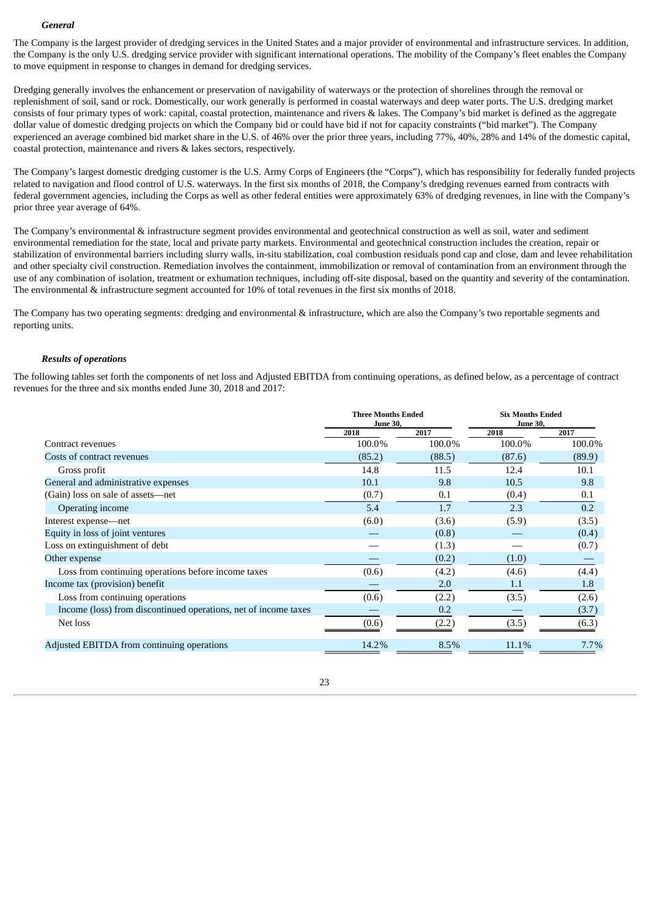#### *General*

The Company is the largest provider of dredging services in the United States and a major provider of environmental and infrastructure services. In addition, the Company is the only U.S. dredging service provider with significant international operations. The mobility of the Company's fleet enables the Company to move equipment in response to changes in demand for dredging services.

Dredging generally involves the enhancement or preservation of navigability of waterways or the protection of shorelines through the removal or replenishment of soil, sand or rock. Domestically, our work generally is performed in coastal waterways and deep water ports. The U.S. dredging market consists of four primary types of work: capital, coastal protection, maintenance and rivers & lakes. The Company's bid market is defined as the aggregate dollar value of domestic dredging projects on which the Company bid or could have bid if not for capacity constraints ("bid market"). The Company experienced an average combined bid market share in the U.S. of 46% over the prior three years, including 77%, 40%, 28% and 14% of the domestic capital, coastal protection, maintenance and rivers & lakes sectors, respectively.

The Company's largest domestic dredging customer is the U.S. Army Corps of Engineers (the "Corps"), which has responsibility for federally funded projects related to navigation and flood control of U.S. waterways. In the first six months of 2018, the Company's dredging revenues earned from contracts with federal government agencies, including the Corps as well as other federal entities were approximately 63% of dredging revenues, in line with the Company's prior three year average of 64%.

The Company's environmental & infrastructure segment provides environmental and geotechnical construction as well as soil, water and sediment environmental remediation for the state, local and private party markets. Environmental and geotechnical construction includes the creation, repair or stabilization of environmental barriers including slurry walls, in-situ stabilization, coal combustion residuals pond cap and close, dam and levee rehabilitation and other specialty civil construction. Remediation involves the containment, immobilization or removal of contamination from an environment through the use of any combination of isolation, treatment or exhumation techniques, including off-site disposal, based on the quantity and severity of the contamination. The environmental & infrastructure segment accounted for 10% of total revenues in the first six months of 2018.

The Company has two operating segments: dredging and environmental & infrastructure, which are also the Company's two reportable segments and reporting units.

## *Results of operations*

The following tables set forth the components of net loss and Adjusted EBITDA from continuing operations, as defined below, as a percentage of contract revenues for the three and six months ended June 30, 2018 and 2017:

|                                                                 | <b>Three Months Ended</b><br><b>June 30,</b> |        | <b>Six Months Ended</b><br><b>June 30,</b> |         |
|-----------------------------------------------------------------|----------------------------------------------|--------|--------------------------------------------|---------|
|                                                                 | 2018                                         | 2017   | 2018                                       | 2017    |
| Contract revenues                                               | 100.0%                                       | 100.0% | 100.0%                                     | 100.0%  |
| Costs of contract revenues                                      | (85.2)                                       | (88.5) | (87.6)                                     | (89.9)  |
| Gross profit                                                    | 14.8                                         | 11.5   | 12.4                                       | 10.1    |
| General and administrative expenses                             | 10.1                                         | 9.8    | 10.5                                       | 9.8     |
| (Gain) loss on sale of assets—net                               | (0.7)                                        | 0.1    | (0.4)                                      | 0.1     |
| Operating income                                                | 5.4                                          | 1.7    | 2.3                                        | 0.2     |
| Interest expense—net                                            | (6.0)                                        | (3.6)  | (5.9)                                      | (3.5)   |
| Equity in loss of joint ventures                                |                                              | (0.8)  |                                            | (0.4)   |
| Loss on extinguishment of debt                                  |                                              | (1.3)  |                                            | (0.7)   |
| Other expense                                                   |                                              | (0.2)  | (1.0)                                      |         |
| Loss from continuing operations before income taxes             | (0.6)                                        | (4.2)  | (4.6)                                      | (4.4)   |
| Income tax (provision) benefit                                  |                                              | 2.0    | 1.1                                        | 1.8     |
| Loss from continuing operations                                 | (0.6)                                        | (2.2)  | (3.5)                                      | (2.6)   |
| Income (loss) from discontinued operations, net of income taxes |                                              | 0.2    |                                            | (3.7)   |
| Net loss                                                        | (0.6)                                        | (2.2)  | (3.5)                                      | (6.3)   |
| Adjusted EBITDA from continuing operations                      | 14.2%                                        | 8.5%   | 11.1%                                      | $7.7\%$ |

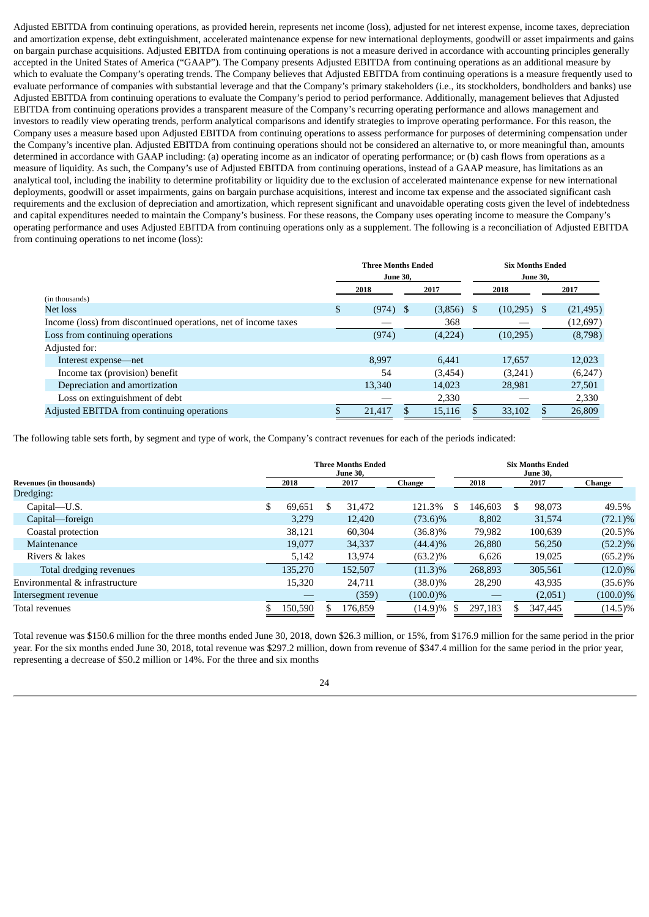Adjusted EBITDA from continuing operations, as provided herein, represents net income (loss), adjusted for net interest expense, income taxes, depreciation and amortization expense, debt extinguishment, accelerated maintenance expense for new international deployments, goodwill or asset impairments and gains on bargain purchase acquisitions. Adjusted EBITDA from continuing operations is not a measure derived in accordance with accounting principles generally accepted in the United States of America ("GAAP"). The Company presents Adjusted EBITDA from continuing operations as an additional measure by which to evaluate the Company's operating trends. The Company believes that Adjusted EBITDA from continuing operations is a measure frequently used to evaluate performance of companies with substantial leverage and that the Company's primary stakeholders (i.e., its stockholders, bondholders and banks) use Adjusted EBITDA from continuing operations to evaluate the Company's period to period performance. Additionally, management believes that Adjusted EBITDA from continuing operations provides a transparent measure of the Company's recurring operating performance and allows management and investors to readily view operating trends, perform analytical comparisons and identify strategies to improve operating performance. For this reason, the Company uses a measure based upon Adjusted EBITDA from continuing operations to assess performance for purposes of determining compensation under the Company's incentive plan. Adjusted EBITDA from continuing operations should not be considered an alternative to, or more meaningful than, amounts determined in accordance with GAAP including: (a) operating income as an indicator of operating performance; or (b) cash flows from operations as a measure of liquidity. As such, the Company's use of Adjusted EBITDA from continuing operations, instead of a GAAP measure, has limitations as an analytical tool, including the inability to determine profitability or liquidity due to the exclusion of accelerated maintenance expense for new international deployments, goodwill or asset impairments, gains on bargain purchase acquisitions, interest and income tax expense and the associated significant cash requirements and the exclusion of depreciation and amortization, which represent significant and unavoidable operating costs given the level of indebtedness and capital expenditures needed to maintain the Company's business. For these reasons, the Company uses operating income to measure the Company's operating performance and uses Adjusted EBITDA from continuing operations only as a supplement. The following is a reconciliation of Adjusted EBITDA from continuing operations to net income (loss):

|                                                                 | <b>Three Months Ended</b> |            |  |              |                 | <b>Six Months Ended</b> |  |           |  |  |
|-----------------------------------------------------------------|---------------------------|------------|--|--------------|-----------------|-------------------------|--|-----------|--|--|
|                                                                 | <b>June 30.</b>           |            |  |              | <b>June 30.</b> |                         |  |           |  |  |
|                                                                 |                           | 2018       |  | 2017         |                 | 2018                    |  | 2017      |  |  |
| (in thousands)                                                  |                           |            |  |              |                 |                         |  |           |  |  |
| Net loss                                                        | \$                        | $(974)$ \$ |  | $(3,856)$ \$ |                 | $(10,295)$ \$           |  | (21, 495) |  |  |
| Income (loss) from discontinued operations, net of income taxes |                           |            |  | 368          |                 |                         |  | (12, 697) |  |  |
| Loss from continuing operations                                 |                           | (974)      |  | (4,224)      |                 | (10,295)                |  | (8,798)   |  |  |
| Adjusted for:                                                   |                           |            |  |              |                 |                         |  |           |  |  |
| Interest expense—net                                            |                           | 8,997      |  | 6.441        |                 | 17,657                  |  | 12,023    |  |  |
| Income tax (provision) benefit                                  |                           | 54         |  | (3, 454)     |                 | (3,241)                 |  | (6,247)   |  |  |
| Depreciation and amortization                                   |                           | 13,340     |  | 14,023       |                 | 28,981                  |  | 27,501    |  |  |
| Loss on extinguishment of debt                                  |                           |            |  | 2,330        |                 |                         |  | 2,330     |  |  |
| Adjusted EBITDA from continuing operations                      |                           | 21.417     |  | 15,116       |                 | 33,102                  |  | 26,809    |  |  |

The following table sets forth, by segment and type of work, the Company's contract revenues for each of the periods indicated:

|                                | Three Months Ended<br><b>June 30,</b> |    |         |             |               | <b>Six Months Ended</b><br><b>June 30,</b> |      |         |             |  |
|--------------------------------|---------------------------------------|----|---------|-------------|---------------|--------------------------------------------|------|---------|-------------|--|
| Revenues (in thousands)        | 2018                                  |    | 2017    | Change      | 2018          |                                            | 2017 |         | Change      |  |
| Dredging:                      |                                       |    |         |             |               |                                            |      |         |             |  |
| Capital-U.S.                   | \$<br>69,651                          | \$ | 31,472  | 121.3%      | \$            | 146,603                                    | \$   | 98,073  | 49.5%       |  |
| Capital—foreign                | 3.279                                 |    | 12,420  | $(73.6)\%$  |               | 8,802                                      |      | 31,574  | $(72.1)\%$  |  |
| Coastal protection             | 38.121                                |    | 60,304  | $(36.8)\%$  |               | 79,982                                     |      | 100,639 | $(20.5)\%$  |  |
| Maintenance                    | 19,077                                |    | 34,337  | $(44.4)\%$  |               | 26,880                                     |      | 56,250  | $(52.2)\%$  |  |
| Rivers & lakes                 | 5,142                                 |    | 13,974  | $(63.2)\%$  |               | 6,626                                      |      | 19,025  | $(65.2)\%$  |  |
| Total dredging revenues        | 135,270                               |    | 152,507 | $(11.3)\%$  |               | 268,893                                    |      | 305,561 | $(12.0)\%$  |  |
| Environmental & infrastructure | 15.320                                |    | 24.711  | $(38.0)\%$  |               | 28.290                                     |      | 43,935  | $(35.6)\%$  |  |
| Intersegment revenue           |                                       |    | (359)   | $(100.0)\%$ |               |                                            |      | (2,051) | $(100.0)\%$ |  |
| Total revenues                 | 150.590                               |    | 176,859 | $(14.9)\%$  | <sup>\$</sup> | 297,183                                    |      | 347,445 | $(14.5)\%$  |  |

Total revenue was \$150.6 million for the three months ended June 30, 2018, down \$26.3 million, or 15%, from \$176.9 million for the same period in the prior year. For the six months ended June 30, 2018, total revenue was \$297.2 million, down from revenue of \$347.4 million for the same period in the prior year, representing a decrease of \$50.2 million or 14%. For the three and six months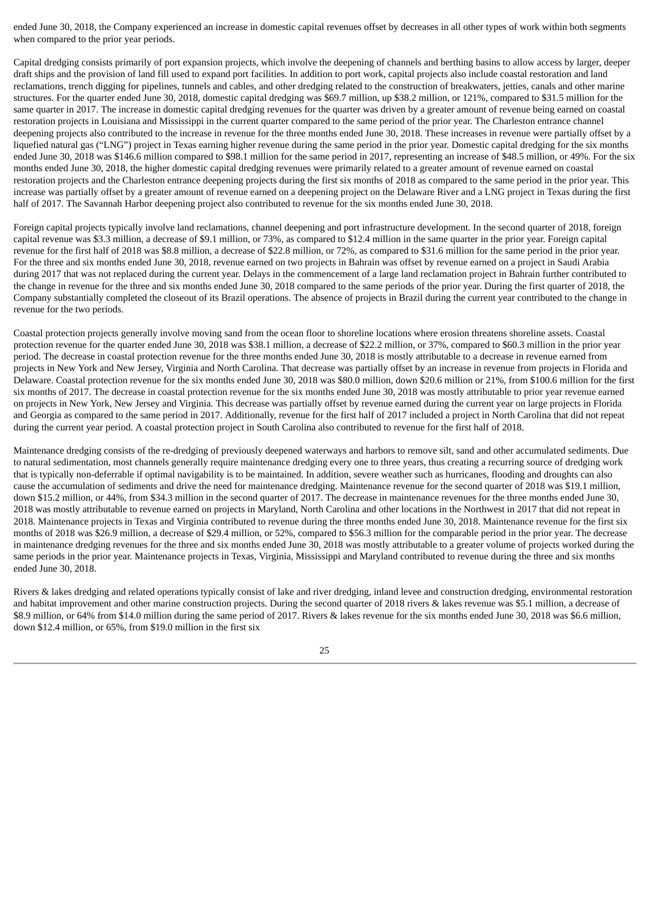ended June 30, 2018, the Company experienced an increase in domestic capital revenues offset by decreases in all other types of work within both segments when compared to the prior year periods.

Capital dredging consists primarily of port expansion projects, which involve the deepening of channels and berthing basins to allow access by larger, deeper draft ships and the provision of land fill used to expand port facilities. In addition to port work, capital projects also include coastal restoration and land reclamations, trench digging for pipelines, tunnels and cables, and other dredging related to the construction of breakwaters, jetties, canals and other marine structures. For the quarter ended June 30, 2018, domestic capital dredging was \$69.7 million, up \$38.2 million, or 121%, compared to \$31.5 million for the same quarter in 2017. The increase in domestic capital dredging revenues for the quarter was driven by a greater amount of revenue being earned on coastal restoration projects in Louisiana and Mississippi in the current quarter compared to the same period of the prior year. The Charleston entrance channel deepening projects also contributed to the increase in revenue for the three months ended June 30, 2018. These increases in revenue were partially offset by a liquefied natural gas ("LNG") project in Texas earning higher revenue during the same period in the prior year. Domestic capital dredging for the six months ended June 30, 2018 was \$146.6 million compared to \$98.1 million for the same period in 2017, representing an increase of \$48.5 million, or 49%. For the six months ended June 30, 2018, the higher domestic capital dredging revenues were primarily related to a greater amount of revenue earned on coastal restoration projects and the Charleston entrance deepening projects during the first six months of 2018 as compared to the same period in the prior year. This increase was partially offset by a greater amount of revenue earned on a deepening project on the Delaware River and a LNG project in Texas during the first half of 2017. The Savannah Harbor deepening project also contributed to revenue for the six months ended June 30, 2018.

Foreign capital projects typically involve land reclamations, channel deepening and port infrastructure development. In the second quarter of 2018, foreign capital revenue was \$3.3 million, a decrease of \$9.1 million, or 73%, as compared to \$12.4 million in the same quarter in the prior year. Foreign capital revenue for the first half of 2018 was \$8.8 million, a decrease of \$22.8 million, or 72%, as compared to \$31.6 million for the same period in the prior year. For the three and six months ended June 30, 2018, revenue earned on two projects in Bahrain was offset by revenue earned on a project in Saudi Arabia during 2017 that was not replaced during the current year. Delays in the commencement of a large land reclamation project in Bahrain further contributed to the change in revenue for the three and six months ended June 30, 2018 compared to the same periods of the prior year. During the first quarter of 2018, the Company substantially completed the closeout of its Brazil operations. The absence of projects in Brazil during the current year contributed to the change in revenue for the two periods.

Coastal protection projects generally involve moving sand from the ocean floor to shoreline locations where erosion threatens shoreline assets. Coastal protection revenue for the quarter ended June 30, 2018 was \$38.1 million, a decrease of \$22.2 million, or 37%, compared to \$60.3 million in the prior year period. The decrease in coastal protection revenue for the three months ended June 30, 2018 is mostly attributable to a decrease in revenue earned from projects in New York and New Jersey, Virginia and North Carolina. That decrease was partially offset by an increase in revenue from projects in Florida and Delaware. Coastal protection revenue for the six months ended June 30, 2018 was \$80.0 million, down \$20.6 million or 21%, from \$100.6 million for the first six months of 2017. The decrease in coastal protection revenue for the six months ended June 30, 2018 was mostly attributable to prior year revenue earned on projects in New York, New Jersey and Virginia. This decrease was partially offset by revenue earned during the current year on large projects in Florida and Georgia as compared to the same period in 2017. Additionally, revenue for the first half of 2017 included a project in North Carolina that did not repeat during the current year period. A coastal protection project in South Carolina also contributed to revenue for the first half of 2018.

Maintenance dredging consists of the re-dredging of previously deepened waterways and harbors to remove silt, sand and other accumulated sediments. Due to natural sedimentation, most channels generally require maintenance dredging every one to three years, thus creating a recurring source of dredging work that is typically non-deferrable if optimal navigability is to be maintained. In addition, severe weather such as hurricanes, flooding and droughts can also cause the accumulation of sediments and drive the need for maintenance dredging. Maintenance revenue for the second quarter of 2018 was \$19.1 million, down \$15.2 million, or 44%, from \$34.3 million in the second quarter of 2017. The decrease in maintenance revenues for the three months ended June 30, 2018 was mostly attributable to revenue earned on projects in Maryland, North Carolina and other locations in the Northwest in 2017 that did not repeat in 2018. Maintenance projects in Texas and Virginia contributed to revenue during the three months ended June 30, 2018. Maintenance revenue for the first six months of 2018 was \$26.9 million, a decrease of \$29.4 million, or 52%, compared to \$56.3 million for the comparable period in the prior year. The decrease in maintenance dredging revenues for the three and six months ended June 30, 2018 was mostly attributable to a greater volume of projects worked during the same periods in the prior year. Maintenance projects in Texas, Virginia, Mississippi and Maryland contributed to revenue during the three and six months ended June 30, 2018.

Rivers & lakes dredging and related operations typically consist of lake and river dredging, inland levee and construction dredging, environmental restoration and habitat improvement and other marine construction projects. During the second quarter of 2018 rivers & lakes revenue was \$5.1 million, a decrease of \$8.9 million, or 64% from \$14.0 million during the same period of 2017. Rivers & lakes revenue for the six months ended June 30, 2018 was \$6.6 million, down \$12.4 million, or 65%, from \$19.0 million in the first six

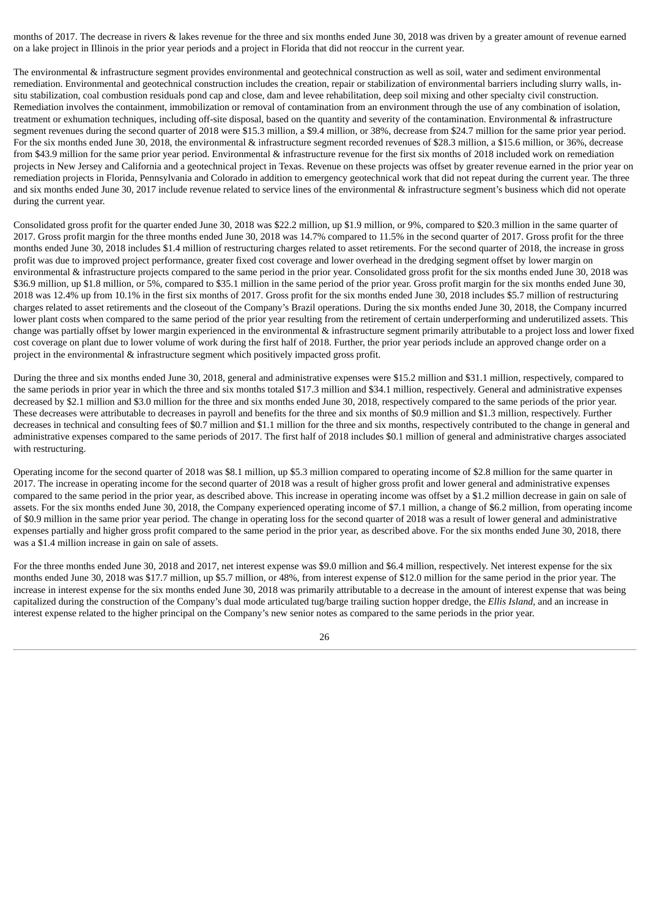months of 2017. The decrease in rivers & lakes revenue for the three and six months ended June 30, 2018 was driven by a greater amount of revenue earned on a lake project in Illinois in the prior year periods and a project in Florida that did not reoccur in the current year.

The environmental & infrastructure segment provides environmental and geotechnical construction as well as soil, water and sediment environmental remediation. Environmental and geotechnical construction includes the creation, repair or stabilization of environmental barriers including slurry walls, insitu stabilization, coal combustion residuals pond cap and close, dam and levee rehabilitation, deep soil mixing and other specialty civil construction. Remediation involves the containment, immobilization or removal of contamination from an environment through the use of any combination of isolation, treatment or exhumation techniques, including off-site disposal, based on the quantity and severity of the contamination. Environmental & infrastructure segment revenues during the second quarter of 2018 were \$15.3 million, a \$9.4 million, or 38%, decrease from \$24.7 million for the same prior year period. For the six months ended June 30, 2018, the environmental & infrastructure segment recorded revenues of \$28.3 million, a \$15.6 million, or 36%, decrease from \$43.9 million for the same prior year period. Environmental & infrastructure revenue for the first six months of 2018 included work on remediation projects in New Jersey and California and a geotechnical project in Texas. Revenue on these projects was offset by greater revenue earned in the prior year on remediation projects in Florida, Pennsylvania and Colorado in addition to emergency geotechnical work that did not repeat during the current year. The three and six months ended June 30, 2017 include revenue related to service lines of the environmental & infrastructure segment's business which did not operate during the current year.

Consolidated gross profit for the quarter ended June 30, 2018 was \$22.2 million, up \$1.9 million, or 9%, compared to \$20.3 million in the same quarter of 2017. Gross profit margin for the three months ended June 30, 2018 was 14.7% compared to 11.5% in the second quarter of 2017. Gross profit for the three months ended June 30, 2018 includes \$1.4 million of restructuring charges related to asset retirements. For the second quarter of 2018, the increase in gross profit was due to improved project performance, greater fixed cost coverage and lower overhead in the dredging segment offset by lower margin on environmental & infrastructure projects compared to the same period in the prior year. Consolidated gross profit for the six months ended June 30, 2018 was \$36.9 million, up \$1.8 million, or 5%, compared to \$35.1 million in the same period of the prior year. Gross profit margin for the six months ended June 30, 2018 was 12.4% up from 10.1% in the first six months of 2017. Gross profit for the six months ended June 30, 2018 includes \$5.7 million of restructuring charges related to asset retirements and the closeout of the Company's Brazil operations. During the six months ended June 30, 2018, the Company incurred lower plant costs when compared to the same period of the prior year resulting from the retirement of certain underperforming and underutilized assets. This change was partially offset by lower margin experienced in the environmental & infrastructure segment primarily attributable to a project loss and lower fixed cost coverage on plant due to lower volume of work during the first half of 2018. Further, the prior year periods include an approved change order on a project in the environmental & infrastructure segment which positively impacted gross profit.

During the three and six months ended June 30, 2018, general and administrative expenses were \$15.2 million and \$31.1 million, respectively, compared to the same periods in prior year in which the three and six months totaled \$17.3 million and \$34.1 million, respectively. General and administrative expenses decreased by \$2.1 million and \$3.0 million for the three and six months ended June 30, 2018, respectively compared to the same periods of the prior year. These decreases were attributable to decreases in payroll and benefits for the three and six months of \$0.9 million and \$1.3 million, respectively. Further decreases in technical and consulting fees of \$0.7 million and \$1.1 million for the three and six months, respectively contributed to the change in general and administrative expenses compared to the same periods of 2017. The first half of 2018 includes \$0.1 million of general and administrative charges associated with restructuring.

Operating income for the second quarter of 2018 was \$8.1 million, up \$5.3 million compared to operating income of \$2.8 million for the same quarter in 2017. The increase in operating income for the second quarter of 2018 was a result of higher gross profit and lower general and administrative expenses compared to the same period in the prior year, as described above. This increase in operating income was offset by a \$1.2 million decrease in gain on sale of assets. For the six months ended June 30, 2018, the Company experienced operating income of \$7.1 million, a change of \$6.2 million, from operating income of \$0.9 million in the same prior year period. The change in operating loss for the second quarter of 2018 was a result of lower general and administrative expenses partially and higher gross profit compared to the same period in the prior year, as described above. For the six months ended June 30, 2018, there was a \$1.4 million increase in gain on sale of assets.

For the three months ended June 30, 2018 and 2017, net interest expense was \$9.0 million and \$6.4 million, respectively. Net interest expense for the six months ended June 30, 2018 was \$17.7 million, up \$5.7 million, or 48%, from interest expense of \$12.0 million for the same period in the prior year. The increase in interest expense for the six months ended June 30, 2018 was primarily attributable to a decrease in the amount of interest expense that was being capitalized during the construction of the Company's dual mode articulated tug/barge trailing suction hopper dredge, the *Ellis Island*, and an increase in interest expense related to the higher principal on the Company's new senior notes as compared to the same periods in the prior year.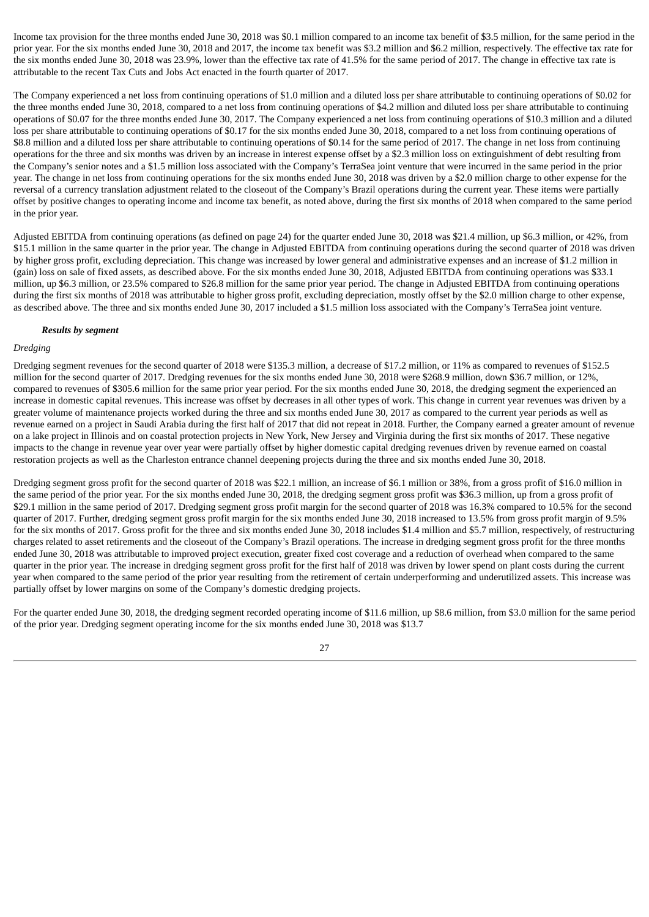Income tax provision for the three months ended June 30, 2018 was \$0.1 million compared to an income tax benefit of \$3.5 million, for the same period in the prior year. For the six months ended June 30, 2018 and 2017, the income tax benefit was \$3.2 million and \$6.2 million, respectively. The effective tax rate for the six months ended June 30, 2018 was 23.9%, lower than the effective tax rate of 41.5% for the same period of 2017. The change in effective tax rate is attributable to the recent Tax Cuts and Jobs Act enacted in the fourth quarter of 2017.

The Company experienced a net loss from continuing operations of \$1.0 million and a diluted loss per share attributable to continuing operations of \$0.02 for the three months ended June 30, 2018, compared to a net loss from continuing operations of \$4.2 million and diluted loss per share attributable to continuing operations of \$0.07 for the three months ended June 30, 2017. The Company experienced a net loss from continuing operations of \$10.3 million and a diluted loss per share attributable to continuing operations of \$0.17 for the six months ended June 30, 2018, compared to a net loss from continuing operations of \$8.8 million and a diluted loss per share attributable to continuing operations of \$0.14 for the same period of 2017. The change in net loss from continuing operations for the three and six months was driven by an increase in interest expense offset by a \$2.3 million loss on extinguishment of debt resulting from the Company's senior notes and a \$1.5 million loss associated with the Company's TerraSea joint venture that were incurred in the same period in the prior year. The change in net loss from continuing operations for the six months ended June 30, 2018 was driven by a \$2.0 million charge to other expense for the reversal of a currency translation adjustment related to the closeout of the Company's Brazil operations during the current year. These items were partially offset by positive changes to operating income and income tax benefit, as noted above, during the first six months of 2018 when compared to the same period in the prior year.

Adjusted EBITDA from continuing operations (as defined on page 24) for the quarter ended June 30, 2018 was \$21.4 million, up \$6.3 million, or 42%, from \$15.1 million in the same quarter in the prior year. The change in Adjusted EBITDA from continuing operations during the second quarter of 2018 was driven by higher gross profit, excluding depreciation. This change was increased by lower general and administrative expenses and an increase of \$1.2 million in (gain) loss on sale of fixed assets, as described above. For the six months ended June 30, 2018, Adjusted EBITDA from continuing operations was \$33.1 million, up \$6.3 million, or 23.5% compared to \$26.8 million for the same prior year period. The change in Adjusted EBITDA from continuing operations during the first six months of 2018 was attributable to higher gross profit, excluding depreciation, mostly offset by the \$2.0 million charge to other expense, as described above. The three and six months ended June 30, 2017 included a \$1.5 million loss associated with the Company's TerraSea joint venture.

#### *Results by segment*

#### *Dredging*

Dredging segment revenues for the second quarter of 2018 were \$135.3 million, a decrease of \$17.2 million, or 11% as compared to revenues of \$152.5 million for the second quarter of 2017. Dredging revenues for the six months ended June 30, 2018 were \$268.9 million, down \$36.7 million, or 12%, compared to revenues of \$305.6 million for the same prior year period. For the six months ended June 30, 2018, the dredging segment the experienced an increase in domestic capital revenues. This increase was offset by decreases in all other types of work. This change in current year revenues was driven by a greater volume of maintenance projects worked during the three and six months ended June 30, 2017 as compared to the current year periods as well as revenue earned on a project in Saudi Arabia during the first half of 2017 that did not repeat in 2018. Further, the Company earned a greater amount of revenue on a lake project in Illinois and on coastal protection projects in New York, New Jersey and Virginia during the first six months of 2017. These negative impacts to the change in revenue year over year were partially offset by higher domestic capital dredging revenues driven by revenue earned on coastal restoration projects as well as the Charleston entrance channel deepening projects during the three and six months ended June 30, 2018.

Dredging segment gross profit for the second quarter of 2018 was \$22.1 million, an increase of \$6.1 million or 38%, from a gross profit of \$16.0 million in the same period of the prior year. For the six months ended June 30, 2018, the dredging segment gross profit was \$36.3 million, up from a gross profit of \$29.1 million in the same period of 2017. Dredging segment gross profit margin for the second quarter of 2018 was 16.3% compared to 10.5% for the second quarter of 2017. Further, dredging segment gross profit margin for the six months ended June 30, 2018 increased to 13.5% from gross profit margin of 9.5% for the six months of 2017. Gross profit for the three and six months ended June 30, 2018 includes \$1.4 million and \$5.7 million, respectively, of restructuring charges related to asset retirements and the closeout of the Company's Brazil operations. The increase in dredging segment gross profit for the three months ended June 30, 2018 was attributable to improved project execution, greater fixed cost coverage and a reduction of overhead when compared to the same quarter in the prior year. The increase in dredging segment gross profit for the first half of 2018 was driven by lower spend on plant costs during the current year when compared to the same period of the prior year resulting from the retirement of certain underperforming and underutilized assets. This increase was partially offset by lower margins on some of the Company's domestic dredging projects.

For the quarter ended June 30, 2018, the dredging segment recorded operating income of \$11.6 million, up \$8.6 million, from \$3.0 million for the same period of the prior year. Dredging segment operating income for the six months ended June 30, 2018 was \$13.7

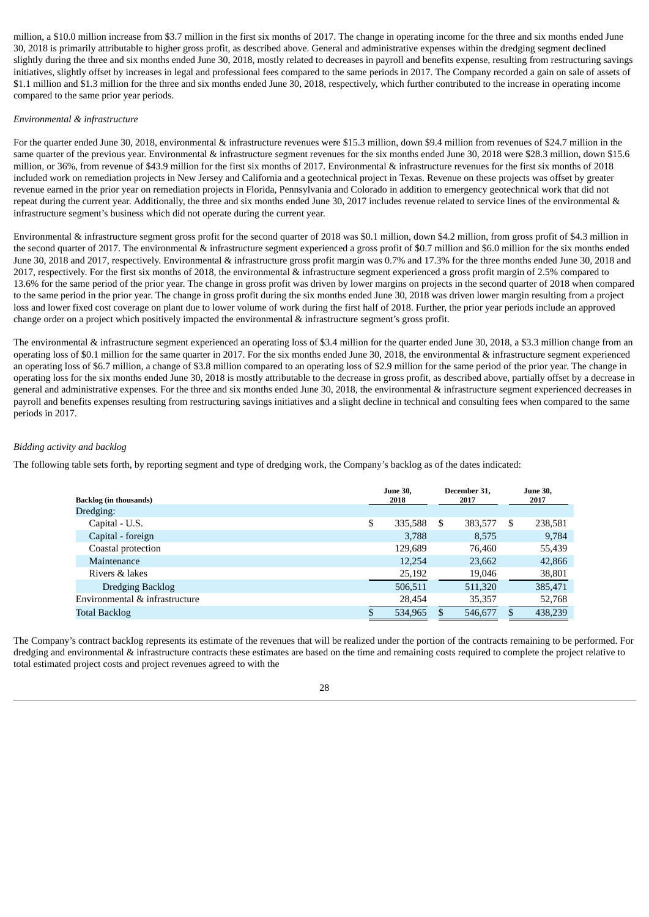million, a \$10.0 million increase from \$3.7 million in the first six months of 2017. The change in operating income for the three and six months ended June 30, 2018 is primarily attributable to higher gross profit, as described above. General and administrative expenses within the dredging segment declined slightly during the three and six months ended June 30, 2018, mostly related to decreases in payroll and benefits expense, resulting from restructuring savings initiatives, slightly offset by increases in legal and professional fees compared to the same periods in 2017. The Company recorded a gain on sale of assets of \$1.1 million and \$1.3 million for the three and six months ended June 30, 2018, respectively, which further contributed to the increase in operating income compared to the same prior year periods.

#### *Environmental & infrastructure*

For the quarter ended June 30, 2018, environmental & infrastructure revenues were \$15.3 million, down \$9.4 million from revenues of \$24.7 million in the same quarter of the previous year. Environmental & infrastructure segment revenues for the six months ended June 30, 2018 were \$28.3 million, down \$15.6 million, or 36%, from revenue of \$43.9 million for the first six months of 2017. Environmental & infrastructure revenues for the first six months of 2018 included work on remediation projects in New Jersey and California and a geotechnical project in Texas. Revenue on these projects was offset by greater revenue earned in the prior year on remediation projects in Florida, Pennsylvania and Colorado in addition to emergency geotechnical work that did not repeat during the current year. Additionally, the three and six months ended June 30, 2017 includes revenue related to service lines of the environmental & infrastructure segment's business which did not operate during the current year.

Environmental & infrastructure segment gross profit for the second quarter of 2018 was \$0.1 million, down \$4.2 million, from gross profit of \$4.3 million in the second quarter of 2017. The environmental & infrastructure segment experienced a gross profit of \$0.7 million and \$6.0 million for the six months ended June 30, 2018 and 2017, respectively. Environmental & infrastructure gross profit margin was 0.7% and 17.3% for the three months ended June 30, 2018 and 2017, respectively. For the first six months of 2018, the environmental & infrastructure segment experienced a gross profit margin of 2.5% compared to 13.6% for the same period of the prior year. The change in gross profit was driven by lower margins on projects in the second quarter of 2018 when compared to the same period in the prior year. The change in gross profit during the six months ended June 30, 2018 was driven lower margin resulting from a project loss and lower fixed cost coverage on plant due to lower volume of work during the first half of 2018. Further, the prior year periods include an approved change order on a project which positively impacted the environmental & infrastructure segment's gross profit.

The environmental & infrastructure segment experienced an operating loss of \$3.4 million for the quarter ended June 30, 2018, a \$3.3 million change from an operating loss of \$0.1 million for the same quarter in 2017. For the six months ended June 30, 2018, the environmental & infrastructure segment experienced an operating loss of \$6.7 million, a change of \$3.8 million compared to an operating loss of \$2.9 million for the same period of the prior year. The change in operating loss for the six months ended June 30, 2018 is mostly attributable to the decrease in gross profit, as described above, partially offset by a decrease in general and administrative expenses. For the three and six months ended June 30, 2018, the environmental & infrastructure segment experienced decreases in payroll and benefits expenses resulting from restructuring savings initiatives and a slight decline in technical and consulting fees when compared to the same periods in 2017.

#### *Bidding activity and backlog*

The following table sets forth, by reporting segment and type of dredging work, the Company's backlog as of the dates indicated:

| <b>Backlog</b> (in thousands)  |    | <b>June 30.</b><br>2018 |   | December 31,<br>2017 | <b>June 30,</b><br>2017 |         |  |
|--------------------------------|----|-------------------------|---|----------------------|-------------------------|---------|--|
| Dredging:                      |    |                         |   |                      |                         |         |  |
| Capital - U.S.                 | \$ | 335,588                 | S | 383,577              | \$                      | 238,581 |  |
| Capital - foreign              |    | 3,788                   |   | 8,575                |                         | 9,784   |  |
| Coastal protection             |    | 129,689                 |   | 76,460               |                         | 55,439  |  |
| Maintenance                    |    | 12,254                  |   | 23,662               |                         | 42,866  |  |
| Rivers & lakes                 |    | 25,192                  |   | 19,046               |                         | 38,801  |  |
| Dredging Backlog               |    | 506,511                 |   | 511,320              |                         | 385,471 |  |
| Environmental & infrastructure |    | 28,454                  |   | 35,357               |                         | 52,768  |  |
| <b>Total Backlog</b>           | S  | 534,965                 |   | 546,677              | Я                       | 438,239 |  |

The Company's contract backlog represents its estimate of the revenues that will be realized under the portion of the contracts remaining to be performed. For dredging and environmental & infrastructure contracts these estimates are based on the time and remaining costs required to complete the project relative to total estimated project costs and project revenues agreed to with the

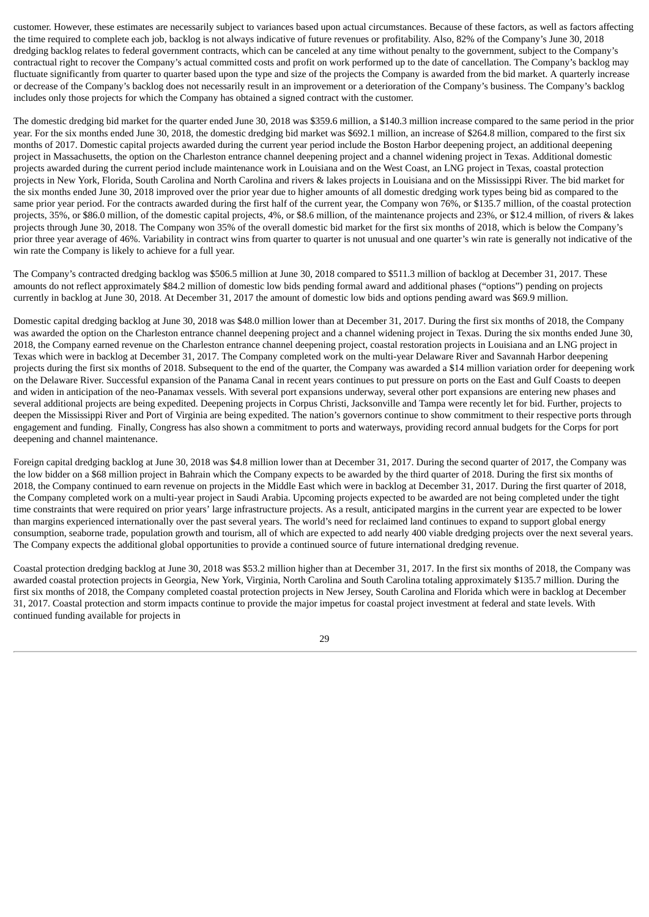customer. However, these estimates are necessarily subject to variances based upon actual circumstances. Because of these factors, as well as factors affecting the time required to complete each job, backlog is not always indicative of future revenues or profitability. Also, 82% of the Company's June 30, 2018 dredging backlog relates to federal government contracts, which can be canceled at any time without penalty to the government, subject to the Company's contractual right to recover the Company's actual committed costs and profit on work performed up to the date of cancellation. The Company's backlog may fluctuate significantly from quarter to quarter based upon the type and size of the projects the Company is awarded from the bid market. A quarterly increase or decrease of the Company's backlog does not necessarily result in an improvement or a deterioration of the Company's business. The Company's backlog includes only those projects for which the Company has obtained a signed contract with the customer.

The domestic dredging bid market for the quarter ended June 30, 2018 was \$359.6 million, a \$140.3 million increase compared to the same period in the prior year. For the six months ended June 30, 2018, the domestic dredging bid market was \$692.1 million, an increase of \$264.8 million, compared to the first six months of 2017. Domestic capital projects awarded during the current year period include the Boston Harbor deepening project, an additional deepening project in Massachusetts, the option on the Charleston entrance channel deepening project and a channel widening project in Texas. Additional domestic projects awarded during the current period include maintenance work in Louisiana and on the West Coast, an LNG project in Texas, coastal protection projects in New York, Florida, South Carolina and North Carolina and rivers & lakes projects in Louisiana and on the Mississippi River. The bid market for the six months ended June 30, 2018 improved over the prior year due to higher amounts of all domestic dredging work types being bid as compared to the same prior year period. For the contracts awarded during the first half of the current year, the Company won 76%, or \$135.7 million, of the coastal protection projects, 35%, or \$86.0 million, of the domestic capital projects, 4%, or \$8.6 million, of the maintenance projects and 23%, or \$12.4 million, of rivers & lakes projects through June 30, 2018. The Company won 35% of the overall domestic bid market for the first six months of 2018, which is below the Company's prior three year average of 46%. Variability in contract wins from quarter to quarter is not unusual and one quarter's win rate is generally not indicative of the win rate the Company is likely to achieve for a full year.

The Company's contracted dredging backlog was \$506.5 million at June 30, 2018 compared to \$511.3 million of backlog at December 31, 2017. These amounts do not reflect approximately \$84.2 million of domestic low bids pending formal award and additional phases ("options") pending on projects currently in backlog at June 30, 2018. At December 31, 2017 the amount of domestic low bids and options pending award was \$69.9 million.

Domestic capital dredging backlog at June 30, 2018 was \$48.0 million lower than at December 31, 2017. During the first six months of 2018, the Company was awarded the option on the Charleston entrance channel deepening project and a channel widening project in Texas. During the six months ended June 30, 2018, the Company earned revenue on the Charleston entrance channel deepening project, coastal restoration projects in Louisiana and an LNG project in Texas which were in backlog at December 31, 2017. The Company completed work on the multi-year Delaware River and Savannah Harbor deepening projects during the first six months of 2018. Subsequent to the end of the quarter, the Company was awarded a \$14 million variation order for deepening work on the Delaware River. Successful expansion of the Panama Canal in recent years continues to put pressure on ports on the East and Gulf Coasts to deepen and widen in anticipation of the neo-Panamax vessels. With several port expansions underway, several other port expansions are entering new phases and several additional projects are being expedited. Deepening projects in Corpus Christi, Jacksonville and Tampa were recently let for bid. Further, projects to deepen the Mississippi River and Port of Virginia are being expedited. The nation's governors continue to show commitment to their respective ports through engagement and funding. Finally, Congress has also shown a commitment to ports and waterways, providing record annual budgets for the Corps for port deepening and channel maintenance.

Foreign capital dredging backlog at June 30, 2018 was \$4.8 million lower than at December 31, 2017. During the second quarter of 2017, the Company was the low bidder on a \$68 million project in Bahrain which the Company expects to be awarded by the third quarter of 2018. During the first six months of 2018, the Company continued to earn revenue on projects in the Middle East which were in backlog at December 31, 2017. During the first quarter of 2018, the Company completed work on a multi-year project in Saudi Arabia. Upcoming projects expected to be awarded are not being completed under the tight time constraints that were required on prior years' large infrastructure projects. As a result, anticipated margins in the current year are expected to be lower than margins experienced internationally over the past several years. The world's need for reclaimed land continues to expand to support global energy consumption, seaborne trade, population growth and tourism, all of which are expected to add nearly 400 viable dredging projects over the next several years. The Company expects the additional global opportunities to provide a continued source of future international dredging revenue.

Coastal protection dredging backlog at June 30, 2018 was \$53.2 million higher than at December 31, 2017. In the first six months of 2018, the Company was awarded coastal protection projects in Georgia, New York, Virginia, North Carolina and South Carolina totaling approximately \$135.7 million. During the first six months of 2018, the Company completed coastal protection projects in New Jersey, South Carolina and Florida which were in backlog at December 31, 2017. Coastal protection and storm impacts continue to provide the major impetus for coastal project investment at federal and state levels. With continued funding available for projects in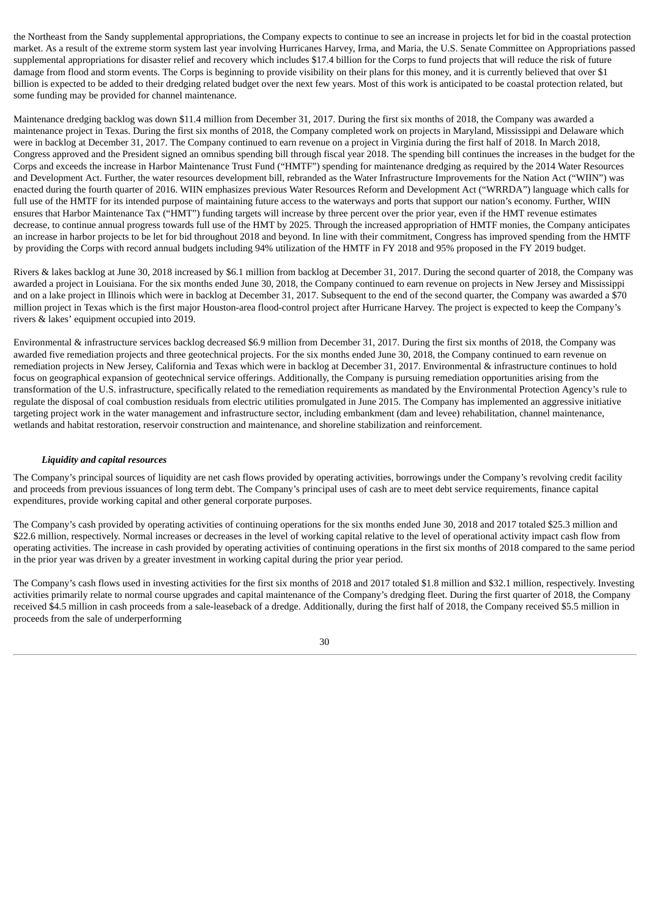the Northeast from the Sandy supplemental appropriations, the Company expects to continue to see an increase in projects let for bid in the coastal protection market. As a result of the extreme storm system last year involving Hurricanes Harvey, Irma, and Maria, the U.S. Senate Committee on Appropriations passed supplemental appropriations for disaster relief and recovery which includes \$17.4 billion for the Corps to fund projects that will reduce the risk of future damage from flood and storm events. The Corps is beginning to provide visibility on their plans for this money, and it is currently believed that over \$1 billion is expected to be added to their dredging related budget over the next few years. Most of this work is anticipated to be coastal protection related, but some funding may be provided for channel maintenance.

Maintenance dredging backlog was down \$11.4 million from December 31, 2017. During the first six months of 2018, the Company was awarded a maintenance project in Texas. During the first six months of 2018, the Company completed work on projects in Maryland, Mississippi and Delaware which were in backlog at December 31, 2017. The Company continued to earn revenue on a project in Virginia during the first half of 2018. In March 2018, Congress approved and the President signed an omnibus spending bill through fiscal year 2018. The spending bill continues the increases in the budget for the Corps and exceeds the increase in Harbor Maintenance Trust Fund ("HMTF") spending for maintenance dredging as required by the 2014 Water Resources and Development Act. Further, the water resources development bill, rebranded as the Water Infrastructure Improvements for the Nation Act ("WIIN") was enacted during the fourth quarter of 2016. WIIN emphasizes previous Water Resources Reform and Development Act ("WRRDA") language which calls for full use of the HMTF for its intended purpose of maintaining future access to the waterways and ports that support our nation's economy. Further, WIIN ensures that Harbor Maintenance Tax ("HMT") funding targets will increase by three percent over the prior year, even if the HMT revenue estimates decrease, to continue annual progress towards full use of the HMT by 2025. Through the increased appropriation of HMTF monies, the Company anticipates an increase in harbor projects to be let for bid throughout 2018 and beyond. In line with their commitment, Congress has improved spending from the HMTF by providing the Corps with record annual budgets including 94% utilization of the HMTF in FY 2018 and 95% proposed in the FY 2019 budget.

Rivers & lakes backlog at June 30, 2018 increased by \$6.1 million from backlog at December 31, 2017. During the second quarter of 2018, the Company was awarded a project in Louisiana. For the six months ended June 30, 2018, the Company continued to earn revenue on projects in New Jersey and Mississippi and on a lake project in Illinois which were in backlog at December 31, 2017. Subsequent to the end of the second quarter, the Company was awarded a \$70 million project in Texas which is the first major Houston-area flood-control project after Hurricane Harvey. The project is expected to keep the Company's rivers & lakes' equipment occupied into 2019.

Environmental & infrastructure services backlog decreased \$6.9 million from December 31, 2017. During the first six months of 2018, the Company was awarded five remediation projects and three geotechnical projects. For the six months ended June 30, 2018, the Company continued to earn revenue on remediation projects in New Jersey, California and Texas which were in backlog at December 31, 2017. Environmental & infrastructure continues to hold focus on geographical expansion of geotechnical service offerings. Additionally, the Company is pursuing remediation opportunities arising from the transformation of the U.S. infrastructure, specifically related to the remediation requirements as mandated by the Environmental Protection Agency's rule to regulate the disposal of coal combustion residuals from electric utilities promulgated in June 2015. The Company has implemented an aggressive initiative targeting project work in the water management and infrastructure sector, including embankment (dam and levee) rehabilitation, channel maintenance, wetlands and habitat restoration, reservoir construction and maintenance, and shoreline stabilization and reinforcement.

#### *Liquidity and capital resources*

The Company's principal sources of liquidity are net cash flows provided by operating activities, borrowings under the Company's revolving credit facility and proceeds from previous issuances of long term debt. The Company's principal uses of cash are to meet debt service requirements, finance capital expenditures, provide working capital and other general corporate purposes.

The Company's cash provided by operating activities of continuing operations for the six months ended June 30, 2018 and 2017 totaled \$25.3 million and \$22.6 million, respectively. Normal increases or decreases in the level of working capital relative to the level of operational activity impact cash flow from operating activities. The increase in cash provided by operating activities of continuing operations in the first six months of 2018 compared to the same period in the prior year was driven by a greater investment in working capital during the prior year period.

The Company's cash flows used in investing activities for the first six months of 2018 and 2017 totaled \$1.8 million and \$32.1 million, respectively. Investing activities primarily relate to normal course upgrades and capital maintenance of the Company's dredging fleet. During the first quarter of 2018, the Company received \$4.5 million in cash proceeds from a sale-leaseback of a dredge. Additionally, during the first half of 2018, the Company received \$5.5 million in proceeds from the sale of underperforming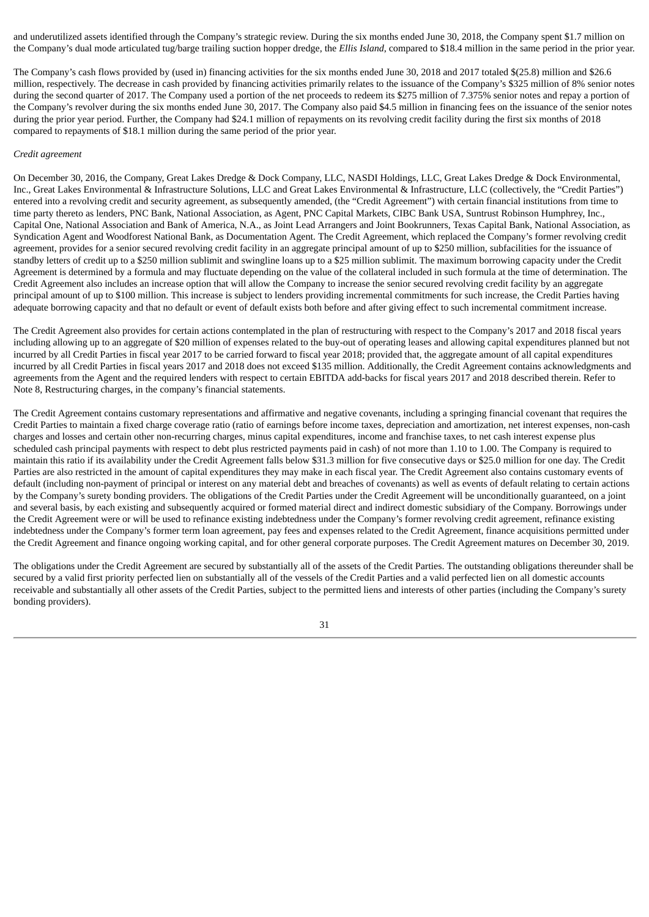and underutilized assets identified through the Company's strategic review. During the six months ended June 30, 2018, the Company spent \$1.7 million on the Company's dual mode articulated tug/barge trailing suction hopper dredge, the *Ellis Island*, compared to \$18.4 million in the same period in the prior year.

The Company's cash flows provided by (used in) financing activities for the six months ended June 30, 2018 and 2017 totaled \$(25.8) million and \$26.6 million, respectively. The decrease in cash provided by financing activities primarily relates to the issuance of the Company's \$325 million of 8% senior notes during the second quarter of 2017. The Company used a portion of the net proceeds to redeem its \$275 million of 7.375% senior notes and repay a portion of the Company's revolver during the six months ended June 30, 2017. The Company also paid \$4.5 million in financing fees on the issuance of the senior notes during the prior year period. Further, the Company had \$24.1 million of repayments on its revolving credit facility during the first six months of 2018 compared to repayments of \$18.1 million during the same period of the prior year.

#### *Credit agreement*

On December 30, 2016, the Company, Great Lakes Dredge & Dock Company, LLC, NASDI Holdings, LLC, Great Lakes Dredge & Dock Environmental, Inc., Great Lakes Environmental & Infrastructure Solutions, LLC and Great Lakes Environmental & Infrastructure, LLC (collectively, the "Credit Parties") entered into a revolving credit and security agreement, as subsequently amended, (the "Credit Agreement") with certain financial institutions from time to time party thereto as lenders, PNC Bank, National Association, as Agent, PNC Capital Markets, CIBC Bank USA, Suntrust Robinson Humphrey, Inc., Capital One, National Association and Bank of America, N.A., as Joint Lead Arrangers and Joint Bookrunners, Texas Capital Bank, National Association, as Syndication Agent and Woodforest National Bank, as Documentation Agent. The Credit Agreement, which replaced the Company's former revolving credit agreement, provides for a senior secured revolving credit facility in an aggregate principal amount of up to \$250 million, subfacilities for the issuance of standby letters of credit up to a \$250 million sublimit and swingline loans up to a \$25 million sublimit. The maximum borrowing capacity under the Credit Agreement is determined by a formula and may fluctuate depending on the value of the collateral included in such formula at the time of determination. The Credit Agreement also includes an increase option that will allow the Company to increase the senior secured revolving credit facility by an aggregate principal amount of up to \$100 million. This increase is subject to lenders providing incremental commitments for such increase, the Credit Parties having adequate borrowing capacity and that no default or event of default exists both before and after giving effect to such incremental commitment increase.

The Credit Agreement also provides for certain actions contemplated in the plan of restructuring with respect to the Company's 2017 and 2018 fiscal years including allowing up to an aggregate of \$20 million of expenses related to the buy-out of operating leases and allowing capital expenditures planned but not incurred by all Credit Parties in fiscal year 2017 to be carried forward to fiscal year 2018; provided that, the aggregate amount of all capital expenditures incurred by all Credit Parties in fiscal years 2017 and 2018 does not exceed \$135 million. Additionally, the Credit Agreement contains acknowledgments and agreements from the Agent and the required lenders with respect to certain EBITDA add-backs for fiscal years 2017 and 2018 described therein. Refer to Note 8, Restructuring charges, in the company's financial statements.

The Credit Agreement contains customary representations and affirmative and negative covenants, including a springing financial covenant that requires the Credit Parties to maintain a fixed charge coverage ratio (ratio of earnings before income taxes, depreciation and amortization, net interest expenses, non-cash charges and losses and certain other non-recurring charges, minus capital expenditures, income and franchise taxes, to net cash interest expense plus scheduled cash principal payments with respect to debt plus restricted payments paid in cash) of not more than 1.10 to 1.00. The Company is required to maintain this ratio if its availability under the Credit Agreement falls below \$31.3 million for five consecutive days or \$25.0 million for one day. The Credit Parties are also restricted in the amount of capital expenditures they may make in each fiscal year. The Credit Agreement also contains customary events of default (including non-payment of principal or interest on any material debt and breaches of covenants) as well as events of default relating to certain actions by the Company's surety bonding providers. The obligations of the Credit Parties under the Credit Agreement will be unconditionally guaranteed, on a joint and several basis, by each existing and subsequently acquired or formed material direct and indirect domestic subsidiary of the Company. Borrowings under the Credit Agreement were or will be used to refinance existing indebtedness under the Company's former revolving credit agreement, refinance existing indebtedness under the Company's former term loan agreement, pay fees and expenses related to the Credit Agreement, finance acquisitions permitted under the Credit Agreement and finance ongoing working capital, and for other general corporate purposes. The Credit Agreement matures on December 30, 2019.

The obligations under the Credit Agreement are secured by substantially all of the assets of the Credit Parties. The outstanding obligations thereunder shall be secured by a valid first priority perfected lien on substantially all of the vessels of the Credit Parties and a valid perfected lien on all domestic accounts receivable and substantially all other assets of the Credit Parties, subject to the permitted liens and interests of other parties (including the Company's surety bonding providers).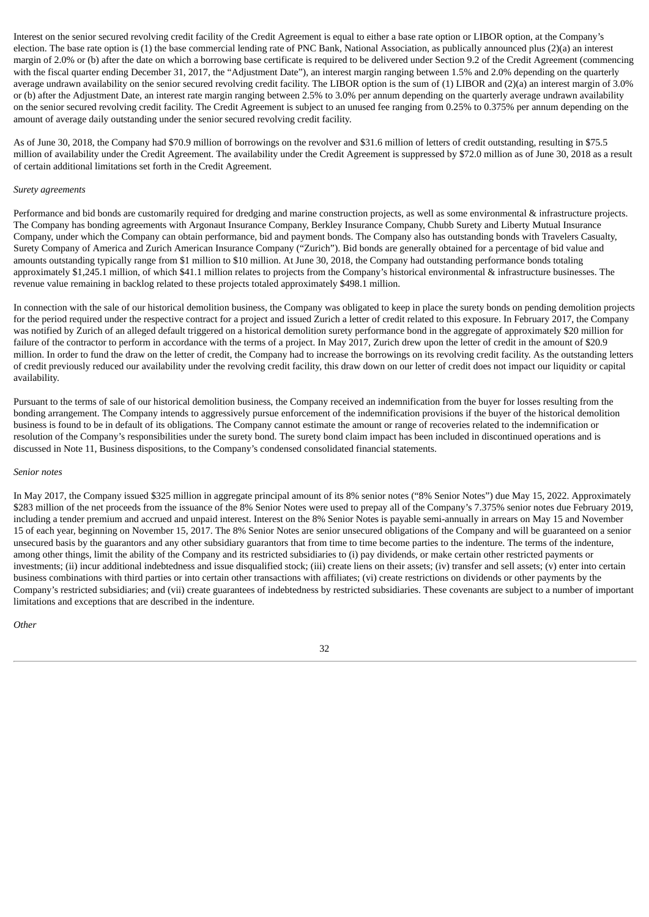Interest on the senior secured revolving credit facility of the Credit Agreement is equal to either a base rate option or LIBOR option, at the Company's election. The base rate option is (1) the base commercial lending rate of PNC Bank, National Association, as publically announced plus (2)(a) an interest margin of 2.0% or (b) after the date on which a borrowing base certificate is required to be delivered under Section 9.2 of the Credit Agreement (commencing with the fiscal quarter ending December 31, 2017, the "Adjustment Date"), an interest margin ranging between 1.5% and 2.0% depending on the quarterly average undrawn availability on the senior secured revolving credit facility. The LIBOR option is the sum of (1) LIBOR and (2)(a) an interest margin of 3.0% or (b) after the Adjustment Date, an interest rate margin ranging between 2.5% to 3.0% per annum depending on the quarterly average undrawn availability on the senior secured revolving credit facility. The Credit Agreement is subject to an unused fee ranging from 0.25% to 0.375% per annum depending on the amount of average daily outstanding under the senior secured revolving credit facility.

As of June 30, 2018, the Company had \$70.9 million of borrowings on the revolver and \$31.6 million of letters of credit outstanding, resulting in \$75.5 million of availability under the Credit Agreement. The availability under the Credit Agreement is suppressed by \$72.0 million as of June 30, 2018 as a result of certain additional limitations set forth in the Credit Agreement.

#### *Surety agreements*

Performance and bid bonds are customarily required for dredging and marine construction projects, as well as some environmental & infrastructure projects. The Company has bonding agreements with Argonaut Insurance Company, Berkley Insurance Company, Chubb Surety and Liberty Mutual Insurance Company, under which the Company can obtain performance, bid and payment bonds. The Company also has outstanding bonds with Travelers Casualty, Surety Company of America and Zurich American Insurance Company ("Zurich"). Bid bonds are generally obtained for a percentage of bid value and amounts outstanding typically range from \$1 million to \$10 million. At June 30, 2018, the Company had outstanding performance bonds totaling approximately \$1,245.1 million, of which \$41.1 million relates to projects from the Company's historical environmental & infrastructure businesses. The revenue value remaining in backlog related to these projects totaled approximately \$498.1 million.

In connection with the sale of our historical demolition business, the Company was obligated to keep in place the surety bonds on pending demolition projects for the period required under the respective contract for a project and issued Zurich a letter of credit related to this exposure. In February 2017, the Company was notified by Zurich of an alleged default triggered on a historical demolition surety performance bond in the aggregate of approximately \$20 million for failure of the contractor to perform in accordance with the terms of a project. In May 2017, Zurich drew upon the letter of credit in the amount of \$20.9 million. In order to fund the draw on the letter of credit, the Company had to increase the borrowings on its revolving credit facility. As the outstanding letters of credit previously reduced our availability under the revolving credit facility, this draw down on our letter of credit does not impact our liquidity or capital availability.

Pursuant to the terms of sale of our historical demolition business, the Company received an indemnification from the buyer for losses resulting from the bonding arrangement. The Company intends to aggressively pursue enforcement of the indemnification provisions if the buyer of the historical demolition business is found to be in default of its obligations. The Company cannot estimate the amount or range of recoveries related to the indemnification or resolution of the Company's responsibilities under the surety bond. The surety bond claim impact has been included in discontinued operations and is discussed in Note 11, Business dispositions, to the Company's condensed consolidated financial statements.

#### *Senior notes*

In May 2017, the Company issued \$325 million in aggregate principal amount of its 8% senior notes ("8% Senior Notes") due May 15, 2022. Approximately \$283 million of the net proceeds from the issuance of the 8% Senior Notes were used to prepay all of the Company's 7.375% senior notes due February 2019, including a tender premium and accrued and unpaid interest. Interest on the 8% Senior Notes is payable semi-annually in arrears on May 15 and November 15 of each year, beginning on November 15, 2017. The 8% Senior Notes are senior unsecured obligations of the Company and will be guaranteed on a senior unsecured basis by the guarantors and any other subsidiary guarantors that from time to time become parties to the indenture. The terms of the indenture, among other things, limit the ability of the Company and its restricted subsidiaries to (i) pay dividends, or make certain other restricted payments or investments; (ii) incur additional indebtedness and issue disqualified stock; (iii) create liens on their assets; (iv) transfer and sell assets; (v) enter into certain business combinations with third parties or into certain other transactions with affiliates; (vi) create restrictions on dividends or other payments by the Company's restricted subsidiaries; and (vii) create guarantees of indebtedness by restricted subsidiaries. These covenants are subject to a number of important limitations and exceptions that are described in the indenture.

*Other*

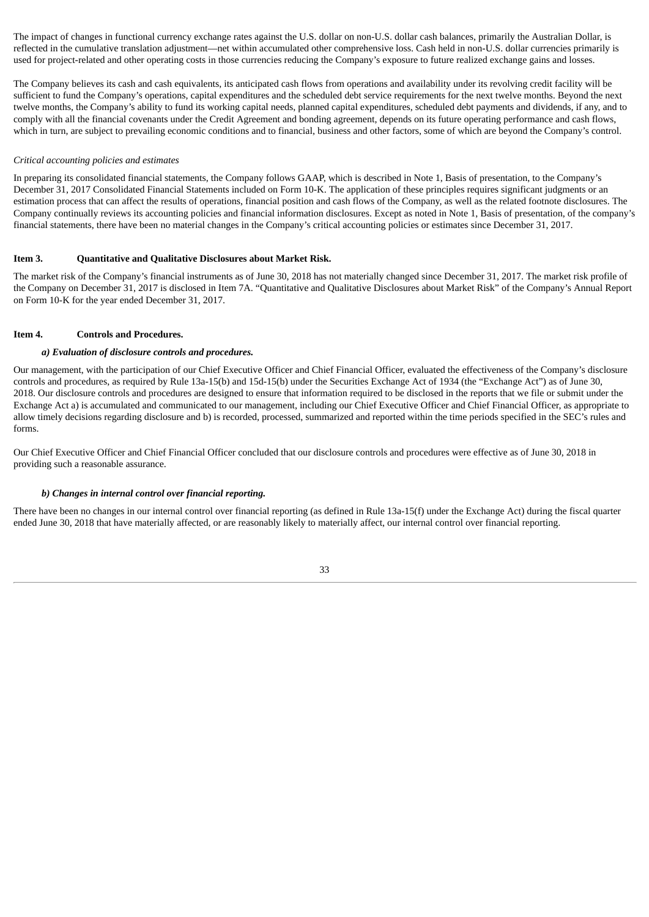The impact of changes in functional currency exchange rates against the U.S. dollar on non-U.S. dollar cash balances, primarily the Australian Dollar, is reflected in the cumulative translation adjustment—net within accumulated other comprehensive loss. Cash held in non-U.S. dollar currencies primarily is used for project-related and other operating costs in those currencies reducing the Company's exposure to future realized exchange gains and losses.

The Company believes its cash and cash equivalents, its anticipated cash flows from operations and availability under its revolving credit facility will be sufficient to fund the Company's operations, capital expenditures and the scheduled debt service requirements for the next twelve months. Beyond the next twelve months, the Company's ability to fund its working capital needs, planned capital expenditures, scheduled debt payments and dividends, if any, and to comply with all the financial covenants under the Credit Agreement and bonding agreement, depends on its future operating performance and cash flows, which in turn, are subject to prevailing economic conditions and to financial, business and other factors, some of which are beyond the Company's control.

#### *Critical accounting policies and estimates*

In preparing its consolidated financial statements, the Company follows GAAP, which is described in Note 1, Basis of presentation, to the Company's December 31, 2017 Consolidated Financial Statements included on Form 10-K. The application of these principles requires significant judgments or an estimation process that can affect the results of operations, financial position and cash flows of the Company, as well as the related footnote disclosures. The Company continually reviews its accounting policies and financial information disclosures. Except as noted in Note 1, Basis of presentation, of the company's financial statements, there have been no material changes in the Company's critical accounting policies or estimates since December 31, 2017.

#### <span id="page-32-0"></span>**Item 3. Quantitative and Qualitative Disclosures about Market Risk.**

The market risk of the Company's financial instruments as of June 30, 2018 has not materially changed since December 31, 2017. The market risk profile of the Company on December 31, 2017 is disclosed in Item 7A. "Quantitative and Qualitative Disclosures about Market Risk" of the Company's Annual Report on Form 10-K for the year ended December 31, 2017.

#### **Item 4. Controls and Procedures.**

#### <span id="page-32-1"></span>*a) Evaluation of disclosure controls and procedures.*

Our management, with the participation of our Chief Executive Officer and Chief Financial Officer, evaluated the effectiveness of the Company's disclosure controls and procedures, as required by Rule 13a-15(b) and 15d-15(b) under the Securities Exchange Act of 1934 (the "Exchange Act") as of June 30, 2018. Our disclosure controls and procedures are designed to ensure that information required to be disclosed in the reports that we file or submit under the Exchange Act a) is accumulated and communicated to our management, including our Chief Executive Officer and Chief Financial Officer, as appropriate to allow timely decisions regarding disclosure and b) is recorded, processed, summarized and reported within the time periods specified in the SEC's rules and forms.

Our Chief Executive Officer and Chief Financial Officer concluded that our disclosure controls and procedures were effective as of June 30, 2018 in providing such a reasonable assurance.

#### *b) Changes in internal control over financial reporting.*

There have been no changes in our internal control over financial reporting (as defined in Rule 13a-15(f) under the Exchange Act) during the fiscal quarter ended June 30, 2018 that have materially affected, or are reasonably likely to materially affect, our internal control over financial reporting.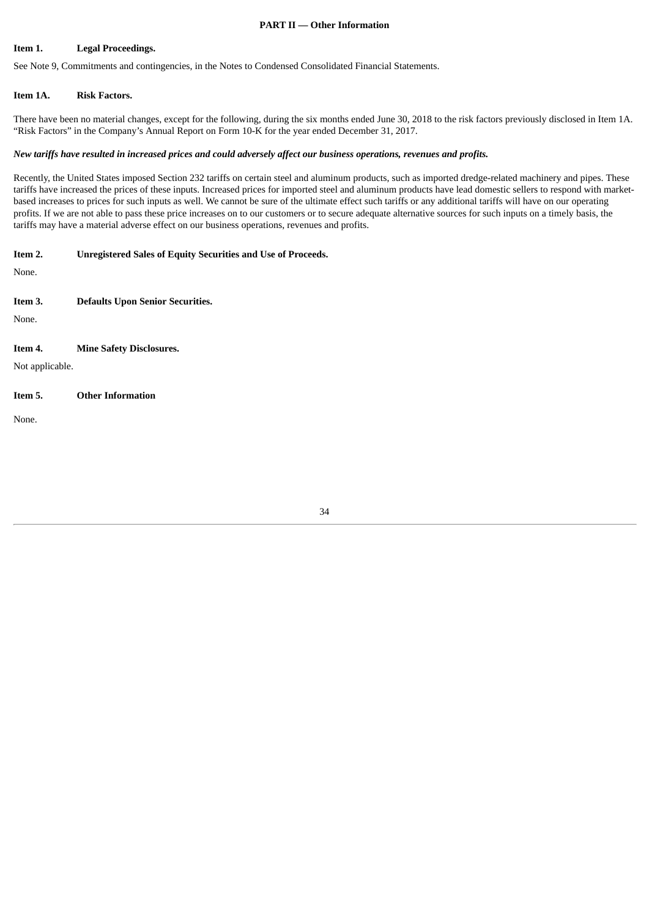#### **PART II — Other Information**

#### <span id="page-33-1"></span><span id="page-33-0"></span>**Item 1. Legal Proceedings.**

See Note 9, Commitments and contingencies, in the Notes to Condensed Consolidated Financial Statements.

#### <span id="page-33-2"></span>**Item 1A. Risk Factors.**

There have been no material changes, except for the following, during the six months ended June 30, 2018 to the risk factors previously disclosed in Item 1A. "Risk Factors" in the Company's Annual Report on Form 10-K for the year ended December 31, 2017.

#### New tariffs have resulted in increased prices and could adversely affect our business operations, revenues and profits.

Recently, the United States imposed Section 232 tariffs on certain steel and aluminum products, such as imported dredge-related machinery and pipes. These tariffs have increased the prices of these inputs. Increased prices for imported steel and aluminum products have lead domestic sellers to respond with marketbased increases to prices for such inputs as well. We cannot be sure of the ultimate effect such tariffs or any additional tariffs will have on our operating profits. If we are not able to pass these price increases on to our customers or to secure adequate alternative sources for such inputs on a timely basis, the tariffs may have a material adverse effect on our business operations, revenues and profits.

#### <span id="page-33-3"></span>**Item 2. Unregistered Sales of Equity Securities and Use of Proceeds.**

None.

#### <span id="page-33-4"></span>**Item 3. Defaults Upon Senior Securities.**

None.

## <span id="page-33-5"></span>**Item 4. Mine Safety Disclosures.**

Not applicable.

#### <span id="page-33-6"></span>**Item 5. Other Information**

None.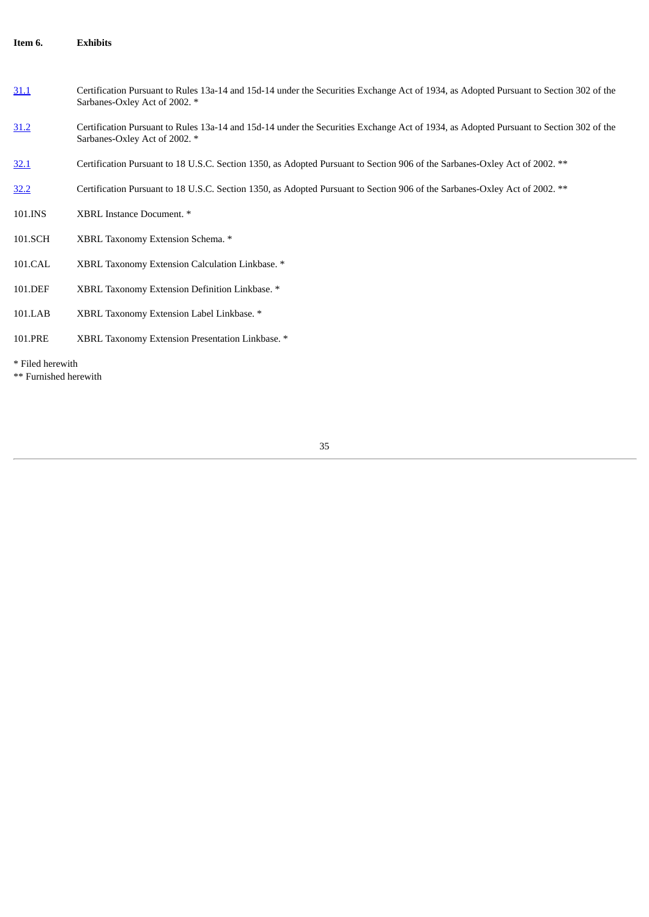- <span id="page-34-0"></span>[31.1](#page-36-0) Certification Pursuant to Rules 13a-14 and 15d-14 under the Securities Exchange Act of 1934, as Adopted Pursuant to Section 302 of the Sarbanes-Oxley Act of 2002. \*
- [31.2](#page-37-0) Certification Pursuant to Rules 13a-14 and 15d-14 under the Securities Exchange Act of 1934, as Adopted Pursuant to Section 302 of the Sarbanes-Oxley Act of 2002. \*
- [32.1](#page-38-0) Certification Pursuant to 18 U.S.C. Section 1350, as Adopted Pursuant to Section 906 of the Sarbanes-Oxley Act of 2002. \*\*
- [32.2](#page-39-0) Certification Pursuant to 18 U.S.C. Section 1350, as Adopted Pursuant to Section 906 of the Sarbanes-Oxley Act of 2002. \*\*
- 101.INS XBRL Instance Document. \*
- 101.SCH XBRL Taxonomy Extension Schema. \*
- 101.CAL XBRL Taxonomy Extension Calculation Linkbase. \*
- 101.DEF XBRL Taxonomy Extension Definition Linkbase. \*
- 101.LAB XBRL Taxonomy Extension Label Linkbase. \*
- 101.PRE XBRL Taxonomy Extension Presentation Linkbase. \*
- \* Filed herewith

\*\* Furnished herewith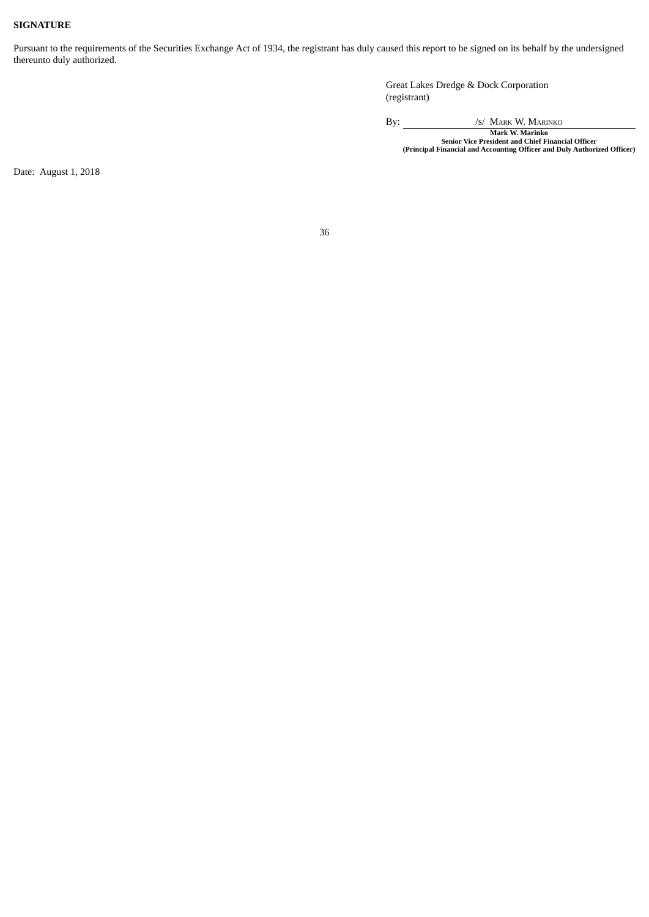## <span id="page-35-0"></span>**SIGNATURE**

Pursuant to the requirements of the Securities Exchange Act of 1934, the registrant has duly caused this report to be signed on its behalf by the undersigned thereunto duly authorized.

> Great Lakes Dredge & Dock Corporation (registrant)

By: /s/ Mark W. Marinko

**Mark W. Marinko Senior Vice President and Chief Financial Officer (Principal Financial and Accounting Officer and Duly Authorized Officer)**

Date: August 1, 2018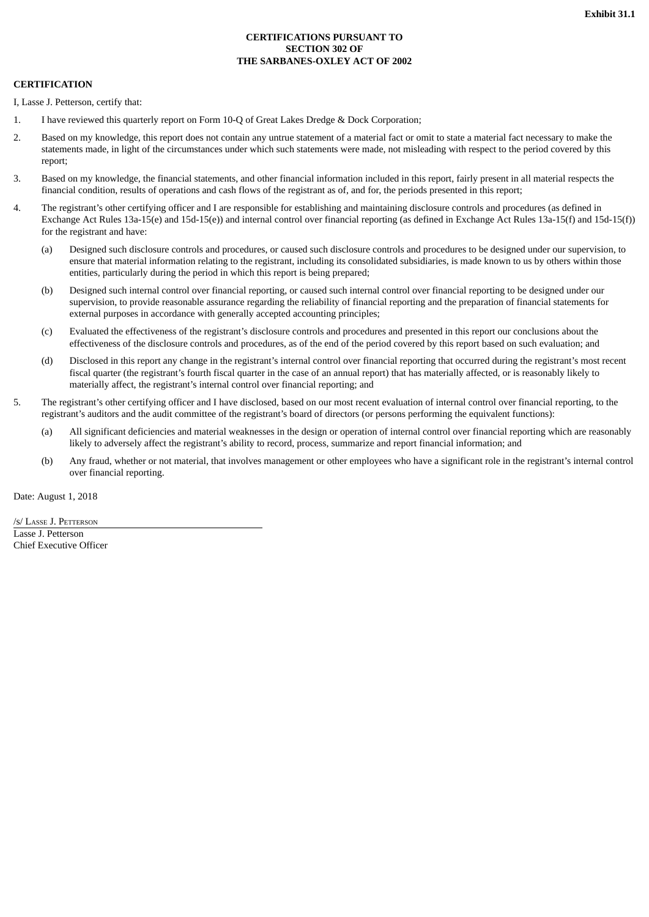## **CERTIFICATIONS PURSUANT TO SECTION 302 OF THE SARBANES-OXLEY ACT OF 2002**

#### <span id="page-36-0"></span>**CERTIFICATION**

I, Lasse J. Petterson, certify that:

- 1. I have reviewed this quarterly report on Form 10-Q of Great Lakes Dredge & Dock Corporation;
- 2. Based on my knowledge, this report does not contain any untrue statement of a material fact or omit to state a material fact necessary to make the statements made, in light of the circumstances under which such statements were made, not misleading with respect to the period covered by this report;
- 3. Based on my knowledge, the financial statements, and other financial information included in this report, fairly present in all material respects the financial condition, results of operations and cash flows of the registrant as of, and for, the periods presented in this report;
- 4. The registrant's other certifying officer and I are responsible for establishing and maintaining disclosure controls and procedures (as defined in Exchange Act Rules 13a-15(e) and 15d-15(e)) and internal control over financial reporting (as defined in Exchange Act Rules 13a-15(f) and 15d-15(f)) for the registrant and have:
	- (a) Designed such disclosure controls and procedures, or caused such disclosure controls and procedures to be designed under our supervision, to ensure that material information relating to the registrant, including its consolidated subsidiaries, is made known to us by others within those entities, particularly during the period in which this report is being prepared;
	- (b) Designed such internal control over financial reporting, or caused such internal control over financial reporting to be designed under our supervision, to provide reasonable assurance regarding the reliability of financial reporting and the preparation of financial statements for external purposes in accordance with generally accepted accounting principles;
	- (c) Evaluated the effectiveness of the registrant's disclosure controls and procedures and presented in this report our conclusions about the effectiveness of the disclosure controls and procedures, as of the end of the period covered by this report based on such evaluation; and
	- (d) Disclosed in this report any change in the registrant's internal control over financial reporting that occurred during the registrant's most recent fiscal quarter (the registrant's fourth fiscal quarter in the case of an annual report) that has materially affected, or is reasonably likely to materially affect, the registrant's internal control over financial reporting; and
- 5. The registrant's other certifying officer and I have disclosed, based on our most recent evaluation of internal control over financial reporting, to the registrant's auditors and the audit committee of the registrant's board of directors (or persons performing the equivalent functions):
	- (a) All significant deficiencies and material weaknesses in the design or operation of internal control over financial reporting which are reasonably likely to adversely affect the registrant's ability to record, process, summarize and report financial information; and
	- (b) Any fraud, whether or not material, that involves management or other employees who have a significant role in the registrant's internal control over financial reporting.

Date: August 1, 2018

/s/ LASSE J. PETTERSON Lasse J. Petterson Chief Executive Officer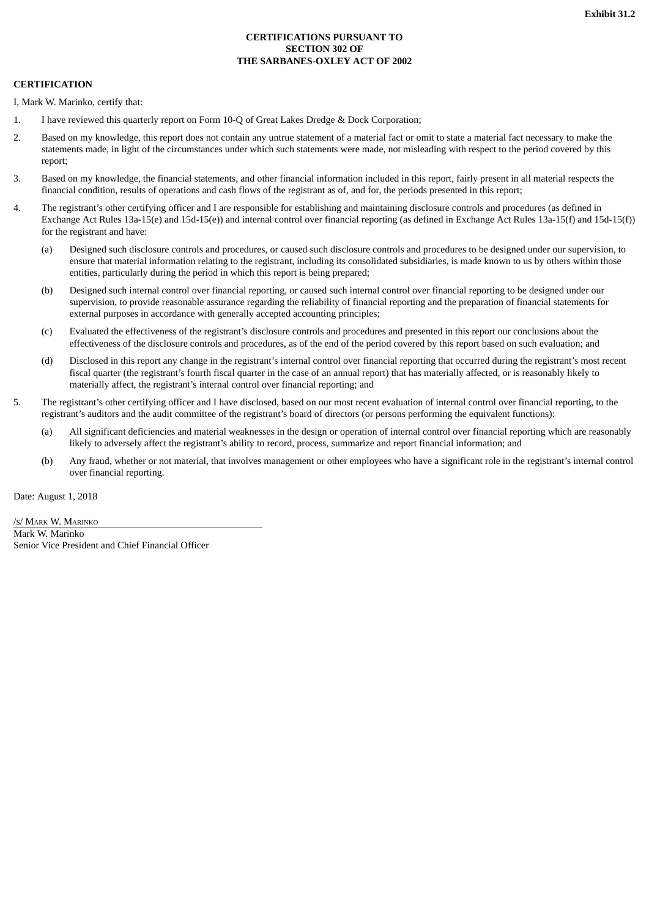## **CERTIFICATIONS PURSUANT TO SECTION 302 OF THE SARBANES-OXLEY ACT OF 2002**

#### <span id="page-37-0"></span>**CERTIFICATION**

I, Mark W. Marinko, certify that:

- 1. I have reviewed this quarterly report on Form 10-Q of Great Lakes Dredge & Dock Corporation;
- 2. Based on my knowledge, this report does not contain any untrue statement of a material fact or omit to state a material fact necessary to make the statements made, in light of the circumstances under which such statements were made, not misleading with respect to the period covered by this report;
- 3. Based on my knowledge, the financial statements, and other financial information included in this report, fairly present in all material respects the financial condition, results of operations and cash flows of the registrant as of, and for, the periods presented in this report;
- 4. The registrant's other certifying officer and I are responsible for establishing and maintaining disclosure controls and procedures (as defined in Exchange Act Rules 13a-15(e) and 15d-15(e)) and internal control over financial reporting (as defined in Exchange Act Rules 13a-15(f) and 15d-15(f)) for the registrant and have:
	- (a) Designed such disclosure controls and procedures, or caused such disclosure controls and procedures to be designed under our supervision, to ensure that material information relating to the registrant, including its consolidated subsidiaries, is made known to us by others within those entities, particularly during the period in which this report is being prepared;
	- (b) Designed such internal control over financial reporting, or caused such internal control over financial reporting to be designed under our supervision, to provide reasonable assurance regarding the reliability of financial reporting and the preparation of financial statements for external purposes in accordance with generally accepted accounting principles;
	- (c) Evaluated the effectiveness of the registrant's disclosure controls and procedures and presented in this report our conclusions about the effectiveness of the disclosure controls and procedures, as of the end of the period covered by this report based on such evaluation; and
	- (d) Disclosed in this report any change in the registrant's internal control over financial reporting that occurred during the registrant's most recent fiscal quarter (the registrant's fourth fiscal quarter in the case of an annual report) that has materially affected, or is reasonably likely to materially affect, the registrant's internal control over financial reporting; and
- 5. The registrant's other certifying officer and I have disclosed, based on our most recent evaluation of internal control over financial reporting, to the registrant's auditors and the audit committee of the registrant's board of directors (or persons performing the equivalent functions):
	- (a) All significant deficiencies and material weaknesses in the design or operation of internal control over financial reporting which are reasonably likely to adversely affect the registrant's ability to record, process, summarize and report financial information; and
	- (b) Any fraud, whether or not material, that involves management or other employees who have a significant role in the registrant's internal control over financial reporting.

Date: August 1, 2018

/s/ MARK W. MARINKO Mark W. Marinko Senior Vice President and Chief Financial Officer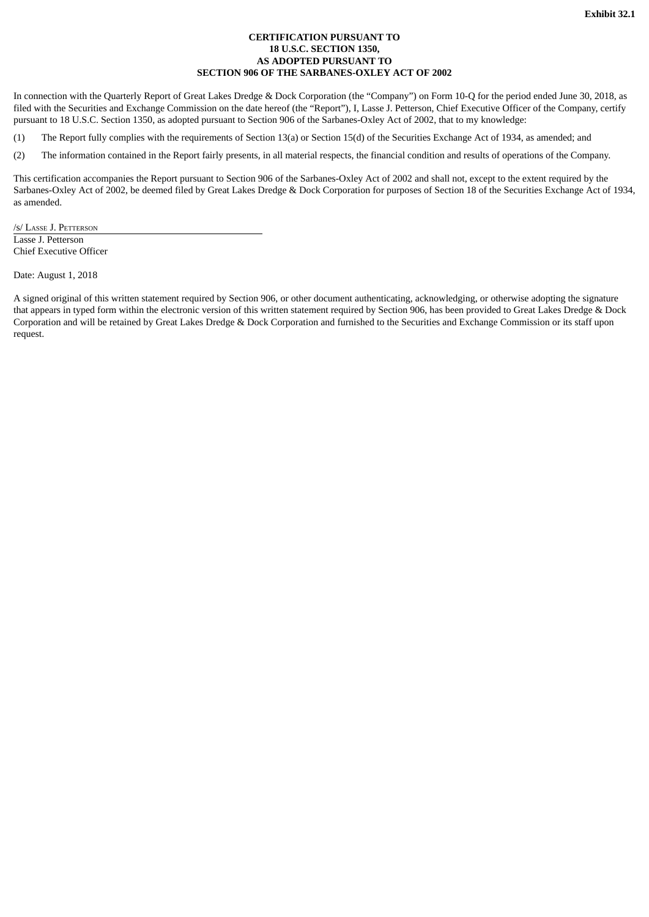#### **CERTIFICATION PURSUANT TO 18 U.S.C. SECTION 1350, AS ADOPTED PURSUANT TO SECTION 906 OF THE SARBANES-OXLEY ACT OF 2002**

<span id="page-38-0"></span>In connection with the Quarterly Report of Great Lakes Dredge & Dock Corporation (the "Company") on Form 10-Q for the period ended June 30, 2018, as filed with the Securities and Exchange Commission on the date hereof (the "Report"), I, Lasse J. Petterson, Chief Executive Officer of the Company, certify pursuant to 18 U.S.C. Section 1350, as adopted pursuant to Section 906 of the Sarbanes-Oxley Act of 2002, that to my knowledge:

(1) The Report fully complies with the requirements of Section 13(a) or Section 15(d) of the Securities Exchange Act of 1934, as amended; and

(2) The information contained in the Report fairly presents, in all material respects, the financial condition and results of operations of the Company.

This certification accompanies the Report pursuant to Section 906 of the Sarbanes-Oxley Act of 2002 and shall not, except to the extent required by the Sarbanes-Oxley Act of 2002, be deemed filed by Great Lakes Dredge & Dock Corporation for purposes of Section 18 of the Securities Exchange Act of 1934, as amended.

/s/ LASSE J. PETTERSON Lasse J. Petterson Chief Executive Officer

Date: August 1, 2018

A signed original of this written statement required by Section 906, or other document authenticating, acknowledging, or otherwise adopting the signature that appears in typed form within the electronic version of this written statement required by Section 906, has been provided to Great Lakes Dredge & Dock Corporation and will be retained by Great Lakes Dredge & Dock Corporation and furnished to the Securities and Exchange Commission or its staff upon request.